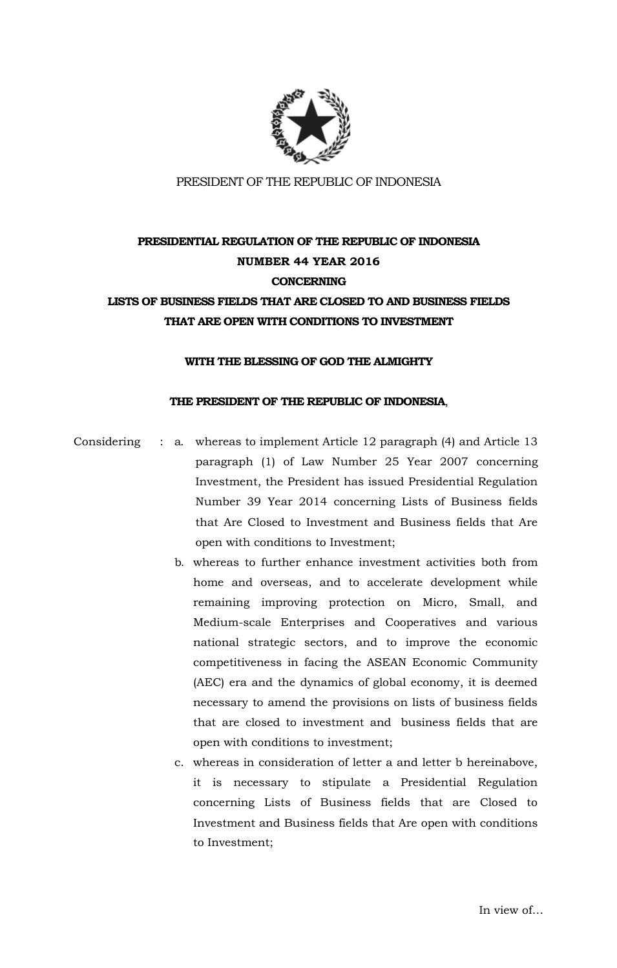

# **PRESIDENTIAL REGULATION OF THE REPUBLIC OF INDONESIA NUMBER 44 YEAR 2016 CONCERNING LISTS OF BUSINESS FIELDS THAT ARE CLOSED TO AND BUSINESS FIELDS THAT ARE OPEN WITH CONDITIONS TO INVESTMENT**

#### **WITH THE BLESSING OF GOD THE ALMIGHTY**

### **THE PRESIDENT OF THE REPUBLIC OF INDONESIA**,

Considering : a. whereas to implement Article 12 paragraph (4) and Article 13 paragraph (1) of Law Number 25 Year 2007 concerning Investment, the President has issued Presidential Regulation Number 39 Year 2014 concerning Lists of Business fields that Are Closed to Investment and Business fields that Are open with conditions to Investment;

- b. whereas to further enhance investment activities both from home and overseas, and to accelerate development while remaining improving protection on Micro, Small, and Medium-scale Enterprises and Cooperatives and various national strategic sectors, and to improve the economic competitiveness in facing the ASEAN Economic Community (AEC) era and the dynamics of global economy, it is deemed necessary to amend the provisions on lists of business fields that are closed to investment and business fields that are open with conditions to investment;
- c. whereas in consideration of letter a and letter b hereinabove, it is necessary to stipulate a Presidential Regulation concerning Lists of Business fields that are Closed to Investment and Business fields that Are open with conditions to Investment;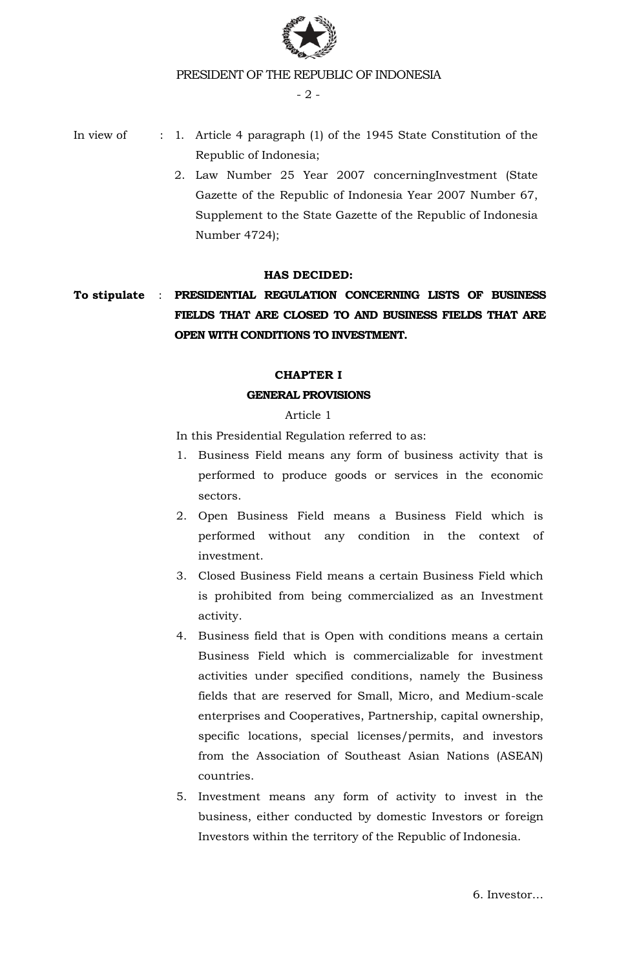

- 2 -

- In view of : 1. Article 4 paragraph (1) of the 1945 State Constitution of the Republic of Indonesia;
	- 2. Law Number 25 Year 2007 concerningInvestment (State Gazette of the Republic of Indonesia Year 2007 Number 67, Supplement to the State Gazette of the Republic of Indonesia Number 4724);

# **HAS DECIDED:**

# **To stipulate** : **PRESIDENTIAL REGULATION CONCERNING LISTS OF BUSINESS FIELDS THAT ARE CLOSED TO AND BUSINESS FIELDS THAT ARE OPEN WITH CONDITIONS TO INVESTMENT.**

# **CHAPTER I**

### **GENERAL PROVISIONS**

### Article 1

In this Presidential Regulation referred to as:

- 1. Business Field means any form of business activity that is performed to produce goods or services in the economic sectors.
- 2. Open Business Field means a Business Field which is performed without any condition in the context of investment.
- 3. Closed Business Field means a certain Business Field which is prohibited from being commercialized as an Investment activity.
- 4. Business field that is Open with conditions means a certain Business Field which is commercializable for investment activities under specified conditions, namely the Business fields that are reserved for Small, Micro, and Medium-scale enterprises and Cooperatives, Partnership, capital ownership, specific locations, special licenses/permits, and investors from the Association of Southeast Asian Nations (ASEAN) countries.
- 5. Investment means any form of activity to invest in the business, either conducted by domestic Investors or foreign Investors within the territory of the Republic of Indonesia.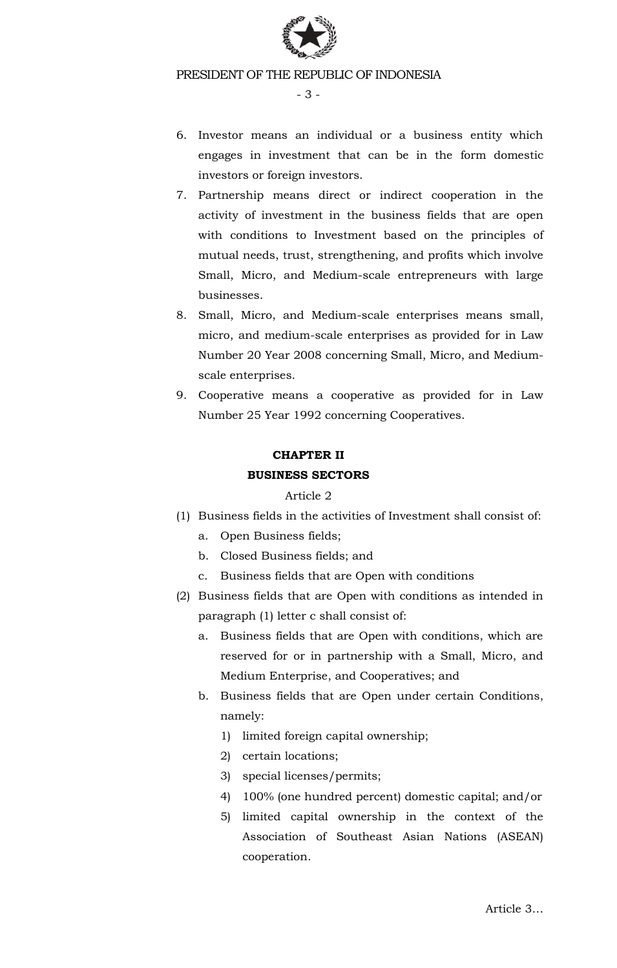

- 3 -

- 6. Investor means an individual or a business entity which engages in investment that can be in the form domestic investors or foreign investors.
- 7. Partnership means direct or indirect cooperation in the activity of investment in the business fields that are open with conditions to Investment based on the principles of mutual needs, trust, strengthening, and profits which involve Small, Micro, and Medium-scale entrepreneurs with large businesses.
- 8. Small, Micro, and Medium-scale enterprises means small, micro, and medium-scale enterprises as provided for in Law Number 20 Year 2008 concerning Small, Micro, and Mediumscale enterprises.
- 9. Cooperative means a cooperative as provided for in Law Number 25 Year 1992 concerning Cooperatives.

# **CHAPTER II BUSINESS SECTORS**

# Article 2

- (1) Business fields in the activities of Investment shall consist of:
	- a. Open Business fields;
	- b. Closed Business fields; and
	- c. Business fields that are Open with conditions
- (2) Business fields that are Open with conditions as intended in paragraph (1) letter c shall consist of:
	- a. Business fields that are Open with conditions, which are reserved for or in partnership with a Small, Micro, and Medium Enterprise, and Cooperatives; and
	- b. Business fields that are Open under certain Conditions, namely:
		- 1) limited foreign capital ownership;
		- 2) certain locations;
		- 3) special licenses/permits;
		- 4) 100% (one hundred percent) domestic capital; and/or
		- 5) limited capital ownership in the context of the Association of Southeast Asian Nations (ASEAN) cooperation.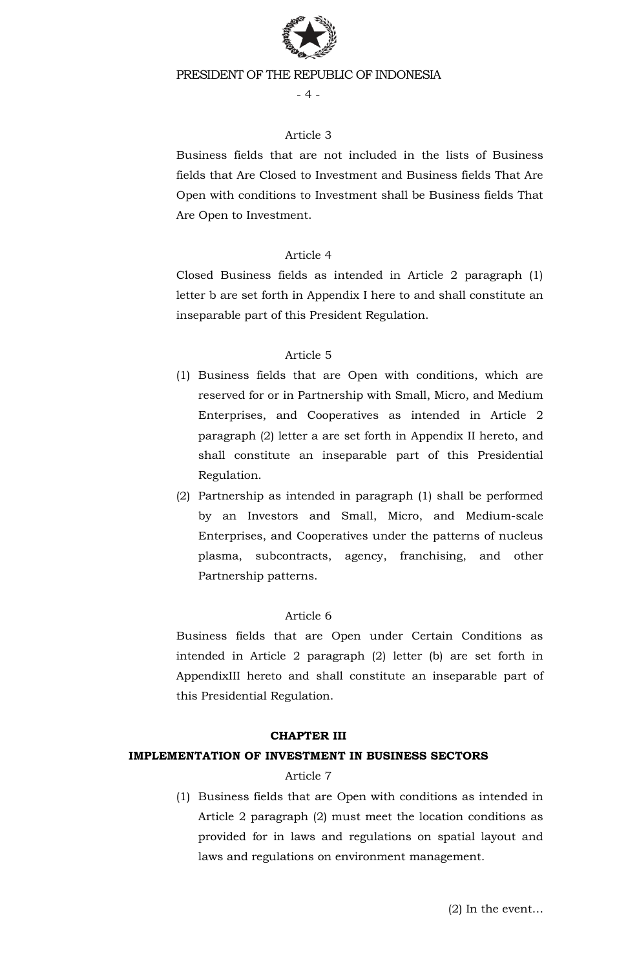

 $-4-$ 

### Article 3

Business fields that are not included in the lists of Business fields that Are Closed to Investment and Business fields That Are Open with conditions to Investment shall be Business fields That Are Open to Investment.

### Article 4

Closed Business fields as intended in Article 2 paragraph (1) letter b are set forth in Appendix I here to and shall constitute an inseparable part of this President Regulation.

### Article 5

- (1) Business fields that are Open with conditions, which are reserved for or in Partnership with Small, Micro, and Medium Enterprises, and Cooperatives as intended in Article 2 paragraph (2) letter a are set forth in Appendix II hereto, and shall constitute an inseparable part of this Presidential Regulation.
- (2) Partnership as intended in paragraph (1) shall be performed by an Investors and Small, Micro, and Medium-scale Enterprises, and Cooperatives under the patterns of nucleus plasma, subcontracts, agency, franchising, and other Partnership patterns.

# Article 6

Business fields that are Open under Certain Conditions as intended in Article 2 paragraph (2) letter (b) are set forth in AppendixIII hereto and shall constitute an inseparable part of this Presidential Regulation.

#### **CHAPTER III**

#### **IMPLEMENTATION OF INVESTMENT IN BUSINESS SECTORS**

#### Article 7

(1) Business fields that are Open with conditions as intended in Article 2 paragraph (2) must meet the location conditions as provided for in laws and regulations on spatial layout and laws and regulations on environment management.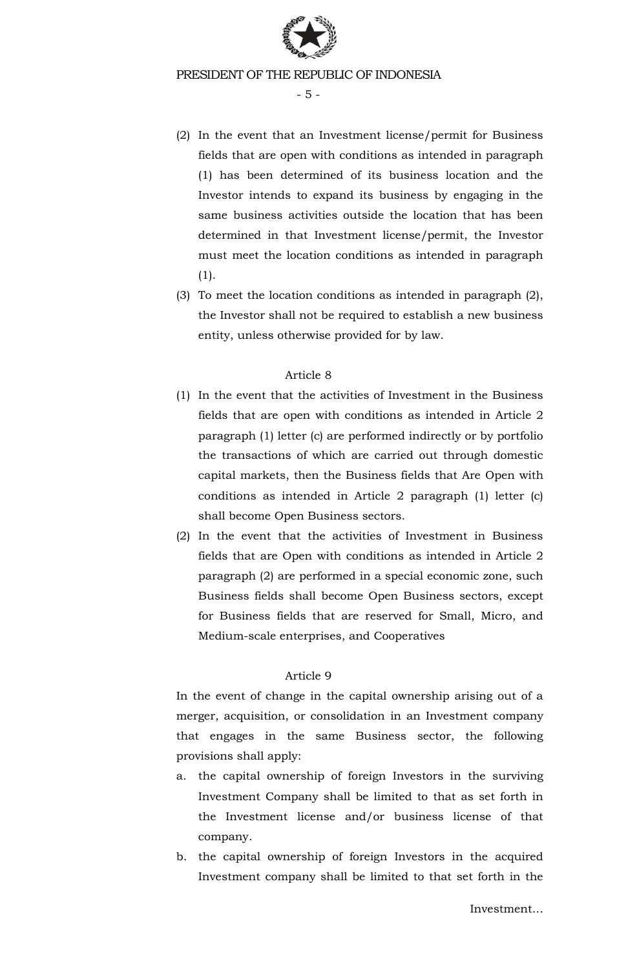

- 5 -

- (2) In the event that an Investment license/permit for Business fields that are open with conditions as intended in paragraph (1) has been determined of its business location and the Investor intends to expand its business by engaging in the same business activities outside the location that has been determined in that Investment license/permit, the Investor must meet the location conditions as intended in paragraph (1).
- (3) To meet the location conditions as intended in paragraph (2), the Investor shall not be required to establish a new business entity, unless otherwise provided for by law.

### Article 8

- (1) In the event that the activities of Investment in the Business fields that are open with conditions as intended in Article 2 paragraph (1) letter (c) are performed indirectly or by portfolio the transactions of which are carried out through domestic capital markets, then the Business fields that Are Open with conditions as intended in Article 2 paragraph (1) letter (c) shall become Open Business sectors.
- (2) In the event that the activities of Investment in Business fields that are Open with conditions as intended in Article 2 paragraph (2) are performed in a special economic zone, such Business fields shall become Open Business sectors, except for Business fields that are reserved for Small, Micro, and Medium-scale enterprises, and Cooperatives

# Article 9

In the event of change in the capital ownership arising out of a merger, acquisition, or consolidation in an Investment company that engages in the same Business sector, the following provisions shall apply:

- a. the capital ownership of foreign Investors in the surviving Investment Company shall be limited to that as set forth in the Investment license and/or business license of that company.
- b. the capital ownership of foreign Investors in the acquired Investment company shall be limited to that set forth in the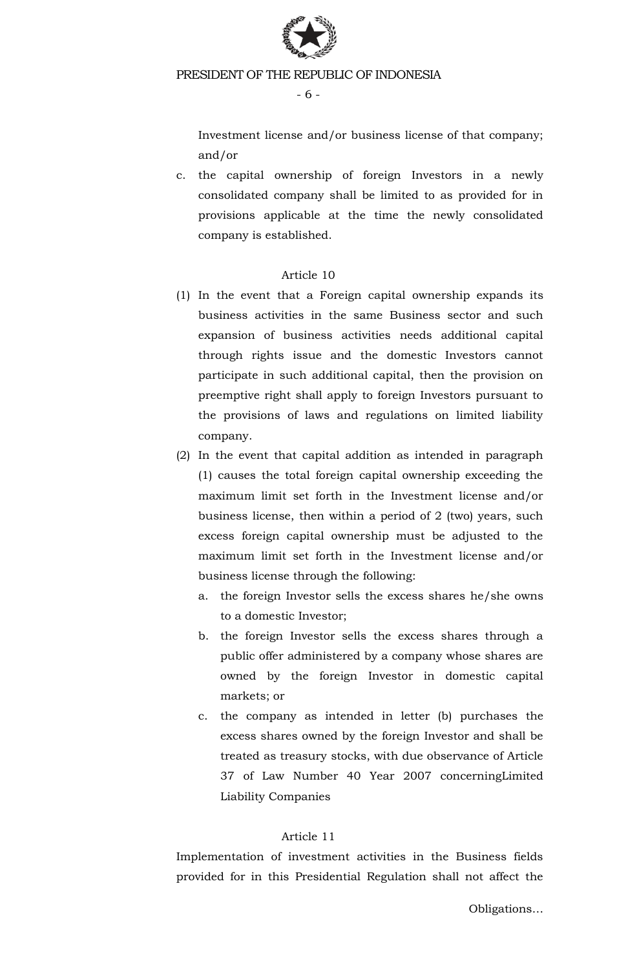

- 6 -

Investment license and/or business license of that company; and/or

c. the capital ownership of foreign Investors in a newly consolidated company shall be limited to as provided for in provisions applicable at the time the newly consolidated company is established.

# Article 10

- (1) In the event that a Foreign capital ownership expands its business activities in the same Business sector and such expansion of business activities needs additional capital through rights issue and the domestic Investors cannot participate in such additional capital, then the provision on preemptive right shall apply to foreign Investors pursuant to the provisions of laws and regulations on limited liability company.
- (2) In the event that capital addition as intended in paragraph (1) causes the total foreign capital ownership exceeding the maximum limit set forth in the Investment license and/or business license, then within a period of 2 (two) years, such excess foreign capital ownership must be adjusted to the maximum limit set forth in the Investment license and/or business license through the following:
	- a. the foreign Investor sells the excess shares he/she owns to a domestic Investor;
	- b. the foreign Investor sells the excess shares through a public offer administered by a company whose shares are owned by the foreign Investor in domestic capital markets; or
	- c. the company as intended in letter (b) purchases the excess shares owned by the foreign Investor and shall be treated as treasury stocks, with due observance of Article 37 of Law Number 40 Year 2007 concerningLimited Liability Companies

# Article 11

Implementation of investment activities in the Business fields provided for in this Presidential Regulation shall not affect the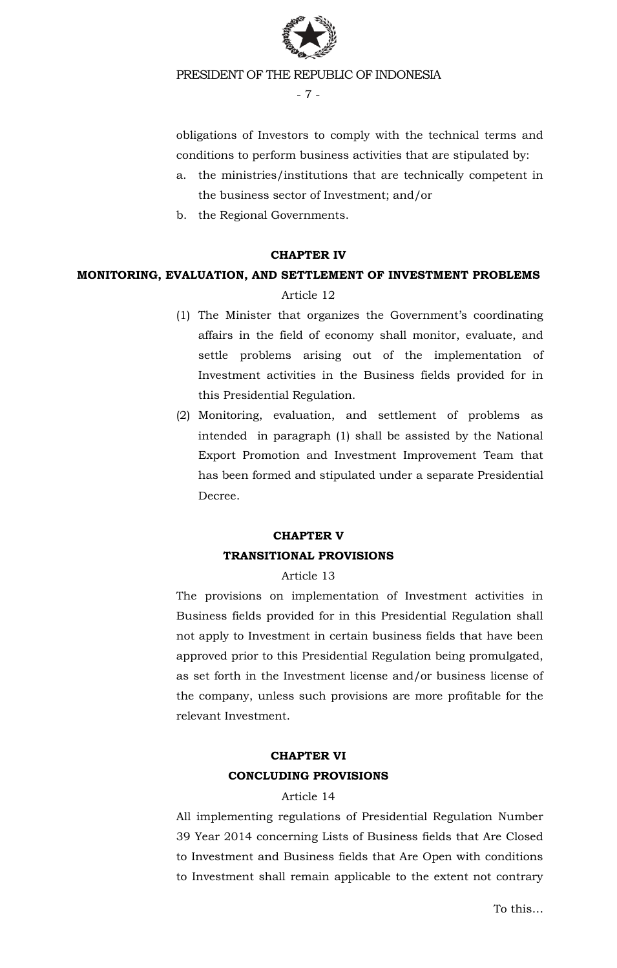

- 7 -

obligations of Investors to comply with the technical terms and conditions to perform business activities that are stipulated by:

- a. the ministries/institutions that are technically competent in the business sector of Investment; and/or
- b. the Regional Governments.

#### **CHAPTER IV**

### **MONITORING, EVALUATION, AND SETTLEMENT OF INVESTMENT PROBLEMS**

#### Article 12

- (1) The Minister that organizes the Government's coordinating affairs in the field of economy shall monitor, evaluate, and settle problems arising out of the implementation of Investment activities in the Business fields provided for in this Presidential Regulation.
- (2) Monitoring, evaluation, and settlement of problems as intended in paragraph (1) shall be assisted by the National Export Promotion and Investment Improvement Team that has been formed and stipulated under a separate Presidential Decree.

# **CHAPTER V TRANSITIONAL PROVISIONS**

#### Article 13

The provisions on implementation of Investment activities in Business fields provided for in this Presidential Regulation shall not apply to Investment in certain business fields that have been approved prior to this Presidential Regulation being promulgated, as set forth in the Investment license and/or business license of the company, unless such provisions are more profitable for the relevant Investment.

# **CHAPTER VI CONCLUDING PROVISIONS**

#### Article 14

All implementing regulations of Presidential Regulation Number 39 Year 2014 concerning Lists of Business fields that Are Closed to Investment and Business fields that Are Open with conditions to Investment shall remain applicable to the extent not contrary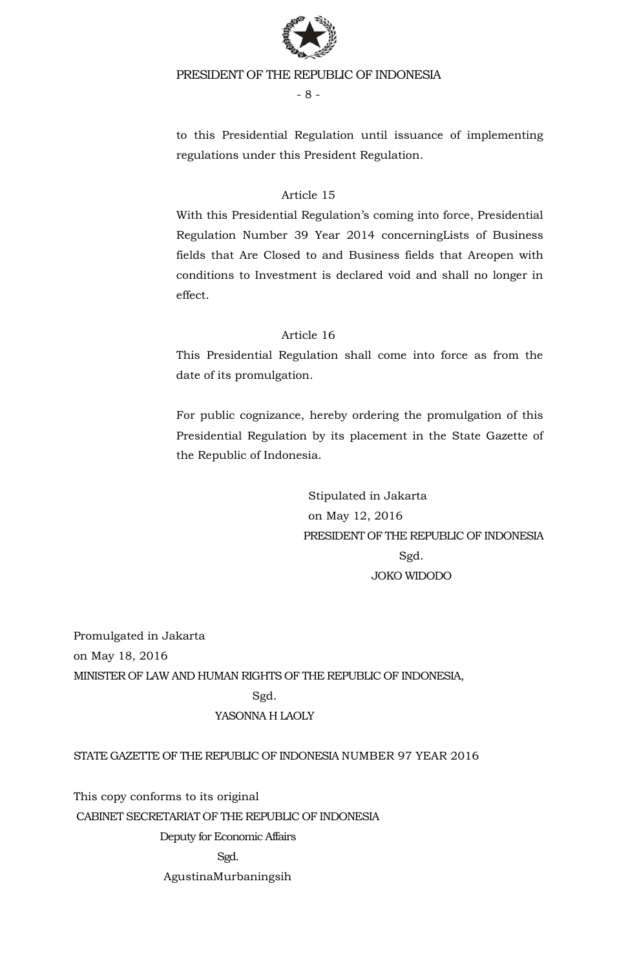

- 8 -

to this Presidential Regulation until issuance of implementing regulations under this President Regulation.

# Article 15

With this Presidential Regulation's coming into force, Presidential Regulation Number 39 Year 2014 concerningLists of Business fields that Are Closed to and Business fields that Areopen with conditions to Investment is declared void and shall no longer in effect.

# Article 16

This Presidential Regulation shall come into force as from the date of its promulgation.

For public cognizance, hereby ordering the promulgation of this Presidential Regulation by its placement in the State Gazette of the Republic of Indonesia.

> Stipulated in Jakarta on May 12, 2016 PRESIDENT OF THE REPUBLIC OF INDONESIA Sgd. JOKO WIDODO

Promulgated in Jakarta on May 18, 2016 MINISTER OF LAW AND HUMAN RIGHTS OF THE REPUBLIC OF INDONESIA, Sgd. YASONNA H LAOLY

# STATE GAZETTE OF THE REPUBLIC OF INDONESIA NUMBER 97 YEAR 2016

This copy conforms to its original CABINET SECRETARIAT OF THE REPUBLIC OF INDONESIA Deputy for Economic Affairs Sgd. AgustinaMurbaningsih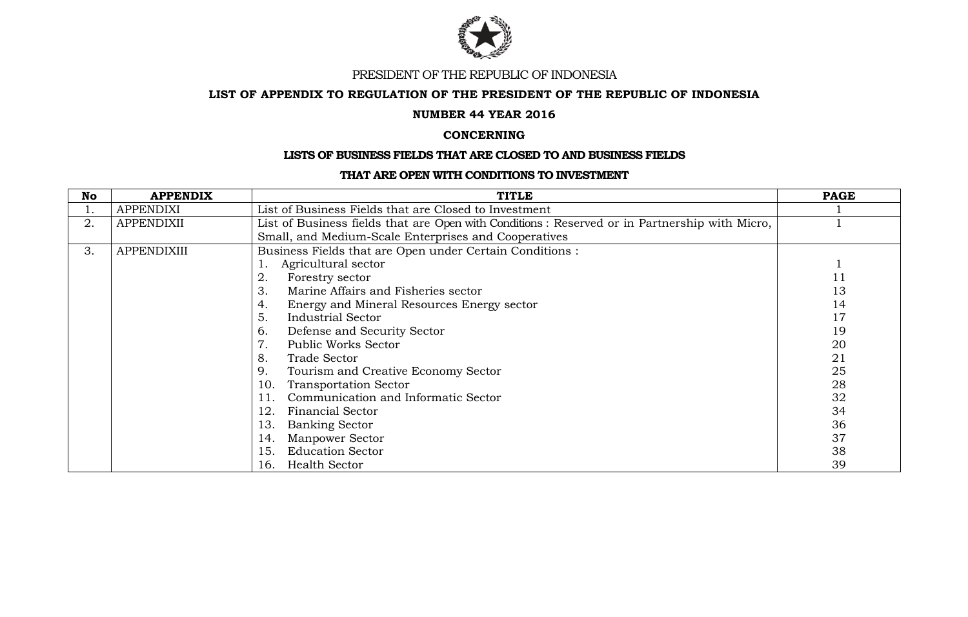

#### **LIST OF APPENDIX TO REGULATION OF THE PRESIDENT OF THE REPUBLIC OF INDONESIA**

#### **NUMBER 44 YEAR 2016**

#### **CONCERNING**

#### **LISTS OF BUSINESS FIELDS THAT ARE CLOSED TO AND BUSINESS FIELDS**

#### **THAT ARE OPEN WITH CONDITIONS TO INVESTMENT**

| No | <b>APPENDIX</b>    | <b>TITLE</b>                                                                                  | <b>PAGE</b> |
|----|--------------------|-----------------------------------------------------------------------------------------------|-------------|
| ī. | <b>APPENDIXI</b>   | List of Business Fields that are Closed to Investment                                         |             |
| 2. | <b>APPENDIXII</b>  | List of Business fields that are Open with Conditions: Reserved or in Partnership with Micro, |             |
|    |                    | Small, and Medium-Scale Enterprises and Cooperatives                                          |             |
| 3. | <b>APPENDIXIII</b> | Business Fields that are Open under Certain Conditions :                                      |             |
|    |                    | Agricultural sector                                                                           |             |
|    |                    | 2.<br>Forestry sector                                                                         | 11          |
|    |                    | 3.<br>Marine Affairs and Fisheries sector                                                     | 13          |
|    |                    | 4.<br>Energy and Mineral Resources Energy sector                                              | 14          |
|    |                    | 5.<br>Industrial Sector                                                                       | 17          |
|    |                    | 6.<br>Defense and Security Sector                                                             | 19          |
|    |                    | 7.<br><b>Public Works Sector</b>                                                              | 20          |
|    |                    | 8.<br><b>Trade Sector</b>                                                                     | 21          |
|    |                    | 9.<br>Tourism and Creative Economy Sector                                                     | 25          |
|    |                    | <b>Transportation Sector</b><br>10.                                                           | 28          |
|    |                    | Communication and Informatic Sector                                                           | 32          |
|    |                    | 12.<br><b>Financial Sector</b>                                                                | 34          |
|    |                    | <b>Banking Sector</b><br>13.                                                                  | 36          |
|    |                    | <b>Manpower Sector</b><br>14.                                                                 | 37          |
|    |                    | <b>Education Sector</b><br>15.                                                                | 38          |
|    |                    | <b>Health Sector</b><br>16.                                                                   | 39          |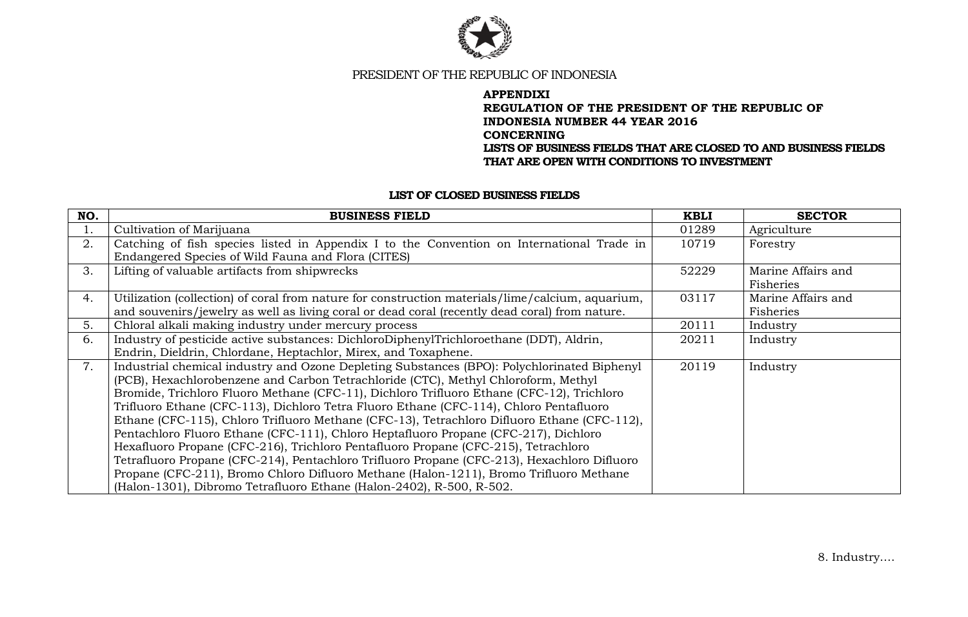

#### **APPENDIXI REGULATION OF THE PRESIDENT OF THE REPUBLIC OF INDONESIA NUMBER 44 YEAR 2016 CONCERNING LISTS OF BUSINESS FIELDS THAT ARE CLOSED TO AND BUSINESS FIELDS THAT ARE OPEN WITH CONDITIONS TO INVESTMENT**

#### **LIST OF CLOSED BUSINESS FIELDS**

| NO. | <b>BUSINESS FIELD</b>                                                                            | <b>KBLI</b> | <b>SECTOR</b>      |
|-----|--------------------------------------------------------------------------------------------------|-------------|--------------------|
| 1.  | Cultivation of Marijuana                                                                         | 01289       | Agriculture        |
| 2.  | Catching of fish species listed in Appendix I to the Convention on International Trade in        | 10719       | Forestry           |
|     | Endangered Species of Wild Fauna and Flora (CITES)                                               |             |                    |
| 3.  | Lifting of valuable artifacts from shipwrecks                                                    | 52229       | Marine Affairs and |
|     |                                                                                                  |             | Fisheries          |
| 4.  | Utilization (collection) of coral from nature for construction materials/lime/calcium, aquarium, | 03117       | Marine Affairs and |
|     | and souvenirs/jewelry as well as living coral or dead coral (recently dead coral) from nature.   |             | Fisheries          |
| 5.  | Chloral alkali making industry under mercury process                                             | 20111       | Industry           |
| 6.  | Industry of pesticide active substances: DichloroDiphenylTrichloroethane (DDT), Aldrin,          | 20211       | Industry           |
|     | Endrin, Dieldrin, Chlordane, Heptachlor, Mirex, and Toxaphene.                                   |             |                    |
| 7.  | Industrial chemical industry and Ozone Depleting Substances (BPO): Polychlorinated Biphenyl      | 20119       | Industry           |
|     | (PCB), Hexachlorobenzene and Carbon Tetrachloride (CTC), Methyl Chloroform, Methyl               |             |                    |
|     | Bromide, Trichloro Fluoro Methane (CFC-11), Dichloro Trifluoro Ethane (CFC-12), Trichloro        |             |                    |
|     | Trifluoro Ethane (CFC-113), Dichloro Tetra Fluoro Ethane (CFC-114), Chloro Pentafluoro           |             |                    |
|     | Ethane (CFC-115), Chloro Trifluoro Methane (CFC-13), Tetrachloro Difluoro Ethane (CFC-112),      |             |                    |
|     | Pentachloro Fluoro Ethane (CFC-111), Chloro Heptafluoro Propane (CFC-217), Dichloro              |             |                    |
|     | Hexafluoro Propane (CFC-216), Trichloro Pentafluoro Propane (CFC-215), Tetrachloro               |             |                    |
|     | Tetrafluoro Propane (CFC-214), Pentachloro Trifluoro Propane (CFC-213), Hexachloro Difluoro      |             |                    |
|     | Propane (CFC-211), Bromo Chloro Difluoro Methane (Halon-1211), Bromo Trifluoro Methane           |             |                    |
|     | (Halon-1301), Dibromo Tetrafluoro Ethane (Halon-2402), R-500, R-502.                             |             |                    |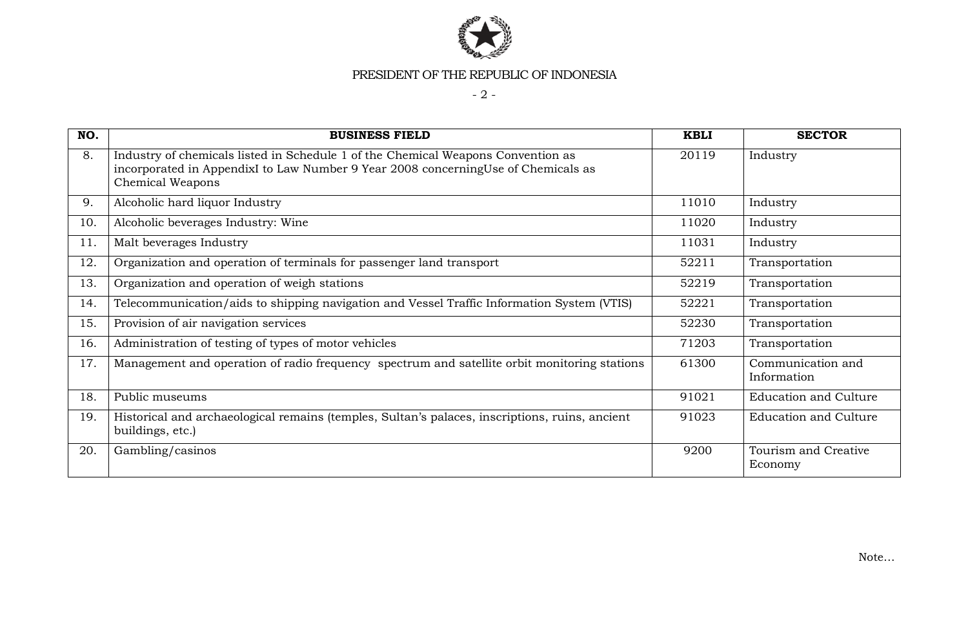

- 2 -

| NO. | <b>BUSINESS FIELD</b>                                                                                                                                                                            | <b>KBLI</b> | <b>SECTOR</b>                    |
|-----|--------------------------------------------------------------------------------------------------------------------------------------------------------------------------------------------------|-------------|----------------------------------|
| 8.  | Industry of chemicals listed in Schedule 1 of the Chemical Weapons Convention as<br>incorporated in AppendixI to Law Number 9 Year 2008 concerningUse of Chemicals as<br><b>Chemical Weapons</b> | 20119       | Industry                         |
| 9.  | Alcoholic hard liquor Industry                                                                                                                                                                   | 11010       | Industry                         |
| 10. | Alcoholic beverages Industry: Wine                                                                                                                                                               | 11020       | Industry                         |
| 11. | Malt beverages Industry                                                                                                                                                                          | 11031       | Industry                         |
| 12. | Organization and operation of terminals for passenger land transport                                                                                                                             | 52211       | Transportation                   |
| 13. | Organization and operation of weigh stations                                                                                                                                                     | 52219       | Transportation                   |
| 14. | Telecommunication/aids to shipping navigation and Vessel Traffic Information System (VTIS)                                                                                                       | 52221       | Transportation                   |
| 15. | Provision of air navigation services                                                                                                                                                             | 52230       | Transportation                   |
| 16. | Administration of testing of types of motor vehicles                                                                                                                                             | 71203       | Transportation                   |
| 17. | Management and operation of radio frequency spectrum and satellite orbit monitoring stations                                                                                                     | 61300       | Communication and<br>Information |
| 18. | Public museums                                                                                                                                                                                   | 91021       | <b>Education and Culture</b>     |
| 19. | Historical and archaeological remains (temples, Sultan's palaces, inscriptions, ruins, ancient<br>buildings, etc.)                                                                               | 91023       | <b>Education and Culture</b>     |
| 20. | Gambling/casinos                                                                                                                                                                                 | 9200        | Tourism and Creative<br>Economy  |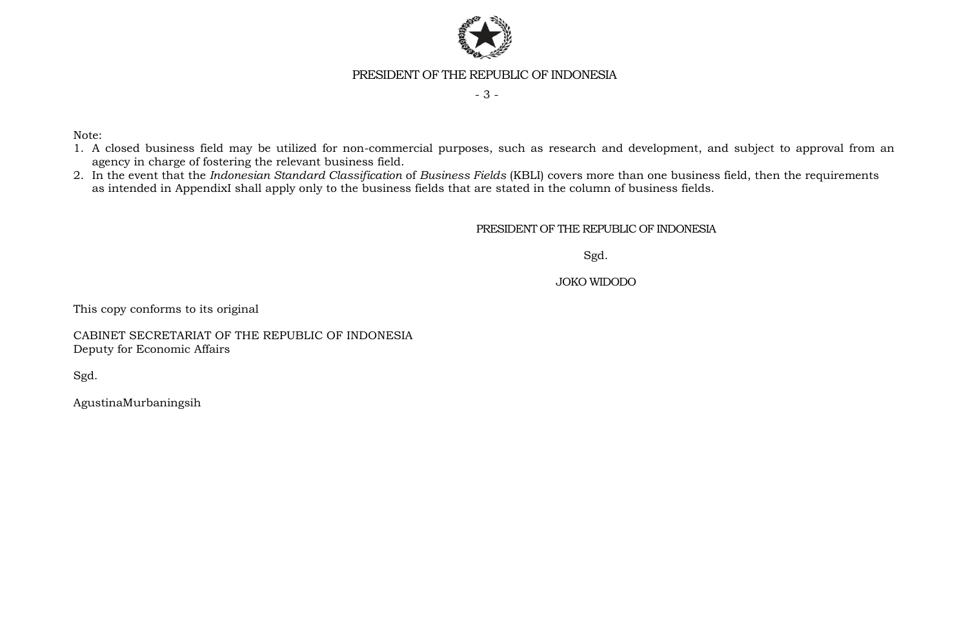

- 3 -

Note:

- 1. A closed business field may be utilized for non-commercial purposes, such as research and development, and subject to approval from an agency in charge of fostering the relevant business field.
- 2. In the event that the *Indonesian Standard Classification* of *Business Fields* (KBLI) covers more than one business field, then the requirements as intended in AppendixI shall apply only to the business fields that are stated in the column of business fields.

PRESIDENT OF THE REPUBLIC OF INDONESIA

Sgd.

JOKO WIDODO

This copy conforms to its original

CABINET SECRETARIAT OF THE REPUBLIC OF INDONESIA Deputy for Economic Affairs

Sgd.

AgustinaMurbaningsih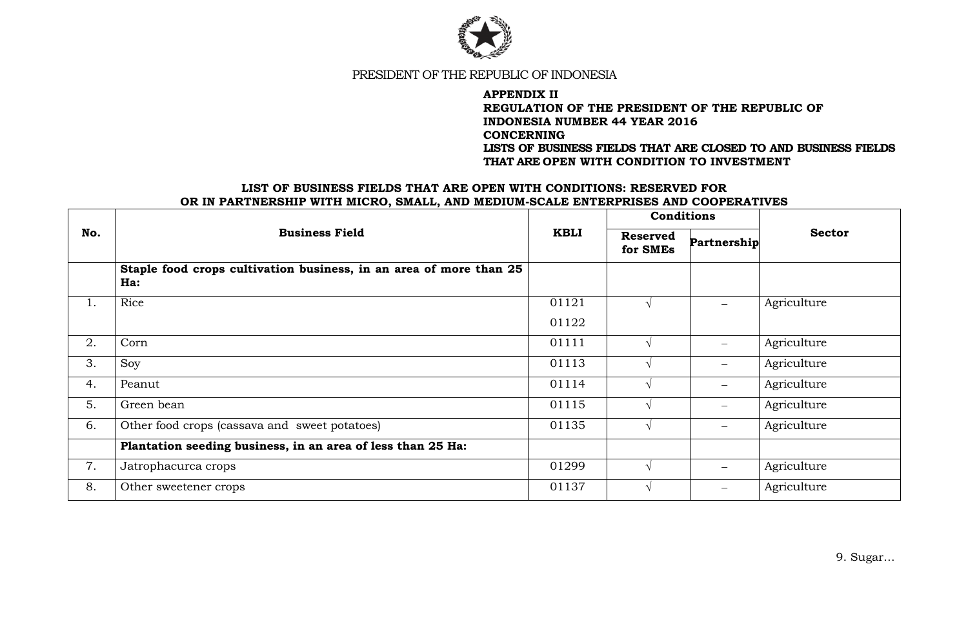

### **APPENDIX II REGULATION OF THE PRESIDENT OF THE REPUBLIC OF INDONESIA NUMBER 44 YEAR 2016 CONCERNING LISTS OF BUSINESS FIELDS THAT ARE CLOSED TO AND BUSINESS FIELDS THAT ARE OPEN WITH CONDITION TO INVESTMENT**

#### **LIST OF BUSINESS FIELDS THAT ARE OPEN WITH CONDITIONS: RESERVED FOR OR IN PARTNERSHIP WITH MICRO, SMALL, AND MEDIUM-SCALE ENTERPRISES AND COOPERATIVES**

|     | <b>Business Field</b>                                                     | <b>KBLI</b> | <b>Conditions</b>           |                          |               |
|-----|---------------------------------------------------------------------------|-------------|-----------------------------|--------------------------|---------------|
| No. |                                                                           |             | <b>Reserved</b><br>for SMEs | Partnership              | <b>Sector</b> |
|     | Staple food crops cultivation business, in an area of more than 25<br>Ha: |             |                             |                          |               |
| 1.  | Rice                                                                      | 01121       |                             |                          | Agriculture   |
|     |                                                                           | 01122       |                             |                          |               |
| 2.  | Corn                                                                      | 01111       |                             |                          | Agriculture   |
| 3.  | Soy                                                                       | 01113       |                             |                          | Agriculture   |
| 4.  | Peanut                                                                    | 01114       |                             | $\qquad \qquad -$        | Agriculture   |
| 5.  | Green bean                                                                | 01115       |                             |                          | Agriculture   |
| 6.  | Other food crops (cassava and sweet potatoes)                             | 01135       |                             |                          | Agriculture   |
|     | Plantation seeding business, in an area of less than 25 Ha:               |             |                             |                          |               |
| 7.  | Jatrophacurca crops                                                       | 01299       |                             | $\overline{\phantom{0}}$ | Agriculture   |
| 8.  | Other sweetener crops                                                     | 01137       |                             |                          | Agriculture   |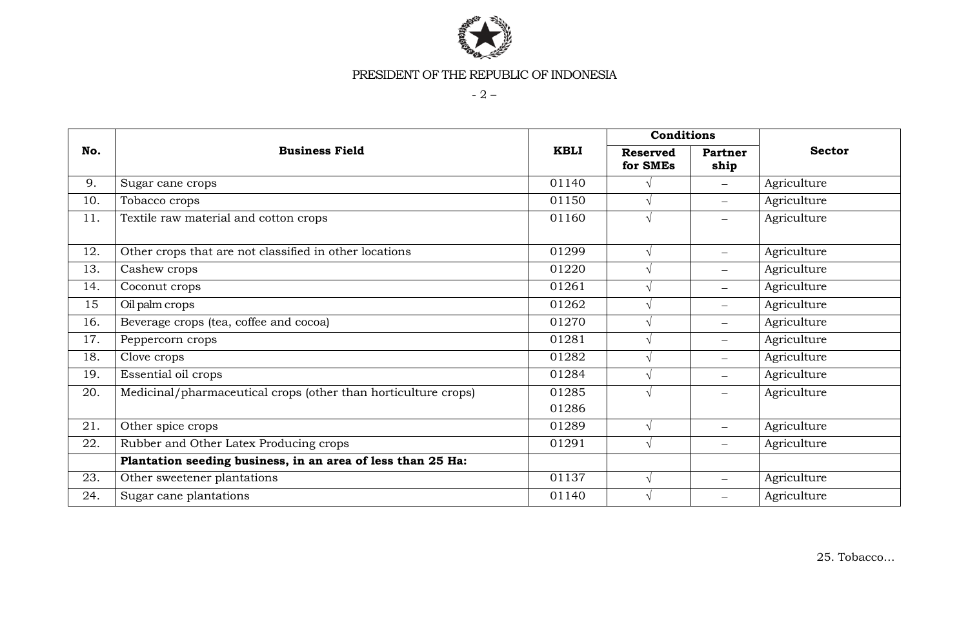

- 2 –

|     | <b>Business Field</b>                                          |             | Conditions                  |                          |               |
|-----|----------------------------------------------------------------|-------------|-----------------------------|--------------------------|---------------|
| No. |                                                                | <b>KBLI</b> | <b>Reserved</b><br>for SMEs | Partner<br>ship          | <b>Sector</b> |
| 9.  | Sugar cane crops                                               | 01140       |                             | $\overline{\phantom{0}}$ | Agriculture   |
| 10. | Tobacco crops                                                  | 01150       | $\sqrt{ }$                  | $-$                      | Agriculture   |
| 11. | Textile raw material and cotton crops                          | 01160       | $\sqrt{ }$                  |                          | Agriculture   |
| 12. | Other crops that are not classified in other locations         | 01299       | $\sqrt{ }$                  | $-$                      | Agriculture   |
| 13. | Cashew crops                                                   | 01220       | $\sqrt{ }$                  | $-$                      | Agriculture   |
| 14. | Coconut crops                                                  | 01261       | $\sqrt{ }$                  | $\overline{\phantom{0}}$ | Agriculture   |
| 15  | Oil palm crops                                                 | 01262       |                             | $\overline{\phantom{0}}$ | Agriculture   |
| 16. | Beverage crops (tea, coffee and cocoa)                         | 01270       | $\sqrt{ }$                  | $-$                      | Agriculture   |
| 17. | Peppercorn crops                                               | 01281       | $\sqrt{ }$                  | $-$                      | Agriculture   |
| 18. | Clove crops                                                    | 01282       | $\sqrt{ }$                  | $-$                      | Agriculture   |
| 19. | Essential oil crops                                            | 01284       | $\sqrt{ }$                  |                          | Agriculture   |
| 20. | Medicinal/pharmaceutical crops (other than horticulture crops) | 01285       | $\sqrt{ }$                  | $-$                      | Agriculture   |
|     |                                                                | 01286       |                             |                          |               |
| 21. | Other spice crops                                              | 01289       | $\sqrt{}$                   |                          | Agriculture   |
| 22. | Rubber and Other Latex Producing crops                         | 01291       | $\sqrt{ }$                  | $-$                      | Agriculture   |
|     | Plantation seeding business, in an area of less than 25 Ha:    |             |                             |                          |               |
| 23. | Other sweetener plantations                                    | 01137       | $\sqrt{ }$                  | $-$                      | Agriculture   |
| 24. | Sugar cane plantations                                         | 01140       | $\sqrt{ }$                  |                          | Agriculture   |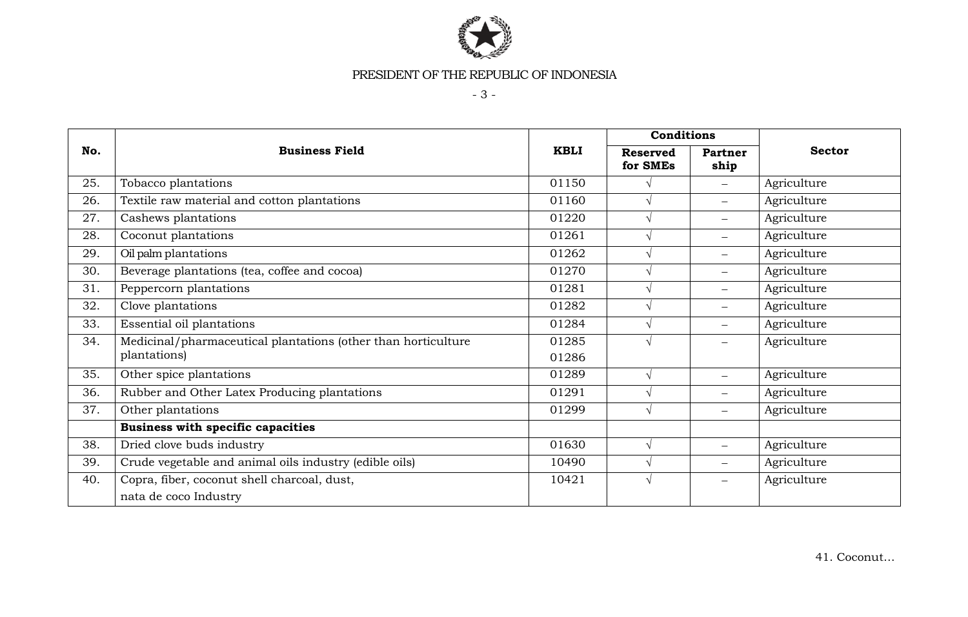

- 3 -

|     | <b>Business Field</b>                                         |             | Conditions                  |                          |               |
|-----|---------------------------------------------------------------|-------------|-----------------------------|--------------------------|---------------|
| No. |                                                               | <b>KBLI</b> | <b>Reserved</b><br>for SMEs | Partner<br>ship          | <b>Sector</b> |
| 25. | Tobacco plantations                                           | 01150       |                             | $\qquad \qquad -$        | Agriculture   |
| 26. | Textile raw material and cotton plantations                   | 01160       | $\sqrt{ }$                  | $\qquad \qquad -$        | Agriculture   |
| 27. | Cashews plantations                                           | 01220       | $\sqrt{ }$                  | $\qquad \qquad -$        | Agriculture   |
| 28. | Coconut plantations                                           | 01261       | $\sqrt{ }$                  | $-$                      | Agriculture   |
| 29. | Oil palm plantations                                          | 01262       | $\sqrt{ }$                  |                          | Agriculture   |
| 30. | Beverage plantations (tea, coffee and cocoa)                  | 01270       | $\sqrt{ }$                  | $\overline{\phantom{0}}$ | Agriculture   |
| 31. | Peppercorn plantations                                        | 01281       | $\sqrt{ }$                  | $\qquad \qquad -$        | Agriculture   |
| 32. | Clove plantations                                             | 01282       | $\sqrt{ }$                  | $-$                      | Agriculture   |
| 33. | Essential oil plantations                                     | 01284       | $\sqrt{ }$                  |                          | Agriculture   |
| 34. | Medicinal/pharmaceutical plantations (other than horticulture | 01285       | $\sqrt{ }$                  | $-$                      | Agriculture   |
|     | plantations)                                                  | 01286       |                             |                          |               |
| 35. | Other spice plantations                                       | 01289       | $\sqrt{ }$                  | $\qquad \qquad -$        | Agriculture   |
| 36. | Rubber and Other Latex Producing plantations                  | 01291       | $\sqrt{ }$                  | $\qquad \qquad -$        | Agriculture   |
| 37. | Other plantations                                             | 01299       | $\sqrt{ }$                  | $\qquad \qquad -$        | Agriculture   |
|     | Business with specific capacities                             |             |                             |                          |               |
| 38. | Dried clove buds industry                                     | 01630       | $\sqrt{ }$                  | $\qquad \qquad -$        | Agriculture   |
| 39. | Crude vegetable and animal oils industry (edible oils)        | 10490       | $\sqrt{ }$                  | $\qquad \qquad -$        | Agriculture   |
| 40. | Copra, fiber, coconut shell charcoal, dust,                   | 10421       | $\sqrt{ }$                  |                          | Agriculture   |
|     | nata de coco Industry                                         |             |                             |                          |               |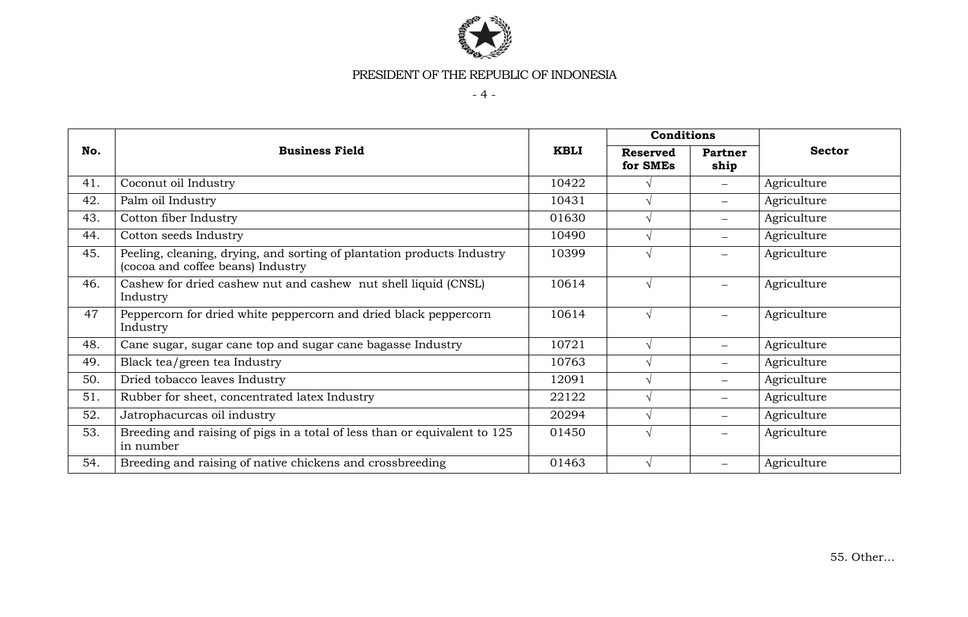

 $-4 -$ 

|     | <b>Business Field</b>                                                                                       |             | Conditions                  |                   |               |
|-----|-------------------------------------------------------------------------------------------------------------|-------------|-----------------------------|-------------------|---------------|
| No. |                                                                                                             | <b>KBLI</b> | <b>Reserved</b><br>for SMEs | Partner<br>ship   | <b>Sector</b> |
| 41. | Coconut oil Industry                                                                                        | 10422       |                             |                   | Agriculture   |
| 42. | Palm oil Industry                                                                                           | 10431       |                             |                   | Agriculture   |
| 43. | Cotton fiber Industry                                                                                       | 01630       |                             | $\qquad \qquad -$ | Agriculture   |
| 44. | Cotton seeds Industry                                                                                       | 10490       |                             | $-$               | Agriculture   |
| 45. | Peeling, cleaning, drying, and sorting of plantation products Industry<br>(cocoa and coffee beans) Industry | 10399       |                             |                   | Agriculture   |
| 46. | Cashew for dried cashew nut and cashew nut shell liquid (CNSL)<br>Industry                                  | 10614       |                             |                   | Agriculture   |
| 47  | Peppercorn for dried white peppercorn and dried black peppercorn<br>Industry                                | 10614       |                             |                   | Agriculture   |
| 48. | Cane sugar, sugar cane top and sugar cane bagasse Industry                                                  | 10721       |                             |                   | Agriculture   |
| 49. | Black tea/green tea Industry                                                                                | 10763       |                             |                   | Agriculture   |
| 50. | Dried tobacco leaves Industry                                                                               | 12091       |                             |                   | Agriculture   |
| 51. | Rubber for sheet, concentrated latex Industry                                                               | 22122       |                             | $-$               | Agriculture   |
| 52. | Jatrophacurcas oil industry                                                                                 | 20294       |                             | $-$               | Agriculture   |
| 53. | Breeding and raising of pigs in a total of less than or equivalent to 125<br>in number                      | 01450       |                             |                   | Agriculture   |
| 54. | Breeding and raising of native chickens and crossbreeding                                                   | 01463       |                             |                   | Agriculture   |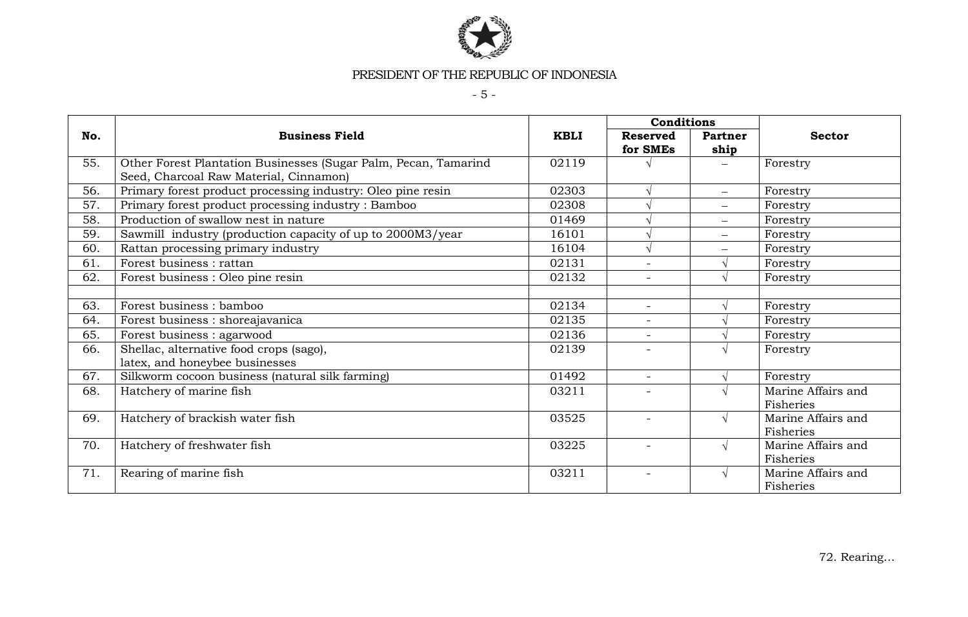

- 5 -

|     |                                                                                                           |             | Conditions                  |                          |                                 |
|-----|-----------------------------------------------------------------------------------------------------------|-------------|-----------------------------|--------------------------|---------------------------------|
| No. | <b>Business Field</b>                                                                                     | <b>KBLI</b> | <b>Reserved</b><br>for SMEs | Partner<br>ship          | <b>Sector</b>                   |
| 55. | Other Forest Plantation Businesses (Sugar Palm, Pecan, Tamarind<br>Seed, Charcoal Raw Material, Cinnamon) | 02119       |                             |                          | Forestry                        |
| 56. | Primary forest product processing industry: Oleo pine resin                                               | 02303       |                             | $\qquad \qquad -$        | Forestry                        |
| 57. | Primary forest product processing industry: Bamboo                                                        | 02308       |                             |                          | Forestry                        |
| 58. | Production of swallow nest in nature                                                                      | 01469       |                             | $\overline{\phantom{m}}$ | Forestry                        |
| 59. | Sawmill industry (production capacity of up to 2000M3/year                                                | 16101       |                             | $\overline{\phantom{0}}$ | Forestry                        |
| 60. | Rattan processing primary industry                                                                        | 16104       |                             |                          | Forestry                        |
| 61. | Forest business : rattan                                                                                  | 02131       | $\sim$                      |                          | Forestry                        |
| 62. | Forest business : Oleo pine resin                                                                         | 02132       | $\overline{\phantom{a}}$    |                          | Forestry                        |
|     |                                                                                                           |             |                             |                          |                                 |
| 63. | Forest business : bamboo                                                                                  | 02134       | $\equiv$                    |                          | Forestry                        |
| 64. | Forest business : shoreajavanica                                                                          | 02135       | $\overline{\phantom{a}}$    |                          | Forestry                        |
| 65. | Forest business : agarwood                                                                                | 02136       | $\sim$                      |                          | Forestry                        |
| 66. | Shellac, alternative food crops (sago),<br>latex, and honeybee businesses                                 | 02139       | $\overline{\phantom{a}}$    | $\mathcal{N}$            | Forestry                        |
| 67. | Silkworm cocoon business (natural silk farming)                                                           | 01492       | $\equiv$                    |                          | Forestry                        |
| 68. | Hatchery of marine fish                                                                                   | 03211       | $\overline{\phantom{0}}$    | $\mathbf \Lambda$        | Marine Affairs and<br>Fisheries |
| 69. | Hatchery of brackish water fish                                                                           | 03525       | $\equiv$                    | $\sqrt{ }$               | Marine Affairs and<br>Fisheries |
| 70. | Hatchery of freshwater fish                                                                               | 03225       | $\overline{\phantom{a}}$    | $\sqrt{ }$               | Marine Affairs and<br>Fisheries |
| 71. | Rearing of marine fish                                                                                    | 03211       | $\overline{\phantom{a}}$    | $\sqrt{ }$               | Marine Affairs and<br>Fisheries |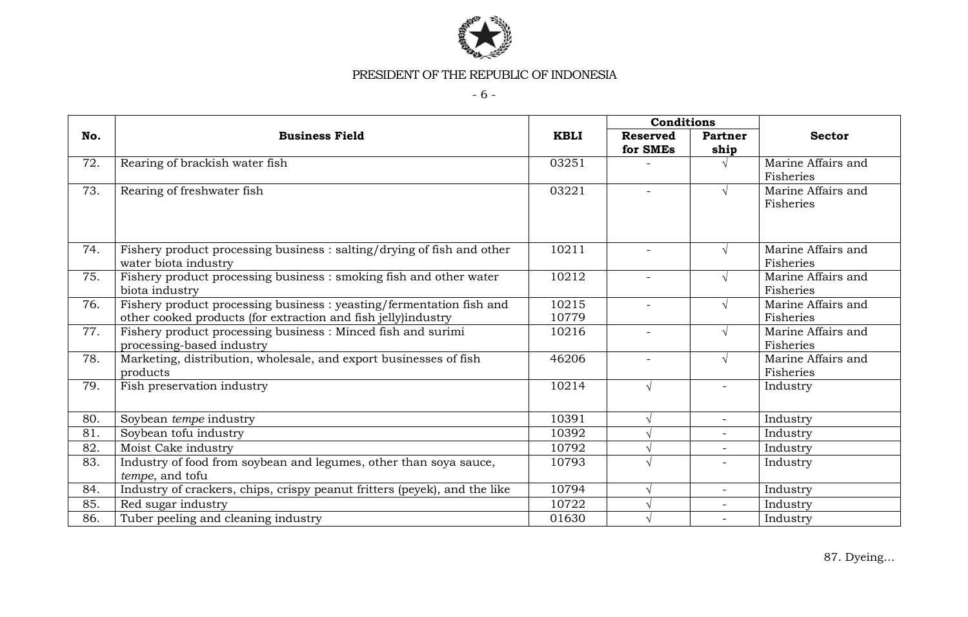

- 6 -

|     |                                                                                                                                       | Conditions     |                             |                          |                                 |  |
|-----|---------------------------------------------------------------------------------------------------------------------------------------|----------------|-----------------------------|--------------------------|---------------------------------|--|
| No. | <b>Business Field</b>                                                                                                                 | <b>KBLI</b>    | <b>Reserved</b><br>for SMEs | Partner<br>ship          | <b>Sector</b>                   |  |
| 72. | Rearing of brackish water fish                                                                                                        | 03251          |                             |                          | Marine Affairs and<br>Fisheries |  |
| 73. | Rearing of freshwater fish                                                                                                            | 03221          |                             |                          | Marine Affairs and<br>Fisheries |  |
| 74. | Fishery product processing business : salting/drying of fish and other<br>water biota industry                                        | 10211          | $\equiv$                    | $\mathcal{L}$            | Marine Affairs and<br>Fisheries |  |
| 75. | Fishery product processing business : smoking fish and other water<br>biota industry                                                  | 10212          | $\equiv$                    | $\mathcal{A}$            | Marine Affairs and<br>Fisheries |  |
| 76. | Fishery product processing business : yeasting/fermentation fish and<br>other cooked products (for extraction and fish jelly)industry | 10215<br>10779 | $\overline{\phantom{a}}$    |                          | Marine Affairs and<br>Fisheries |  |
| 77. | Fishery product processing business : Minced fish and surimi<br>processing-based industry                                             | 10216          | $\overline{\phantom{0}}$    |                          | Marine Affairs and<br>Fisheries |  |
| 78. | Marketing, distribution, wholesale, and export businesses of fish<br>products                                                         | 46206          | $\overline{\phantom{0}}$    |                          | Marine Affairs and<br>Fisheries |  |
| 79. | Fish preservation industry                                                                                                            | 10214          | $\sqrt{}$                   |                          | Industry                        |  |
| 80. | Soybean tempe industry                                                                                                                | 10391          | V                           | $\overline{\phantom{0}}$ | Industry                        |  |
| 81. | Soybean tofu industry                                                                                                                 | 10392          |                             |                          | Industry                        |  |
| 82. | Moist Cake industry                                                                                                                   | 10792          |                             | $\overline{\phantom{0}}$ | Industry                        |  |
| 83. | Industry of food from soybean and legumes, other than soya sauce,<br>tempe, and tofu                                                  | 10793          |                             |                          | Industry                        |  |
| 84. | Industry of crackers, chips, crispy peanut fritters (peyek), and the like                                                             | 10794          |                             |                          | Industry                        |  |
| 85. | Red sugar industry                                                                                                                    | 10722          |                             | $\overline{\phantom{0}}$ | Industry                        |  |
| 86. | Tuber peeling and cleaning industry                                                                                                   | 01630          |                             |                          | Industry                        |  |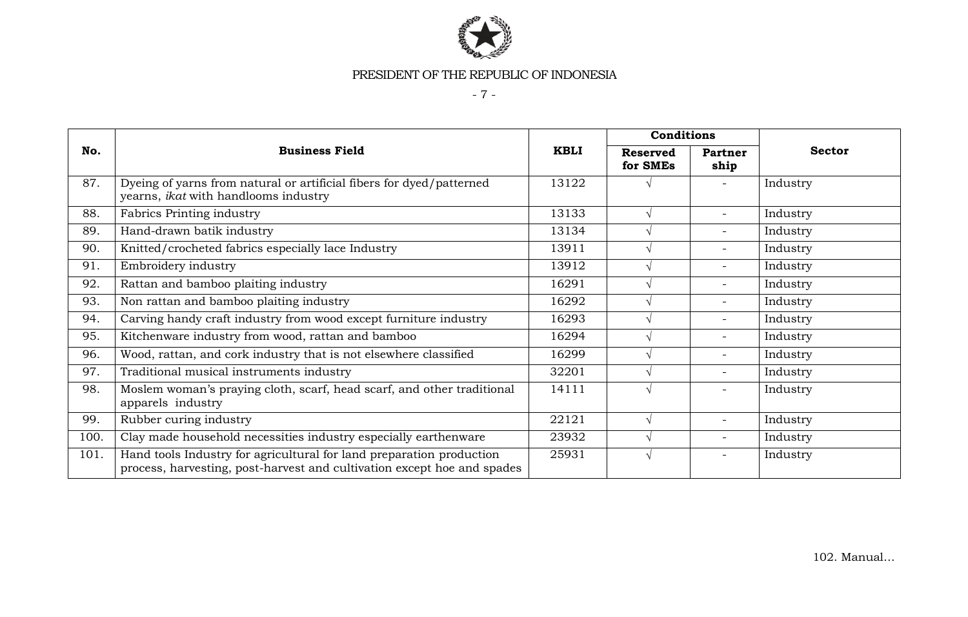

- 7 -

|      |                                                                                                                                                 |             | <b>Conditions</b>           |                          |               |  |
|------|-------------------------------------------------------------------------------------------------------------------------------------------------|-------------|-----------------------------|--------------------------|---------------|--|
| No.  | <b>Business Field</b>                                                                                                                           | <b>KBLI</b> | <b>Reserved</b><br>for SMEs | <b>Partner</b><br>ship   | <b>Sector</b> |  |
| 87.  | Dyeing of yarns from natural or artificial fibers for dyed/patterned<br>yearns, ikat with handlooms industry                                    | 13122       |                             |                          | Industry      |  |
| 88.  | Fabrics Printing industry                                                                                                                       | 13133       | $\sqrt{ }$                  | $\overline{\phantom{0}}$ | Industry      |  |
| 89.  | Hand-drawn batik industry                                                                                                                       | 13134       | $\sqrt{ }$                  | $\overline{\phantom{0}}$ | Industry      |  |
| 90.  | Knitted/crocheted fabrics especially lace Industry                                                                                              | 13911       | $\sqrt{ }$                  |                          | Industry      |  |
| 91.  | Embroidery industry                                                                                                                             | 13912       | $\sqrt{ }$                  | $\overline{\phantom{0}}$ | Industry      |  |
| 92.  | Rattan and bamboo plaiting industry                                                                                                             | 16291       | $\sqrt{ }$                  | $\overline{\phantom{0}}$ | Industry      |  |
| 93.  | Non rattan and bamboo plaiting industry                                                                                                         | 16292       |                             | $\overline{\phantom{0}}$ | Industry      |  |
| 94.  | Carving handy craft industry from wood except furniture industry                                                                                | 16293       | $\sqrt{ }$                  |                          | Industry      |  |
| 95.  | Kitchenware industry from wood, rattan and bamboo                                                                                               | 16294       | $\sqrt{ }$                  | $\overline{\phantom{0}}$ | Industry      |  |
| 96.  | Wood, rattan, and cork industry that is not elsewhere classified                                                                                | 16299       | $\sqrt{ }$                  | $\overline{a}$           | Industry      |  |
| 97.  | Traditional musical instruments industry                                                                                                        | 32201       | $\sqrt{ }$                  | $\overline{\phantom{0}}$ | Industry      |  |
| 98.  | Moslem woman's praying cloth, scarf, head scarf, and other traditional<br>apparels industry                                                     | 14111       | V                           |                          | Industry      |  |
| 99.  | Rubber curing industry                                                                                                                          | 22121       | $\sqrt{ }$                  | $\overline{\phantom{0}}$ | Industry      |  |
| 100. | Clay made household necessities industry especially earthenware                                                                                 | 23932       | $\sqrt{ }$                  | $\overline{\phantom{0}}$ | Industry      |  |
| 101. | Hand tools Industry for agricultural for land preparation production<br>process, harvesting, post-harvest and cultivation except hoe and spades | 25931       | $\sqrt{ }$                  |                          | Industry      |  |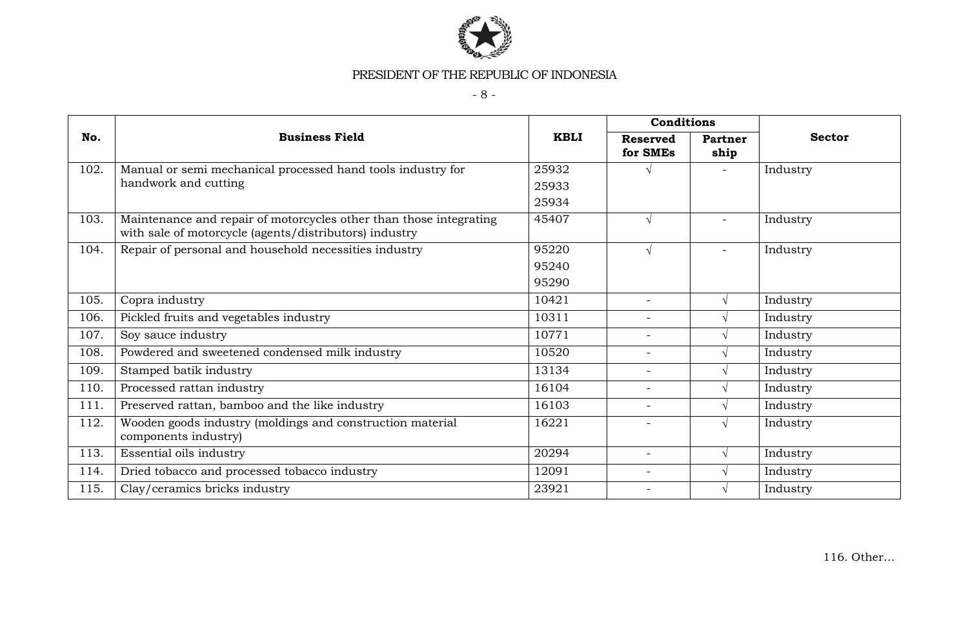

- 8 -

|      |                                                                                                                              |             | Conditions                  |                          |               |
|------|------------------------------------------------------------------------------------------------------------------------------|-------------|-----------------------------|--------------------------|---------------|
| No.  | <b>Business Field</b>                                                                                                        | <b>KBLI</b> | <b>Reserved</b><br>for SMEs | Partner<br>ship          | <b>Sector</b> |
| 102. | Manual or semi mechanical processed hand tools industry for                                                                  | 25932       |                             | $\overline{\phantom{0}}$ | Industry      |
|      | handwork and cutting                                                                                                         | 25933       |                             |                          |               |
|      |                                                                                                                              | 25934       |                             |                          |               |
| 103. | Maintenance and repair of motorcycles other than those integrating<br>with sale of motorcycle (agents/distributors) industry | 45407       | $\sqrt{}$                   | $\overline{\phantom{0}}$ | Industry      |
| 104. | Repair of personal and household necessities industry                                                                        | 95220       | $\sqrt{}$                   | $\overline{\phantom{0}}$ | Industry      |
|      |                                                                                                                              | 95240       |                             |                          |               |
|      |                                                                                                                              | 95290       |                             |                          |               |
| 105. | Copra industry                                                                                                               | 10421       | $\overline{\phantom{a}}$    |                          | Industry      |
| 106. | Pickled fruits and vegetables industry                                                                                       | 10311       | $\overline{\phantom{a}}$    |                          | Industry      |
| 107. | Soy sauce industry                                                                                                           | 10771       | $\overline{\phantom{a}}$    |                          | Industry      |
| 108. | Powdered and sweetened condensed milk industry                                                                               | 10520       | $\overline{\phantom{a}}$    |                          | Industry      |
| 109. | Stamped batik industry                                                                                                       | 13134       | $\overline{\phantom{a}}$    |                          | Industry      |
| 110. | Processed rattan industry                                                                                                    | 16104       | $\overline{\phantom{a}}$    |                          | Industry      |
| 111. | Preserved rattan, bamboo and the like industry                                                                               | 16103       | $\overline{\phantom{a}}$    |                          | Industry      |
| 112. | Wooden goods industry (moldings and construction material<br>components industry)                                            | 16221       |                             |                          | Industry      |
| 113. | Essential oils industry                                                                                                      | 20294       | $\overline{\phantom{a}}$    |                          | Industry      |
| 114. | Dried tobacco and processed tobacco industry                                                                                 | 12091       | $\overline{\phantom{a}}$    |                          | Industry      |
| 115. | Clay/ceramics bricks industry                                                                                                | 23921       | $\overline{\phantom{a}}$    |                          | Industry      |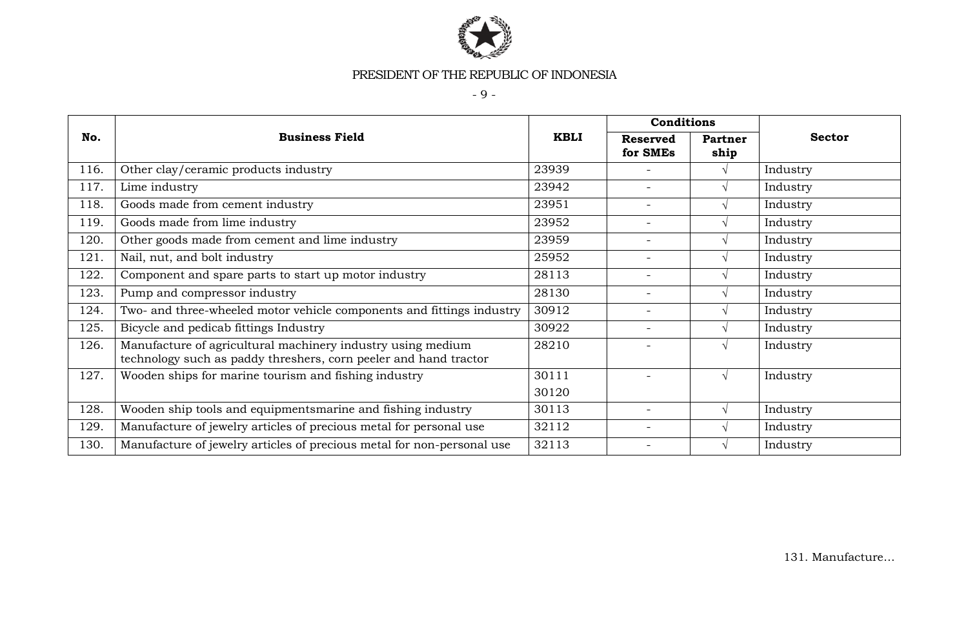

- 9 -

|      |                                                                                                                                 |             | <b>Conditions</b>           |                        |               |
|------|---------------------------------------------------------------------------------------------------------------------------------|-------------|-----------------------------|------------------------|---------------|
| No.  | <b>Business Field</b>                                                                                                           | <b>KBLI</b> | <b>Reserved</b><br>for SMEs | <b>Partner</b><br>ship | <b>Sector</b> |
| 116. | Other clay/ceramic products industry                                                                                            | 23939       | $\overline{\phantom{0}}$    | $\sqrt{ }$             | Industry      |
| 117. | Lime industry                                                                                                                   | 23942       | $\overline{\phantom{0}}$    | $\mathcal{N}$          | Industry      |
| 118. | Goods made from cement industry                                                                                                 | 23951       | $\overline{\phantom{0}}$    | $\sqrt{ }$             | Industry      |
| 119. | Goods made from lime industry                                                                                                   | 23952       | $\overline{\phantom{0}}$    | $\sqrt{ }$             | Industry      |
| 120. | Other goods made from cement and lime industry                                                                                  | 23959       | $\overline{\phantom{0}}$    | N                      | Industry      |
| 121. | Nail, nut, and bolt industry                                                                                                    | 25952       | Ξ.                          |                        | Industry      |
| 122. | Component and spare parts to start up motor industry                                                                            | 28113       | $\overline{\phantom{0}}$    | $\sqrt{ }$             | Industry      |
| 123. | Pump and compressor industry                                                                                                    | 28130       | $\overline{\phantom{0}}$    |                        | Industry      |
| 124. | Two- and three-wheeled motor vehicle components and fittings industry                                                           | 30912       | $\overline{\phantom{0}}$    |                        | Industry      |
| 125. | Bicycle and pedicab fittings Industry                                                                                           | 30922       | $\overline{\phantom{0}}$    |                        | Industry      |
| 126. | Manufacture of agricultural machinery industry using medium<br>technology such as paddy threshers, corn peeler and hand tractor | 28210       |                             | $\Delta$               | Industry      |
| 127. | Wooden ships for marine tourism and fishing industry                                                                            | 30111       |                             | $\sqrt{ }$             | Industry      |
|      |                                                                                                                                 | 30120       |                             |                        |               |
| 128. | Wooden ship tools and equipmentsmarine and fishing industry                                                                     | 30113       | $\overline{\phantom{0}}$    | $\mathcal{N}$          | Industry      |
| 129. | Manufacture of jewelry articles of precious metal for personal use                                                              | 32112       | $\overline{\phantom{0}}$    |                        | Industry      |
| 130. | Manufacture of jewelry articles of precious metal for non-personal use                                                          | 32113       |                             |                        | Industry      |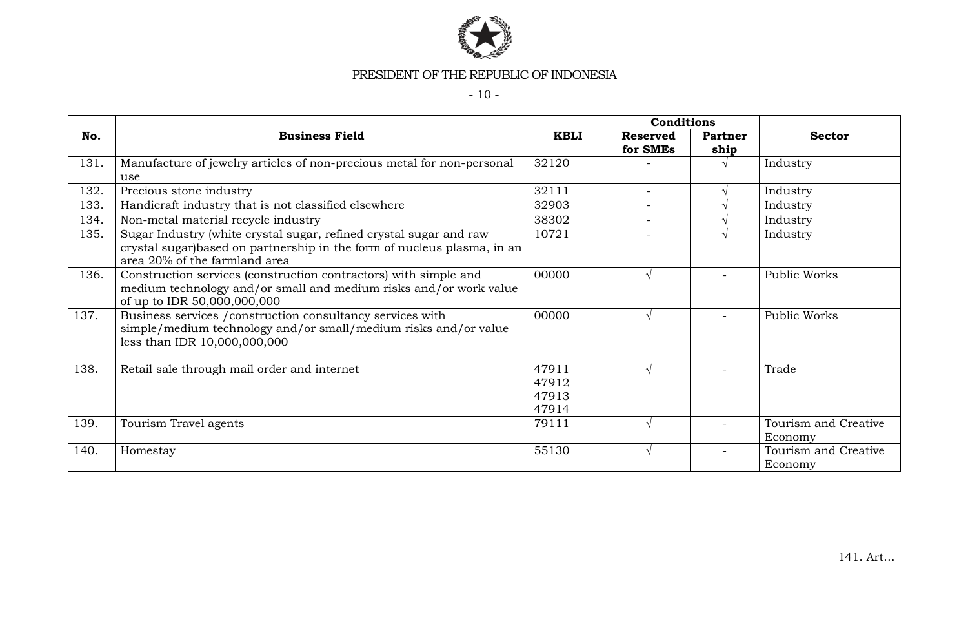

- 10 -

|      |                                                                                                                                                                                 |                                  | Conditions                  |                        |                                 |
|------|---------------------------------------------------------------------------------------------------------------------------------------------------------------------------------|----------------------------------|-----------------------------|------------------------|---------------------------------|
| No.  | <b>Business Field</b>                                                                                                                                                           | <b>KBLI</b>                      | <b>Reserved</b><br>for SMEs | <b>Partner</b><br>ship | <b>Sector</b>                   |
| 131. | Manufacture of jewelry articles of non-precious metal for non-personal<br>use                                                                                                   | 32120                            |                             |                        | Industry                        |
| 132. | Precious stone industry                                                                                                                                                         | 32111                            | $\equiv$                    |                        | Industry                        |
| 133. | Handicraft industry that is not classified elsewhere                                                                                                                            | 32903                            |                             |                        | Industry                        |
| 134. | Non-metal material recycle industry                                                                                                                                             | 38302                            | $\overline{\phantom{a}}$    |                        | Industry                        |
| 135. | Sugar Industry (white crystal sugar, refined crystal sugar and raw<br>crystal sugar) based on partnership in the form of nucleus plasma, in an<br>area 20% of the farmland area | 10721                            |                             |                        | Industry                        |
| 136. | Construction services (construction contractors) with simple and<br>medium technology and/or small and medium risks and/or work value<br>of up to IDR 50,000,000,000            | 00000                            |                             |                        | Public Works                    |
| 137. | Business services / construction consultancy services with<br>simple/medium technology and/or small/medium risks and/or value<br>less than IDR 10,000,000,000                   | 00000                            |                             |                        | Public Works                    |
| 138. | Retail sale through mail order and internet                                                                                                                                     | 47911<br>47912<br>47913<br>47914 |                             |                        | Trade                           |
| 139. | Tourism Travel agents                                                                                                                                                           | 79111                            |                             |                        | Tourism and Creative<br>Economy |
| 140. | Homestay                                                                                                                                                                        | 55130                            |                             |                        | Tourism and Creative<br>Economy |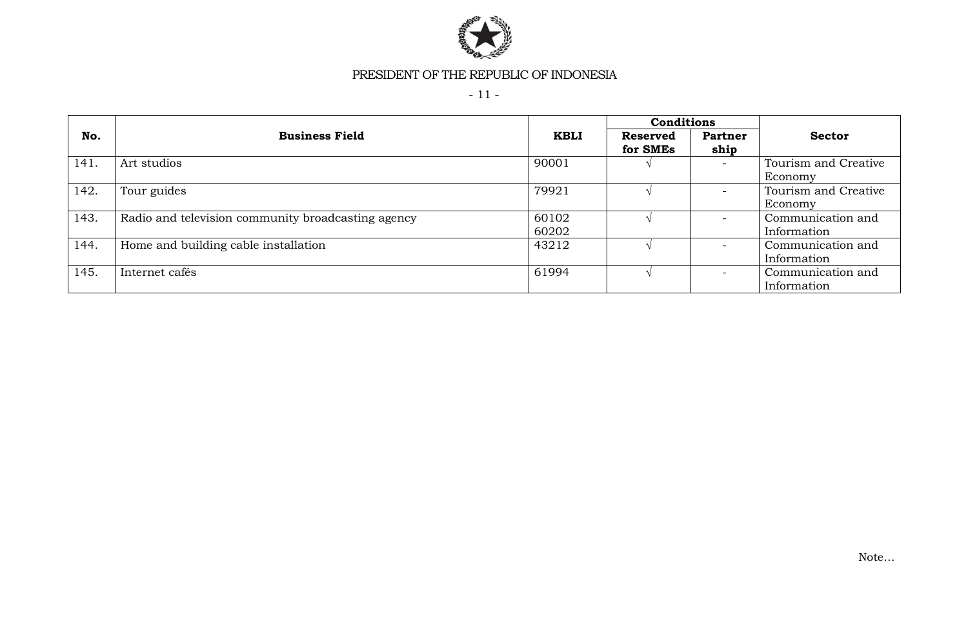

- 11 -

|      |                                                    |                | Conditions           |                        |                                  |
|------|----------------------------------------------------|----------------|----------------------|------------------------|----------------------------------|
| No.  | <b>Business Field</b>                              | <b>KBLI</b>    | Reserved<br>for SMEs | <b>Partner</b><br>ship | <b>Sector</b>                    |
| 141. | Art studios                                        | 90001          |                      |                        | Tourism and Creative<br>Economy  |
| 142. | Tour guides                                        | 79921          |                      |                        | Tourism and Creative<br>Economy  |
| 143. | Radio and television community broadcasting agency | 60102<br>60202 |                      |                        | Communication and<br>Information |
| 144. | Home and building cable installation               | 43212          |                      |                        | Communication and<br>Information |
| 145. | Internet cafés                                     | 61994          |                      |                        | Communication and<br>Information |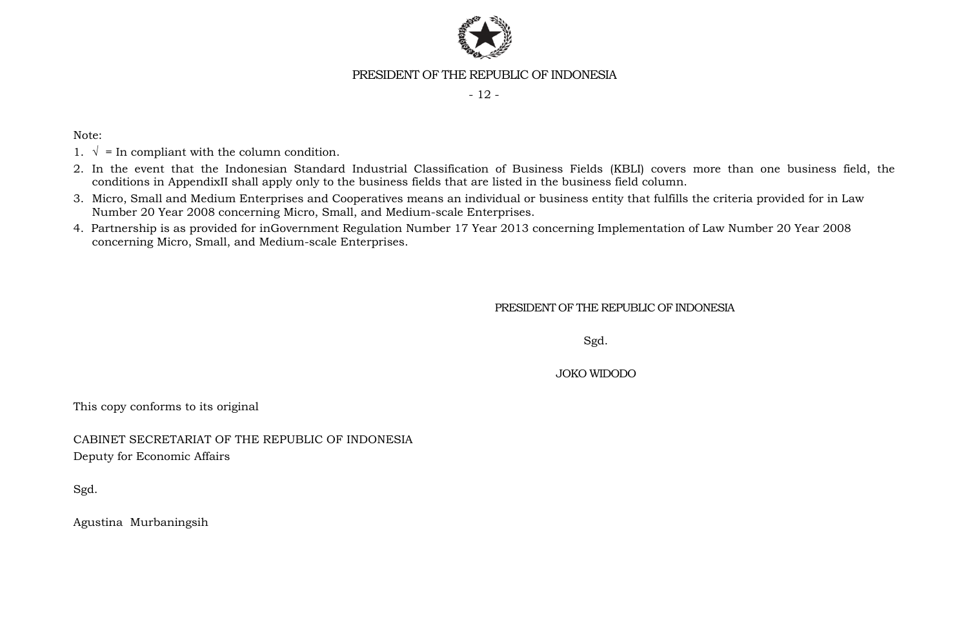

- 12 -

Note:

- 1.  $\sqrt{\ }$  = In compliant with the column condition.
- 2. In the event that the Indonesian Standard Industrial Classification of Business Fields (KBLI) covers more than one business field, the conditions in AppendixII shall apply only to the business fields that are listed in the business field column.
- 3. Micro, Small and Medium Enterprises and Cooperatives means an individual or business entity that fulfills the criteria provided for in Law Number 20 Year 2008 concerning Micro, Small, and Medium-scale Enterprises.
- 4. Partnership is as provided for inGovernment Regulation Number 17 Year 2013 concerning Implementation of Law Number 20 Year 2008 concerning Micro, Small, and Medium-scale Enterprises.

PRESIDENT OF THE REPUBLIC OF INDONESIA

Sgd.

JOKO WIDODO

This copy conforms to its original

CABINET SECRETARIAT OF THE REPUBLIC OF INDONESIA Deputy for Economic Affairs

Sgd.

Agustina Murbaningsih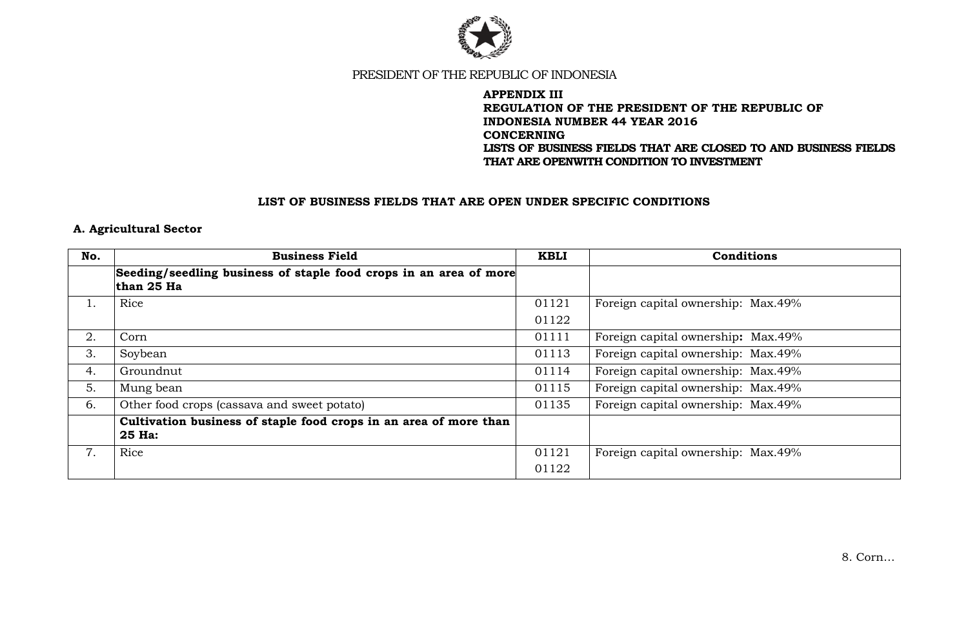

### **APPENDIX III REGULATION OF THE PRESIDENT OF THE REPUBLIC OF INDONESIA NUMBER 44 YEAR 2016 CONCERNING LISTS OF BUSINESS FIELDS THAT ARE CLOSED TO AND BUSINESS FIELDS THAT ARE OPENWITH CONDITION TO INVESTMENT**

#### **LIST OF BUSINESS FIELDS THAT ARE OPEN UNDER SPECIFIC CONDITIONS**

### **A. Agricultural Sector**

| No.       | <b>Business Field</b>                                                           | <b>KBLI</b> | <b>Conditions</b>                  |
|-----------|---------------------------------------------------------------------------------|-------------|------------------------------------|
|           | Seeding/seedling business of staple food crops in an area of more<br>than 25 Ha |             |                                    |
| $\perp$ . | Rice                                                                            | 01121       | Foreign capital ownership: Max.49% |
|           |                                                                                 | 01122       |                                    |
| 2.        | Corn                                                                            | 01111       | Foreign capital ownership: Max.49% |
| 3.        | Soybean                                                                         | 01113       | Foreign capital ownership: Max.49% |
| 4.        | Groundnut                                                                       | 01114       | Foreign capital ownership: Max.49% |
| 5.        | Mung bean                                                                       | 01115       | Foreign capital ownership: Max.49% |
| 6.        | Other food crops (cassava and sweet potato)                                     | 01135       | Foreign capital ownership: Max.49% |
|           | Cultivation business of staple food crops in an area of more than<br>25 Ha:     |             |                                    |
| 7.        | Rice                                                                            | 01121       | Foreign capital ownership: Max.49% |
|           |                                                                                 | 01122       |                                    |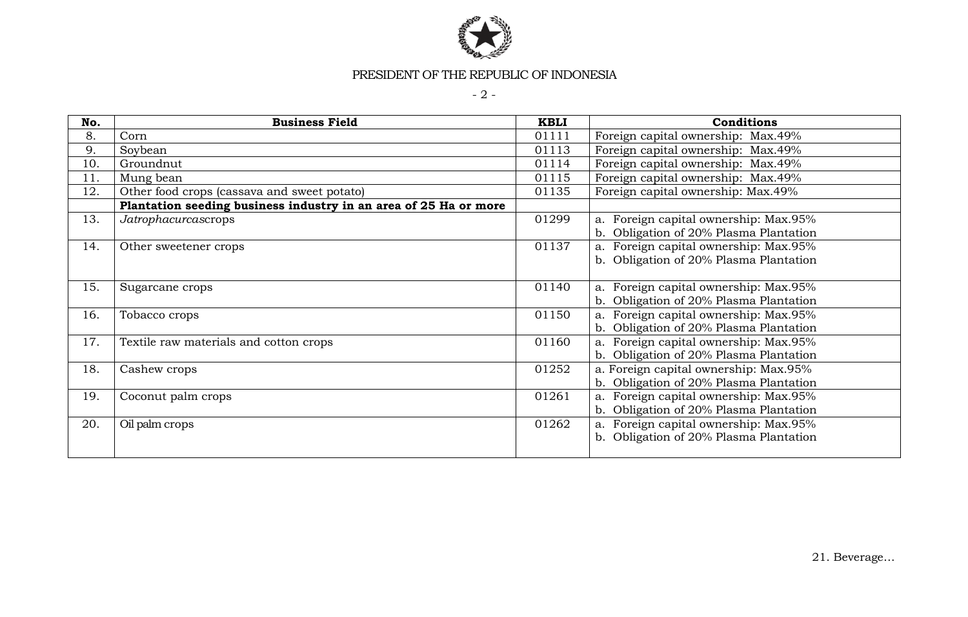

- 2 -

| No. | <b>Business Field</b>                                            | <b>KBLI</b> | <b>Conditions</b>                      |
|-----|------------------------------------------------------------------|-------------|----------------------------------------|
| 8.  | Corn                                                             | 01111       | Foreign capital ownership: Max.49%     |
| 9.  | Soybean                                                          | 01113       | Foreign capital ownership: Max.49%     |
| 10. | Groundnut                                                        | 01114       | Foreign capital ownership: Max.49%     |
| 11. | Mung bean                                                        | 01115       | Foreign capital ownership: Max.49%     |
| 12. | Other food crops (cassava and sweet potato)                      | 01135       | Foreign capital ownership: Max.49%     |
|     | Plantation seeding business industry in an area of 25 Ha or more |             |                                        |
| 13. | Jatrophacurcascrops                                              | 01299       | a. Foreign capital ownership: Max.95%  |
|     |                                                                  |             | b. Obligation of 20% Plasma Plantation |
| 14. | Other sweetener crops                                            | 01137       | a. Foreign capital ownership: Max.95%  |
|     |                                                                  |             | b. Obligation of 20% Plasma Plantation |
|     |                                                                  |             |                                        |
| 15. | Sugarcane crops                                                  | 01140       | a. Foreign capital ownership: Max.95%  |
|     |                                                                  |             | b. Obligation of 20% Plasma Plantation |
| 16. | Tobacco crops                                                    | 01150       | a. Foreign capital ownership: Max.95%  |
|     |                                                                  |             | b. Obligation of 20% Plasma Plantation |
| 17. | Textile raw materials and cotton crops                           | 01160       | a. Foreign capital ownership: Max.95%  |
|     |                                                                  |             | b. Obligation of 20% Plasma Plantation |
| 18. | Cashew crops                                                     | 01252       | a. Foreign capital ownership: Max.95%  |
|     |                                                                  |             | b. Obligation of 20% Plasma Plantation |
| 19. | Coconut palm crops                                               | 01261       | a. Foreign capital ownership: Max.95%  |
|     |                                                                  |             | b. Obligation of 20% Plasma Plantation |
| 20. | Oil palm crops                                                   | 01262       | a. Foreign capital ownership: Max.95%  |
|     |                                                                  |             | b. Obligation of 20% Plasma Plantation |
|     |                                                                  |             |                                        |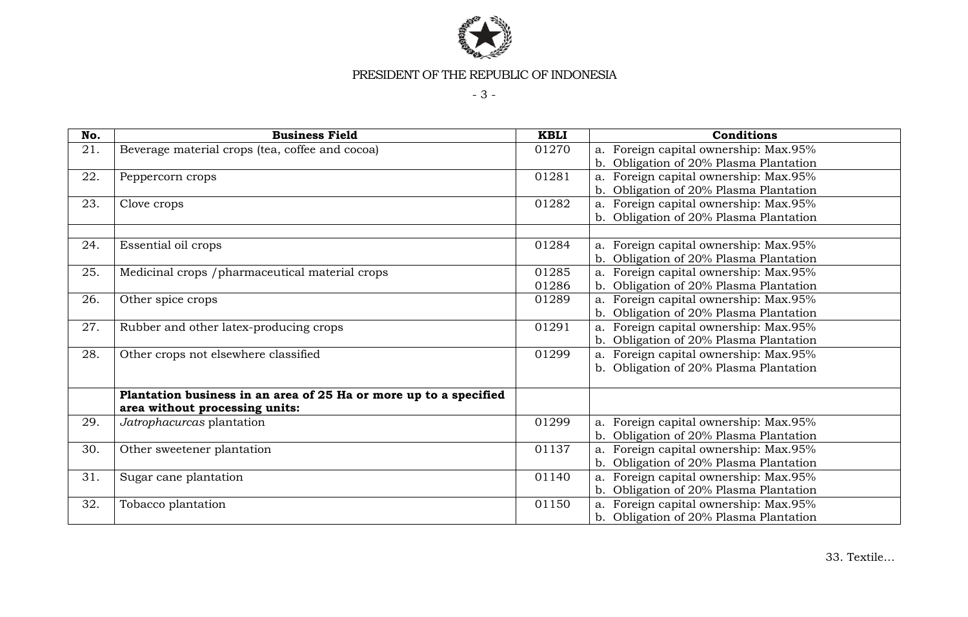

- 3 -

| No. | <b>Business Field</b>                                             | <b>KBLI</b> | Conditions                             |
|-----|-------------------------------------------------------------------|-------------|----------------------------------------|
| 21. | Beverage material crops (tea, coffee and cocoa)                   | 01270       | a. Foreign capital ownership: Max.95%  |
|     |                                                                   |             | b. Obligation of 20% Plasma Plantation |
| 22. | Peppercorn crops                                                  | 01281       | a. Foreign capital ownership: Max.95%  |
|     |                                                                   |             | b. Obligation of 20% Plasma Plantation |
| 23. | Clove crops                                                       | 01282       | a. Foreign capital ownership: Max.95%  |
|     |                                                                   |             | b. Obligation of 20% Plasma Plantation |
|     |                                                                   |             |                                        |
| 24. | Essential oil crops                                               | 01284       | a. Foreign capital ownership: Max.95%  |
|     |                                                                   |             | b. Obligation of 20% Plasma Plantation |
| 25. | Medicinal crops /pharmaceutical material crops                    | 01285       | a. Foreign capital ownership: Max.95%  |
|     |                                                                   | 01286       | b. Obligation of 20% Plasma Plantation |
| 26. | Other spice crops                                                 | 01289       | a. Foreign capital ownership: Max.95%  |
|     |                                                                   |             | b. Obligation of 20% Plasma Plantation |
| 27. | Rubber and other latex-producing crops                            | 01291       | a. Foreign capital ownership: Max.95%  |
|     |                                                                   |             | b. Obligation of 20% Plasma Plantation |
| 28. | Other crops not elsewhere classified                              | 01299       | a. Foreign capital ownership: Max.95%  |
|     |                                                                   |             | b. Obligation of 20% Plasma Plantation |
|     |                                                                   |             |                                        |
|     | Plantation business in an area of 25 Ha or more up to a specified |             |                                        |
|     | area without processing units:                                    |             |                                        |
| 29. | Jatrophacurcas plantation                                         | 01299       | a. Foreign capital ownership: Max.95%  |
|     |                                                                   |             | b. Obligation of 20% Plasma Plantation |
| 30. | Other sweetener plantation                                        | 01137       | a. Foreign capital ownership: Max.95%  |
|     |                                                                   |             | b. Obligation of 20% Plasma Plantation |
| 31. | Sugar cane plantation                                             | 01140       | a. Foreign capital ownership: Max.95%  |
|     |                                                                   |             | b. Obligation of 20% Plasma Plantation |
| 32. | Tobacco plantation                                                | 01150       | a. Foreign capital ownership: Max.95%  |
|     |                                                                   |             | b. Obligation of 20% Plasma Plantation |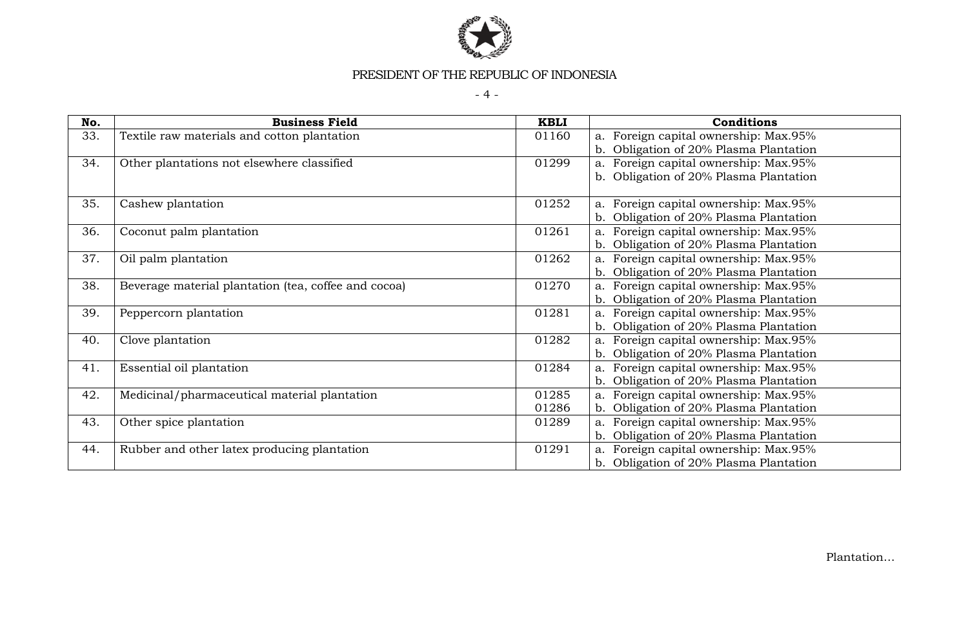

 $-4 -$ 

| No. | <b>Business Field</b>                                | <b>KBLI</b> | <b>Conditions</b>                         |
|-----|------------------------------------------------------|-------------|-------------------------------------------|
| 33. | Textile raw materials and cotton plantation          | 01160       | a. Foreign capital ownership: Max.95%     |
|     |                                                      |             | b. Obligation of 20% Plasma Plantation    |
| 34. | Other plantations not elsewhere classified           | 01299       | a. Foreign capital ownership: Max.95%     |
|     |                                                      |             | b. Obligation of 20% Plasma Plantation    |
|     |                                                      |             |                                           |
| 35. | Cashew plantation                                    | 01252       | a. Foreign capital ownership: Max.95%     |
|     |                                                      |             | b. Obligation of 20% Plasma Plantation    |
| 36. | Coconut palm plantation                              | 01261       | a. Foreign capital ownership: Max.95%     |
|     |                                                      |             | b. Obligation of 20% Plasma Plantation    |
| 37. | Oil palm plantation                                  | 01262       | a. Foreign capital ownership: Max.95%     |
|     |                                                      |             | b. Obligation of 20% Plasma Plantation    |
| 38. | Beverage material plantation (tea, coffee and cocoa) | 01270       | a. Foreign capital ownership: Max.95%     |
|     |                                                      |             | Obligation of 20% Plasma Plantation       |
| 39. | Peppercorn plantation                                | 01281       | a. Foreign capital ownership: Max.95%     |
|     |                                                      |             | Obligation of 20% Plasma Plantation       |
| 40. | Clove plantation                                     | 01282       | a. Foreign capital ownership: Max.95%     |
|     |                                                      |             | Obligation of 20% Plasma Plantation       |
| 41. | Essential oil plantation                             | 01284       | a. Foreign capital ownership: Max.95%     |
|     |                                                      |             | b.<br>Obligation of 20% Plasma Plantation |
| 42. | Medicinal/pharmaceutical material plantation         | 01285       | a. Foreign capital ownership: Max.95%     |
|     |                                                      | 01286       | b. Obligation of 20% Plasma Plantation    |
| 43. | Other spice plantation                               | 01289       | a. Foreign capital ownership: Max.95%     |
|     |                                                      |             | b. Obligation of 20% Plasma Plantation    |
| 44. | Rubber and other latex producing plantation          | 01291       | a. Foreign capital ownership: Max.95%     |
|     |                                                      |             | b. Obligation of 20% Plasma Plantation    |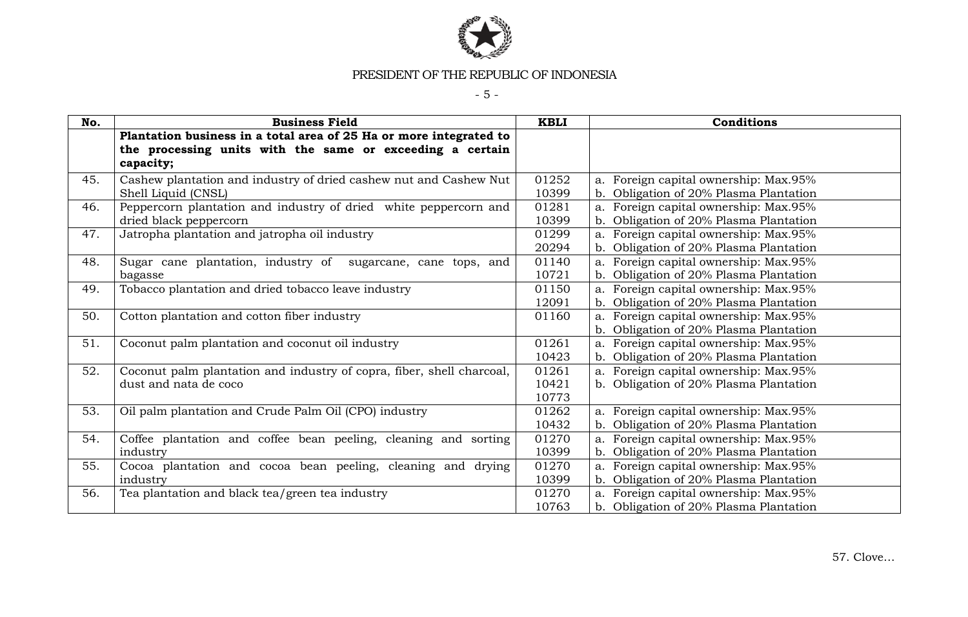

- 5 -

| No. | <b>Business Field</b>                                                 | <b>KBLI</b> | <b>Conditions</b>                      |
|-----|-----------------------------------------------------------------------|-------------|----------------------------------------|
|     | Plantation business in a total area of 25 Ha or more integrated to    |             |                                        |
|     | the processing units with the same or exceeding a certain             |             |                                        |
|     | capacity;                                                             |             |                                        |
| 45. | Cashew plantation and industry of dried cashew nut and Cashew Nut     | 01252       | a. Foreign capital ownership: Max.95%  |
|     | Shell Liquid (CNSL)                                                   | 10399       | b. Obligation of 20% Plasma Plantation |
| 46. | Peppercorn plantation and industry of dried white peppercorn and      | 01281       | a. Foreign capital ownership: Max.95%  |
|     | dried black peppercorn                                                | 10399       | b. Obligation of 20% Plasma Plantation |
| 47. | Jatropha plantation and jatropha oil industry                         | 01299       | a. Foreign capital ownership: Max.95%  |
|     |                                                                       | 20294       | b. Obligation of 20% Plasma Plantation |
| 48. | Sugar cane plantation, industry of sugarcane, cane tops, and          | 01140       | a. Foreign capital ownership: Max.95%  |
|     | bagasse                                                               | 10721       | b. Obligation of 20% Plasma Plantation |
| 49. | Tobacco plantation and dried tobacco leave industry                   | 01150       | a. Foreign capital ownership: Max.95%  |
|     |                                                                       | 12091       | b. Obligation of 20% Plasma Plantation |
| 50. | Cotton plantation and cotton fiber industry                           | 01160       | a. Foreign capital ownership: Max.95%  |
|     |                                                                       |             | b. Obligation of 20% Plasma Plantation |
| 51. | Coconut palm plantation and coconut oil industry                      | 01261       | a. Foreign capital ownership: Max.95%  |
|     |                                                                       | 10423       | b. Obligation of 20% Plasma Plantation |
| 52. | Coconut palm plantation and industry of copra, fiber, shell charcoal, | 01261       | a. Foreign capital ownership: Max.95%  |
|     | dust and nata de coco                                                 | 10421       | b. Obligation of 20% Plasma Plantation |
|     |                                                                       | 10773       |                                        |
| 53. | Oil palm plantation and Crude Palm Oil (CPO) industry                 | 01262       | a. Foreign capital ownership: Max.95%  |
|     |                                                                       | 10432       | b. Obligation of 20% Plasma Plantation |
| 54. | Coffee plantation and coffee bean peeling, cleaning and sorting       | 01270       | a. Foreign capital ownership: Max.95%  |
|     | industry                                                              | 10399       | b. Obligation of 20% Plasma Plantation |
| 55. | Cocoa plantation and cocoa bean peeling, cleaning and drying          | 01270       | a. Foreign capital ownership: Max.95%  |
|     | industry                                                              | 10399       | b. Obligation of 20% Plasma Plantation |
| 56. | Tea plantation and black tea/green tea industry                       | 01270       | a. Foreign capital ownership: Max.95%  |
|     |                                                                       | 10763       | b. Obligation of 20% Plasma Plantation |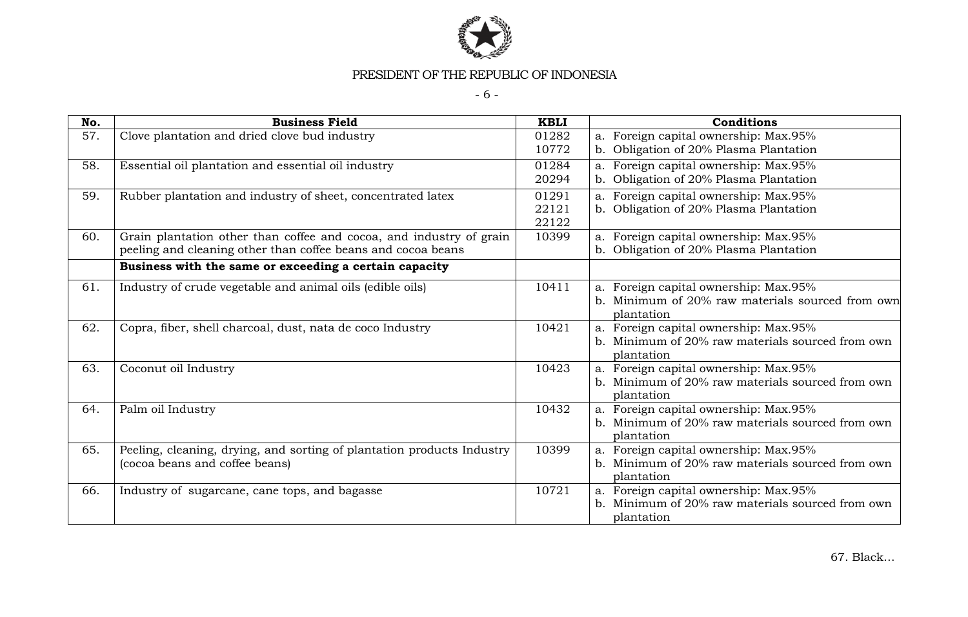

- 6 -

| No. | <b>Business Field</b>                                                  | <b>KBLI</b> | Conditions                                                                                |
|-----|------------------------------------------------------------------------|-------------|-------------------------------------------------------------------------------------------|
| 57. | Clove plantation and dried clove bud industry                          | 01282       | a. Foreign capital ownership: Max.95%                                                     |
|     |                                                                        | 10772       | b. Obligation of 20% Plasma Plantation                                                    |
| 58. | Essential oil plantation and essential oil industry                    | 01284       | a. Foreign capital ownership: Max.95%                                                     |
|     |                                                                        | 20294       | b. Obligation of 20% Plasma Plantation                                                    |
| 59. | Rubber plantation and industry of sheet, concentrated latex            | 01291       | a. Foreign capital ownership: Max.95%                                                     |
|     |                                                                        | 22121       | b. Obligation of 20% Plasma Plantation                                                    |
|     |                                                                        | 22122       |                                                                                           |
| 60. | Grain plantation other than coffee and cocoa, and industry of grain    | 10399       | a. Foreign capital ownership: Max.95%                                                     |
|     | peeling and cleaning other than coffee beans and cocoa beans           |             | b. Obligation of 20% Plasma Plantation                                                    |
|     | Business with the same or exceeding a certain capacity                 |             |                                                                                           |
| 61. | Industry of crude vegetable and animal oils (edible oils)              | 10411       | a. Foreign capital ownership: Max.95%                                                     |
|     |                                                                        |             | b. Minimum of 20% raw materials sourced from own                                          |
|     |                                                                        |             | plantation                                                                                |
| 62. | Copra, fiber, shell charcoal, dust, nata de coco Industry              | 10421       | a. Foreign capital ownership: Max.95%                                                     |
|     |                                                                        |             | b. Minimum of 20% raw materials sourced from own                                          |
|     |                                                                        |             | plantation                                                                                |
| 63. | Coconut oil Industry                                                   | 10423       | a. Foreign capital ownership: Max.95%                                                     |
|     |                                                                        |             | b. Minimum of 20% raw materials sourced from own                                          |
|     |                                                                        |             | plantation                                                                                |
| 64. | Palm oil Industry                                                      | 10432       | a. Foreign capital ownership: Max.95%                                                     |
|     |                                                                        |             | b. Minimum of 20% raw materials sourced from own                                          |
|     |                                                                        |             | plantation                                                                                |
| 65. | Peeling, cleaning, drying, and sorting of plantation products Industry | 10399       | a. Foreign capital ownership: Max.95%<br>b. Minimum of 20% raw materials sourced from own |
|     | (cocoa beans and coffee beans)                                         |             |                                                                                           |
| 66. |                                                                        | 10721       | plantation                                                                                |
|     | Industry of sugarcane, cane tops, and bagasse                          |             | a. Foreign capital ownership: Max.95%<br>b. Minimum of 20% raw materials sourced from own |
|     |                                                                        |             | plantation                                                                                |
|     |                                                                        |             |                                                                                           |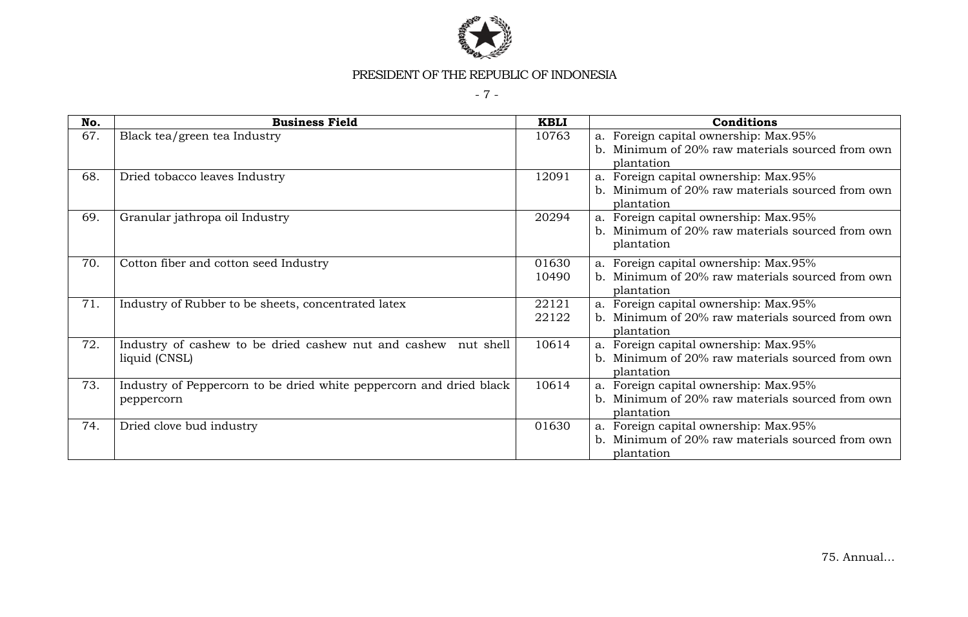

- 7 -

| No. | <b>Business Field</b>                                               | <b>KBLI</b> | <b>Conditions</b>                                |
|-----|---------------------------------------------------------------------|-------------|--------------------------------------------------|
| 67. | Black tea/green tea Industry                                        | 10763       | a. Foreign capital ownership: Max.95%            |
|     |                                                                     |             | b. Minimum of 20% raw materials sourced from own |
|     |                                                                     |             | plantation                                       |
| 68. | Dried tobacco leaves Industry                                       | 12091       | a. Foreign capital ownership: Max.95%            |
|     |                                                                     |             | b. Minimum of 20% raw materials sourced from own |
|     |                                                                     |             | plantation                                       |
| 69. | Granular jathropa oil Industry                                      | 20294       | a. Foreign capital ownership: Max.95%            |
|     |                                                                     |             | b. Minimum of 20% raw materials sourced from own |
|     |                                                                     |             | plantation                                       |
| 70. | Cotton fiber and cotton seed Industry                               | 01630       | a. Foreign capital ownership: Max.95%            |
|     |                                                                     | 10490       | b. Minimum of 20% raw materials sourced from own |
|     |                                                                     |             | plantation                                       |
| 71. | Industry of Rubber to be sheets, concentrated latex                 | 22121       | a. Foreign capital ownership: Max.95%            |
|     |                                                                     | 22122       | b. Minimum of 20% raw materials sourced from own |
|     |                                                                     |             | plantation                                       |
| 72. | Industry of cashew to be dried cashew nut and cashew nut shell      | 10614       | a. Foreign capital ownership: Max.95%            |
|     | liquid (CNSL)                                                       |             | b. Minimum of 20% raw materials sourced from own |
|     |                                                                     |             | plantation                                       |
| 73. | Industry of Peppercorn to be dried white peppercorn and dried black | 10614       | a. Foreign capital ownership: Max.95%            |
|     | peppercorn                                                          |             | b. Minimum of 20% raw materials sourced from own |
|     |                                                                     |             | plantation                                       |
| 74. | Dried clove bud industry                                            | 01630       | a. Foreign capital ownership: Max.95%            |
|     |                                                                     |             | b. Minimum of 20% raw materials sourced from own |
|     |                                                                     |             | plantation                                       |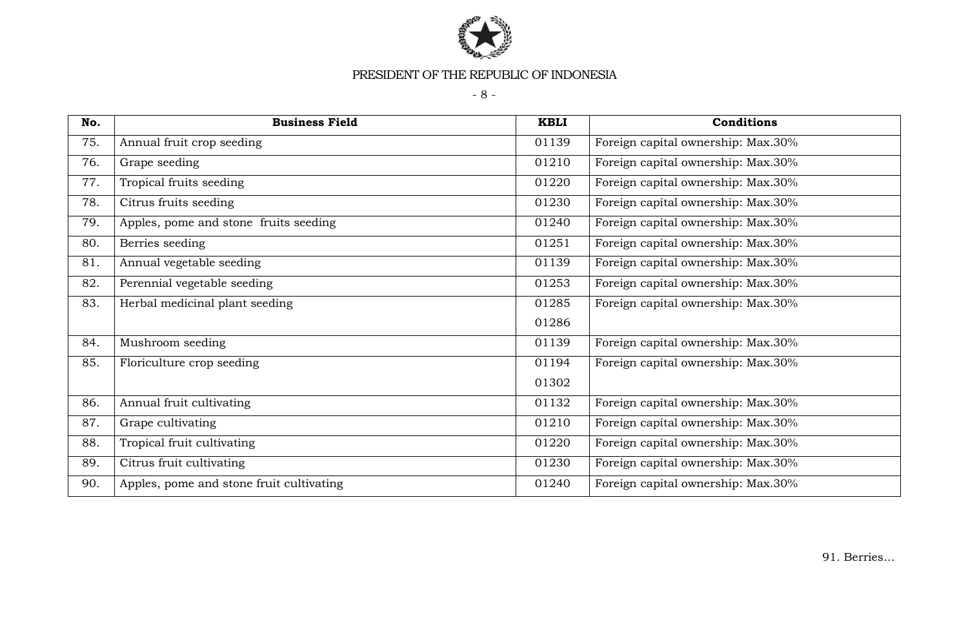

- 8 -

| No. | <b>Business Field</b>                    | <b>KBLI</b> | <b>Conditions</b>                  |
|-----|------------------------------------------|-------------|------------------------------------|
| 75. | Annual fruit crop seeding                | 01139       | Foreign capital ownership: Max.30% |
| 76. | Grape seeding                            | 01210       | Foreign capital ownership: Max.30% |
| 77. | Tropical fruits seeding                  | 01220       | Foreign capital ownership: Max.30% |
| 78. | Citrus fruits seeding                    | 01230       | Foreign capital ownership: Max.30% |
| 79. | Apples, pome and stone fruits seeding    | 01240       | Foreign capital ownership: Max.30% |
| 80. | Berries seeding                          | 01251       | Foreign capital ownership: Max.30% |
| 81. | Annual vegetable seeding                 | 01139       | Foreign capital ownership: Max.30% |
| 82. | Perennial vegetable seeding              | 01253       | Foreign capital ownership: Max.30% |
| 83. | Herbal medicinal plant seeding           | 01285       | Foreign capital ownership: Max.30% |
|     |                                          | 01286       |                                    |
| 84. | Mushroom seeding                         | 01139       | Foreign capital ownership: Max.30% |
| 85. | Floriculture crop seeding                | 01194       | Foreign capital ownership: Max.30% |
|     |                                          | 01302       |                                    |
| 86. | Annual fruit cultivating                 | 01132       | Foreign capital ownership: Max.30% |
| 87. | Grape cultivating                        | 01210       | Foreign capital ownership: Max.30% |
| 88. | Tropical fruit cultivating               | 01220       | Foreign capital ownership: Max.30% |
| 89. | Citrus fruit cultivating                 | 01230       | Foreign capital ownership: Max.30% |
| 90. | Apples, pome and stone fruit cultivating | 01240       | Foreign capital ownership: Max.30% |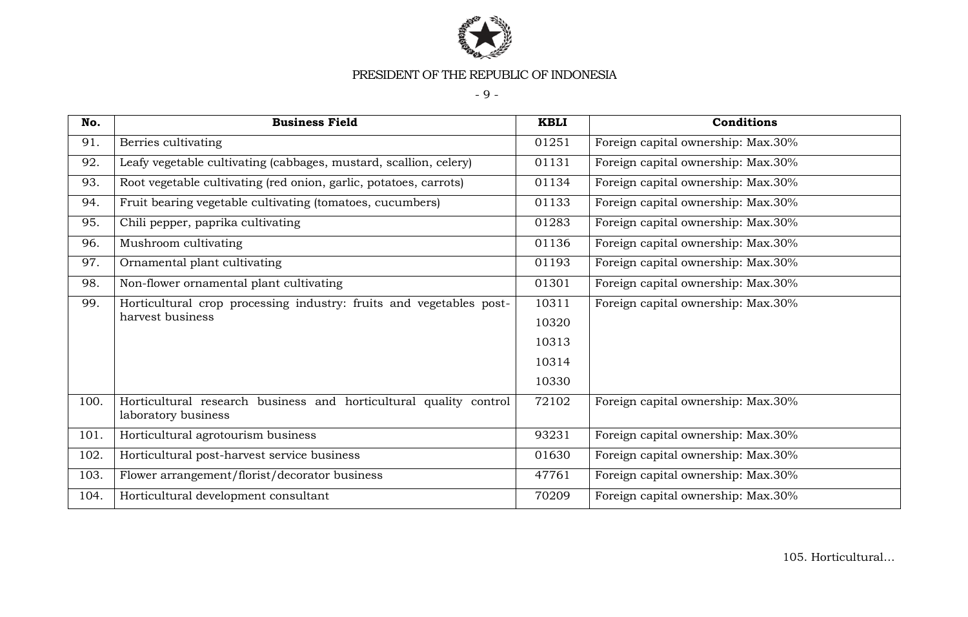

- 9 -

| No.  | <b>Business Field</b>                                                                    | <b>KBLI</b> | Conditions                         |
|------|------------------------------------------------------------------------------------------|-------------|------------------------------------|
| 91.  | Berries cultivating                                                                      | 01251       | Foreign capital ownership: Max.30% |
| 92.  | Leafy vegetable cultivating (cabbages, mustard, scallion, celery)                        | 01131       | Foreign capital ownership: Max.30% |
| 93.  | Root vegetable cultivating (red onion, garlic, potatoes, carrots)                        | 01134       | Foreign capital ownership: Max.30% |
| 94.  | Fruit bearing vegetable cultivating (tomatoes, cucumbers)                                | 01133       | Foreign capital ownership: Max.30% |
| 95.  | Chili pepper, paprika cultivating                                                        | 01283       | Foreign capital ownership: Max.30% |
| 96.  | Mushroom cultivating                                                                     | 01136       | Foreign capital ownership: Max.30% |
| 97.  | Ornamental plant cultivating                                                             | 01193       | Foreign capital ownership: Max.30% |
| 98.  | Non-flower ornamental plant cultivating                                                  | 01301       | Foreign capital ownership: Max.30% |
| 99.  | Horticultural crop processing industry: fruits and vegetables post-                      | 10311       | Foreign capital ownership: Max.30% |
|      | harvest business                                                                         | 10320       |                                    |
|      |                                                                                          | 10313       |                                    |
|      |                                                                                          | 10314       |                                    |
|      |                                                                                          | 10330       |                                    |
| 100. | Horticultural research business and horticultural quality control<br>laboratory business | 72102       | Foreign capital ownership: Max.30% |
| 101. | Horticultural agrotourism business                                                       | 93231       | Foreign capital ownership: Max.30% |
| 102. | Horticultural post-harvest service business                                              | 01630       | Foreign capital ownership: Max.30% |
| 103. | Flower arrangement/florist/decorator business                                            | 47761       | Foreign capital ownership: Max.30% |
| 104. | Horticultural development consultant                                                     | 70209       | Foreign capital ownership: Max.30% |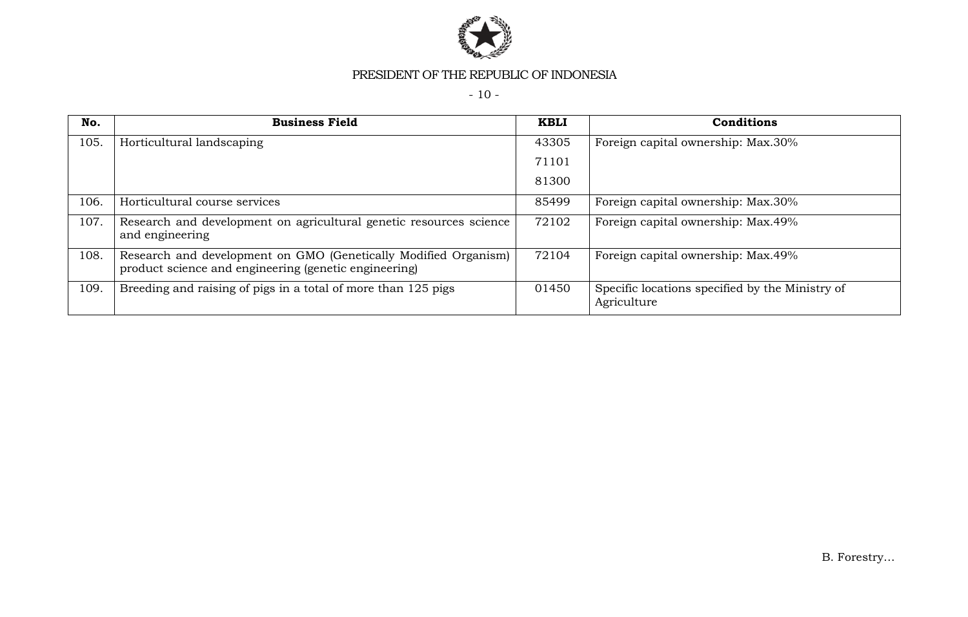

- 10 -

| No.  | <b>Business Field</b>                                                                                                    | <b>KBLI</b> | Conditions                                                     |
|------|--------------------------------------------------------------------------------------------------------------------------|-------------|----------------------------------------------------------------|
| 105. | Horticultural landscaping                                                                                                | 43305       | Foreign capital ownership: Max.30%                             |
|      |                                                                                                                          | 71101       |                                                                |
|      |                                                                                                                          | 81300       |                                                                |
| 106. | Horticultural course services                                                                                            | 85499       | Foreign capital ownership: Max.30%                             |
| 107. | Research and development on agricultural genetic resources science<br>and engineering                                    | 72102       | Foreign capital ownership: Max.49%                             |
| 108. | Research and development on GMO (Genetically Modified Organism)<br>product science and engineering (genetic engineering) | 72104       | Foreign capital ownership: Max.49%                             |
| 109. | Breeding and raising of pigs in a total of more than 125 pigs                                                            | 01450       | Specific locations specified by the Ministry of<br>Agriculture |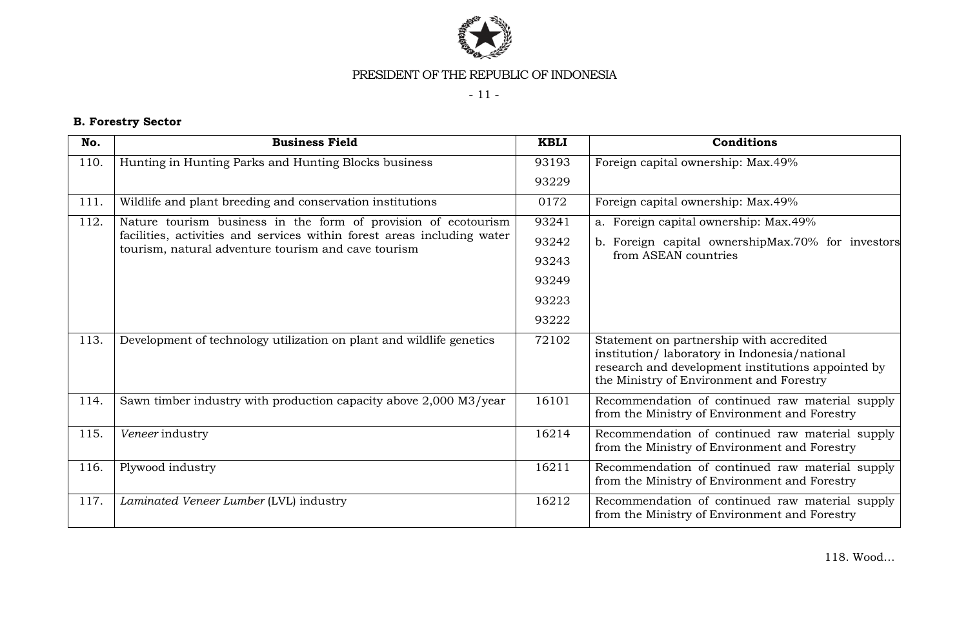

- 11 -

# **B. Forestry Sector**

| No.  | <b>Business Field</b>                                                                                                          | <b>KBLI</b> | Conditions                                                                                                                                                                                 |
|------|--------------------------------------------------------------------------------------------------------------------------------|-------------|--------------------------------------------------------------------------------------------------------------------------------------------------------------------------------------------|
| 110. | Hunting in Hunting Parks and Hunting Blocks business                                                                           | 93193       | Foreign capital ownership: Max.49%                                                                                                                                                         |
|      |                                                                                                                                | 93229       |                                                                                                                                                                                            |
| 111. | Wildlife and plant breeding and conservation institutions                                                                      | 0172        | Foreign capital ownership: Max.49%                                                                                                                                                         |
| 112. | Nature tourism business in the form of provision of ecotourism                                                                 | 93241       | a. Foreign capital ownership: Max.49%                                                                                                                                                      |
|      | facilities, activities and services within forest areas including water<br>tourism, natural adventure tourism and cave tourism | 93242       | b. Foreign capital ownershipMax.70% for investors                                                                                                                                          |
|      |                                                                                                                                | 93243       | from ASEAN countries                                                                                                                                                                       |
|      |                                                                                                                                | 93249       |                                                                                                                                                                                            |
|      |                                                                                                                                | 93223       |                                                                                                                                                                                            |
|      |                                                                                                                                | 93222       |                                                                                                                                                                                            |
| 113. | Development of technology utilization on plant and wildlife genetics                                                           | 72102       | Statement on partnership with accredited<br>institution/laboratory in Indonesia/national<br>research and development institutions appointed by<br>the Ministry of Environment and Forestry |
| 114. | Sawn timber industry with production capacity above 2,000 M3/year                                                              | 16101       | Recommendation of continued raw material supply<br>from the Ministry of Environment and Forestry                                                                                           |
| 115. | Veneer industry                                                                                                                | 16214       | Recommendation of continued raw material supply<br>from the Ministry of Environment and Forestry                                                                                           |
| 116. | Plywood industry                                                                                                               | 16211       | Recommendation of continued raw material supply<br>from the Ministry of Environment and Forestry                                                                                           |
| 117. | Laminated Veneer Lumber (LVL) industry                                                                                         | 16212       | Recommendation of continued raw material supply<br>from the Ministry of Environment and Forestry                                                                                           |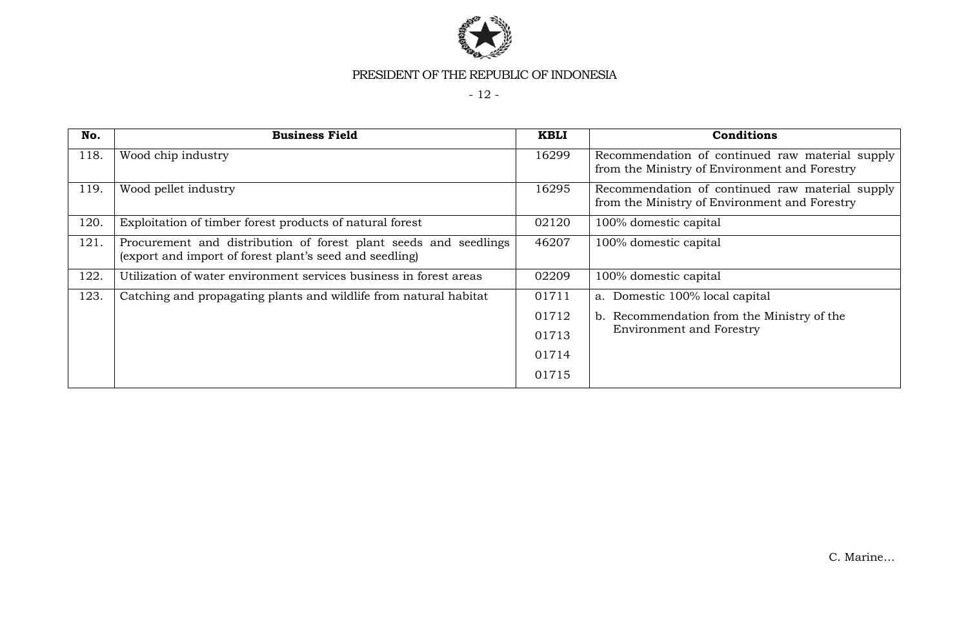

- 12 -

| No.  | <b>Business Field</b>                                                                                                       | <b>KBLI</b> | Conditions                                                                                       |
|------|-----------------------------------------------------------------------------------------------------------------------------|-------------|--------------------------------------------------------------------------------------------------|
| 118. | Wood chip industry                                                                                                          | 16299       | Recommendation of continued raw material supply<br>from the Ministry of Environment and Forestry |
| 119. | Wood pellet industry                                                                                                        | 16295       | Recommendation of continued raw material supply<br>from the Ministry of Environment and Forestry |
| 120. | Exploitation of timber forest products of natural forest                                                                    | 02120       | 100% domestic capital                                                                            |
| 121. | Procurement and distribution of forest plant seeds and seedlings<br>(export and import of forest plant's seed and seedling) | 46207       | 100% domestic capital                                                                            |
| 122. | Utilization of water environment services business in forest areas                                                          | 02209       | 100% domestic capital                                                                            |
| 123. | Catching and propagating plants and wildlife from natural habitat                                                           | 01711       | a. Domestic 100% local capital                                                                   |
|      |                                                                                                                             | 01712       | b. Recommendation from the Ministry of the                                                       |
|      |                                                                                                                             | 01713       | <b>Environment and Forestry</b>                                                                  |
|      |                                                                                                                             | 01714       |                                                                                                  |
|      |                                                                                                                             | 01715       |                                                                                                  |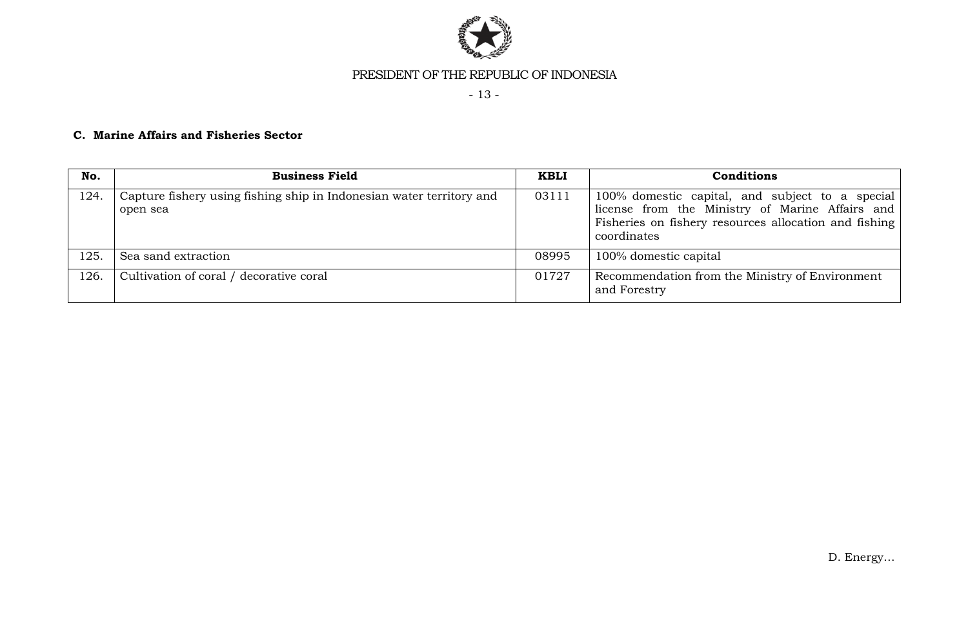

- 13 -

# **C. Marine Affairs and Fisheries Sector**

| No.  | <b>Business Field</b>                                                            | <b>KBLI</b> | <b>Conditions</b>                                                                                                                                                          |
|------|----------------------------------------------------------------------------------|-------------|----------------------------------------------------------------------------------------------------------------------------------------------------------------------------|
| 124. | Capture fishery using fishing ship in Indonesian water territory and<br>open sea | 03111       | 100% domestic capital, and subject to a special<br>license from the Ministry of Marine Affairs and<br>Fisheries on fishery resources allocation and fishing<br>coordinates |
| 125. | Sea sand extraction                                                              | 08995       | 100% domestic capital                                                                                                                                                      |
| 126. | Cultivation of coral / decorative coral                                          | 01727       | Recommendation from the Ministry of Environment<br>and Forestry                                                                                                            |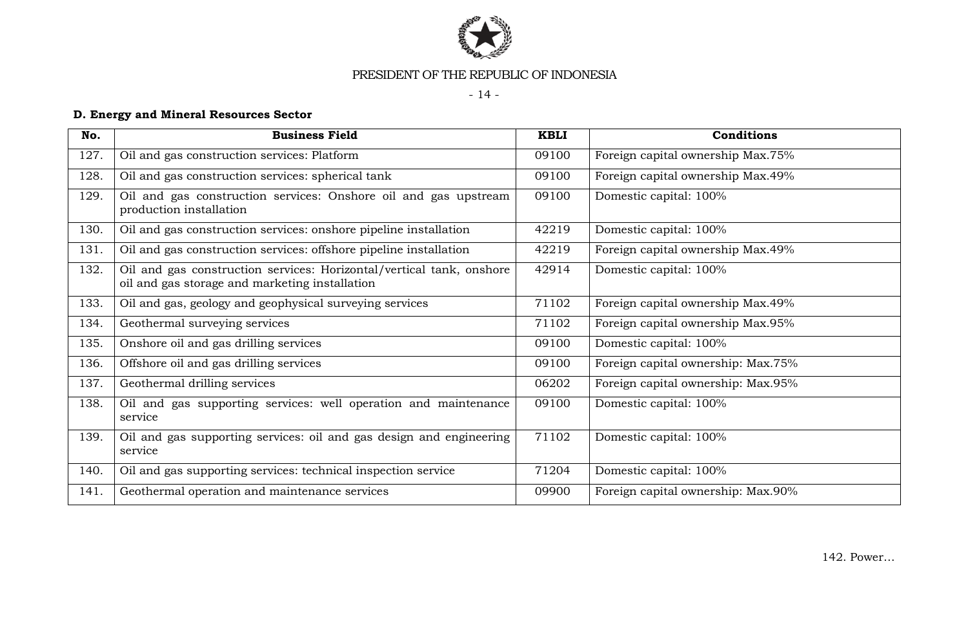

- 14 -

# **D. Energy and Mineral Resources Sector**

| No.  | <b>Business Field</b>                                                                                                  | <b>KBLI</b> | Conditions                         |
|------|------------------------------------------------------------------------------------------------------------------------|-------------|------------------------------------|
| 127. | Oil and gas construction services: Platform                                                                            | 09100       | Foreign capital ownership Max.75%  |
| 128. | Oil and gas construction services: spherical tank                                                                      | 09100       | Foreign capital ownership Max.49%  |
| 129. | Oil and gas construction services: Onshore oil and gas upstream<br>production installation                             | 09100       | Domestic capital: 100%             |
| 130. | Oil and gas construction services: onshore pipeline installation                                                       | 42219       | Domestic capital: 100%             |
| 131. | Oil and gas construction services: offshore pipeline installation                                                      | 42219       | Foreign capital ownership Max.49%  |
| 132. | Oil and gas construction services: Horizontal/vertical tank, onshore<br>oil and gas storage and marketing installation | 42914       | Domestic capital: 100%             |
| 133. | Oil and gas, geology and geophysical surveying services                                                                | 71102       | Foreign capital ownership Max.49%  |
| 134. | Geothermal surveying services                                                                                          | 71102       | Foreign capital ownership Max.95%  |
| 135. | Onshore oil and gas drilling services                                                                                  | 09100       | Domestic capital: 100%             |
| 136. | Offshore oil and gas drilling services                                                                                 | 09100       | Foreign capital ownership: Max.75% |
| 137. | Geothermal drilling services                                                                                           | 06202       | Foreign capital ownership: Max.95% |
| 138. | Oil and gas supporting services: well operation and maintenance<br>service                                             | 09100       | Domestic capital: 100%             |
| 139. | Oil and gas supporting services: oil and gas design and engineering<br>service                                         | 71102       | Domestic capital: 100%             |
| 140. | Oil and gas supporting services: technical inspection service                                                          | 71204       | Domestic capital: 100%             |
| 141. | Geothermal operation and maintenance services                                                                          | 09900       | Foreign capital ownership: Max.90% |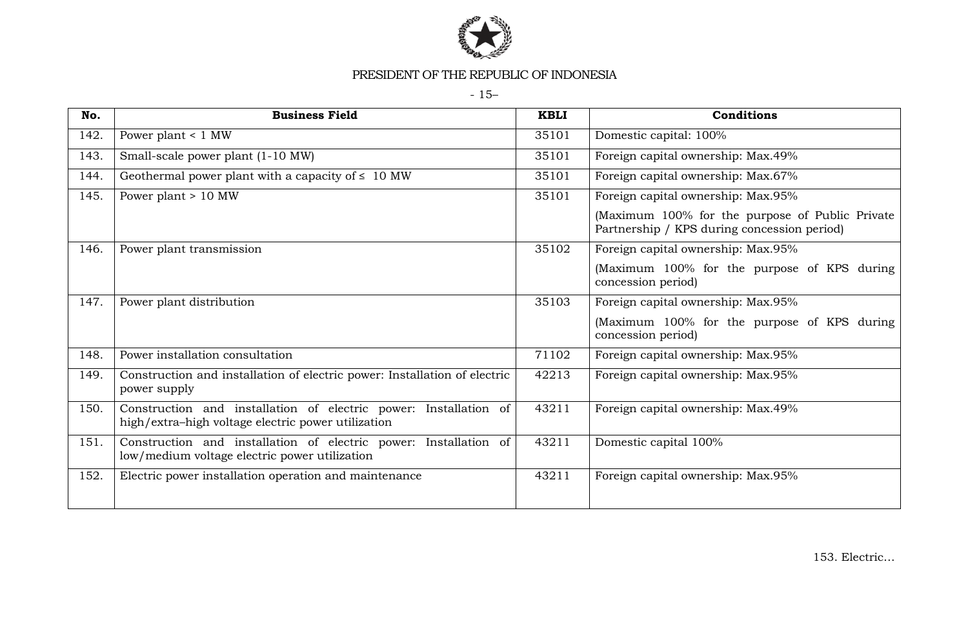

- 15–

| No.  | <b>Business Field</b>                                                                                                  | <b>KBLI</b> | Conditions                                                                                     |
|------|------------------------------------------------------------------------------------------------------------------------|-------------|------------------------------------------------------------------------------------------------|
| 142. | Power plant $< 1$ MW                                                                                                   | 35101       | Domestic capital: 100%                                                                         |
| 143. | Small-scale power plant (1-10 MW)                                                                                      | 35101       | Foreign capital ownership: Max.49%                                                             |
| 144. | Geothermal power plant with a capacity of $\leq 10$ MW                                                                 | 35101       | Foreign capital ownership: Max.67%                                                             |
| 145. | Power plant $> 10$ MW                                                                                                  | 35101       | Foreign capital ownership: Max.95%                                                             |
|      |                                                                                                                        |             | (Maximum 100% for the purpose of Public Private<br>Partnership / KPS during concession period) |
| 146. | Power plant transmission                                                                                               | 35102       | Foreign capital ownership: Max.95%                                                             |
|      |                                                                                                                        |             | (Maximum 100% for the purpose of KPS during<br>concession period)                              |
| 147. | Power plant distribution                                                                                               | 35103       | Foreign capital ownership: Max.95%                                                             |
|      |                                                                                                                        |             | (Maximum 100% for the purpose of KPS during<br>concession period)                              |
| 148. | Power installation consultation                                                                                        | 71102       | Foreign capital ownership: Max.95%                                                             |
| 149. | Construction and installation of electric power: Installation of electric<br>power supply                              | 42213       | Foreign capital ownership: Max.95%                                                             |
| 150. | Construction and installation of electric power: Installation of<br>high/extra-high voltage electric power utilization | 43211       | Foreign capital ownership: Max.49%                                                             |
| 151. | Construction and installation of electric power: Installation of<br>low/medium voltage electric power utilization      | 43211       | Domestic capital 100%                                                                          |
| 152. | Electric power installation operation and maintenance                                                                  | 43211       | Foreign capital ownership: Max.95%                                                             |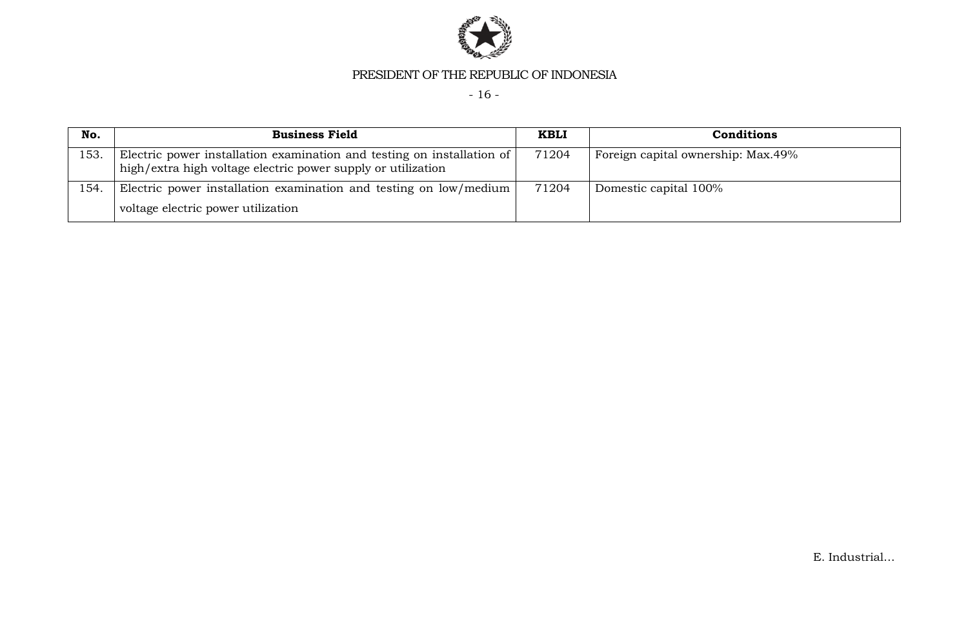

- 16 -

| No.  | <b>Business Field</b>                                                                                                                  | <b>KBLI</b> | <b>Conditions</b>                  |
|------|----------------------------------------------------------------------------------------------------------------------------------------|-------------|------------------------------------|
| 153. | Electric power installation examination and testing on installation of<br>high/extra high voltage electric power supply or utilization | 71204       | Foreign capital ownership: Max.49% |
| 154. | Electric power installation examination and testing on low/medium                                                                      | 71204       | Domestic capital 100%              |
|      | voltage electric power utilization                                                                                                     |             |                                    |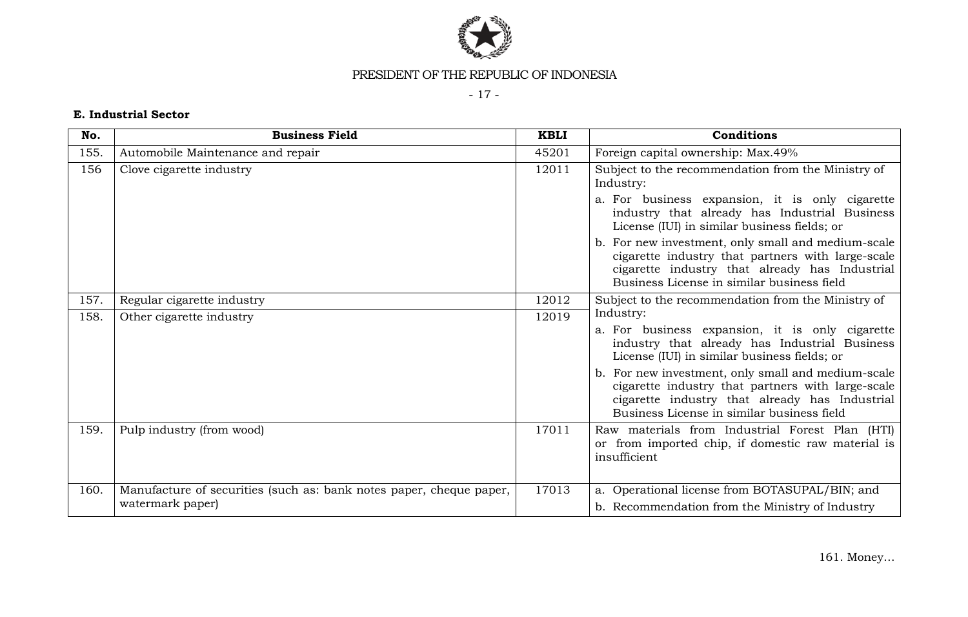

- 17 -

# **E. Industrial Sector**

| No.  | <b>Business Field</b>                                               | <b>KBLI</b> | Conditions                                                                                                                                                                                              |
|------|---------------------------------------------------------------------|-------------|---------------------------------------------------------------------------------------------------------------------------------------------------------------------------------------------------------|
| 155. | Automobile Maintenance and repair                                   | 45201       | Foreign capital ownership: Max.49%                                                                                                                                                                      |
| 156  | Clove cigarette industry                                            | 12011       | Subject to the recommendation from the Ministry of<br>Industry:                                                                                                                                         |
|      |                                                                     |             | a. For business expansion, it is only cigarette<br>industry that already has Industrial Business<br>License (IUI) in similar business fields; or                                                        |
|      |                                                                     |             | b. For new investment, only small and medium-scale<br>cigarette industry that partners with large-scale<br>cigarette industry that already has Industrial<br>Business License in similar business field |
| 157. | Regular cigarette industry                                          | 12012       | Subject to the recommendation from the Ministry of                                                                                                                                                      |
| 158. | Other cigarette industry                                            | 12019       | Industry:                                                                                                                                                                                               |
|      |                                                                     |             | a. For business expansion, it is only cigarette<br>industry that already has Industrial Business<br>License (IUI) in similar business fields; or                                                        |
|      |                                                                     |             | b. For new investment, only small and medium-scale<br>cigarette industry that partners with large-scale<br>cigarette industry that already has Industrial<br>Business License in similar business field |
| 159. | Pulp industry (from wood)                                           | 17011       | Raw materials from Industrial Forest Plan (HTI)<br>or from imported chip, if domestic raw material is<br>insufficient                                                                                   |
| 160. | Manufacture of securities (such as: bank notes paper, cheque paper, | 17013       | a. Operational license from BOTASUPAL/BIN; and                                                                                                                                                          |
|      | watermark paper)                                                    |             | b. Recommendation from the Ministry of Industry                                                                                                                                                         |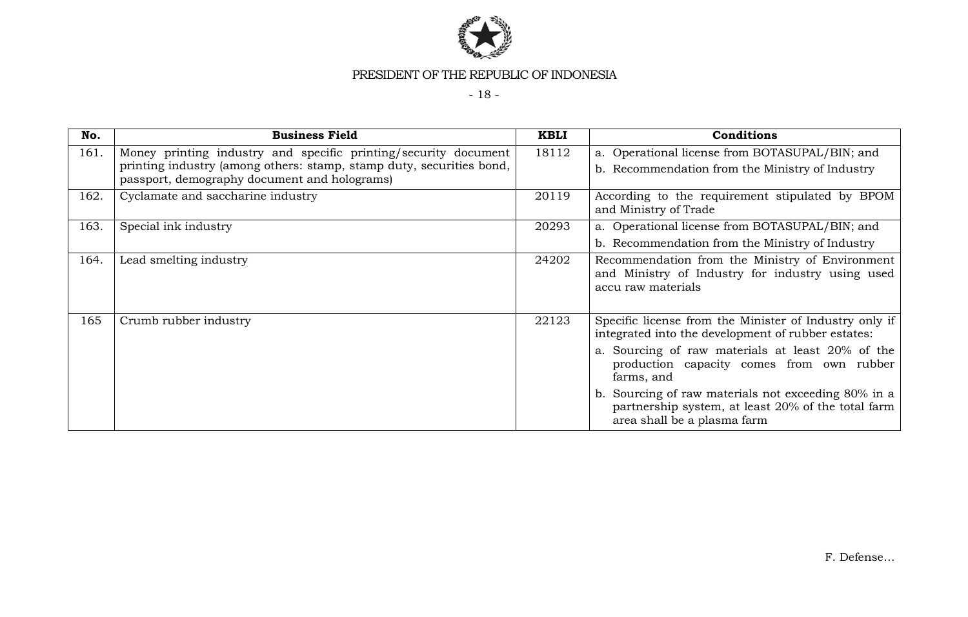

- 18 -

| No.  | <b>Business Field</b>                                                                                                                                                                   | <b>KBLI</b> | <b>Conditions</b>                                                                                                                                                                                                                                                                                                                                                       |
|------|-----------------------------------------------------------------------------------------------------------------------------------------------------------------------------------------|-------------|-------------------------------------------------------------------------------------------------------------------------------------------------------------------------------------------------------------------------------------------------------------------------------------------------------------------------------------------------------------------------|
| 161. | Money printing industry and specific printing/security document<br>printing industry (among others: stamp, stamp duty, securities bond,<br>passport, demography document and holograms) | 18112       | a. Operational license from BOTASUPAL/BIN; and<br>b. Recommendation from the Ministry of Industry                                                                                                                                                                                                                                                                       |
| 162. | Cyclamate and saccharine industry                                                                                                                                                       | 20119       | According to the requirement stipulated by BPOM<br>and Ministry of Trade                                                                                                                                                                                                                                                                                                |
| 163. | Special ink industry                                                                                                                                                                    | 20293       | a. Operational license from BOTASUPAL/BIN; and<br>b. Recommendation from the Ministry of Industry                                                                                                                                                                                                                                                                       |
| 164. | Lead smelting industry                                                                                                                                                                  | 24202       | Recommendation from the Ministry of Environment<br>and Ministry of Industry for industry using used<br>accu raw materials                                                                                                                                                                                                                                               |
| 165  | Crumb rubber industry                                                                                                                                                                   | 22123       | Specific license from the Minister of Industry only if<br>integrated into the development of rubber estates:<br>a. Sourcing of raw materials at least 20% of the<br>production capacity comes from own rubber<br>farms, and<br>b. Sourcing of raw materials not exceeding 80% in a<br>partnership system, at least 20% of the total farm<br>area shall be a plasma farm |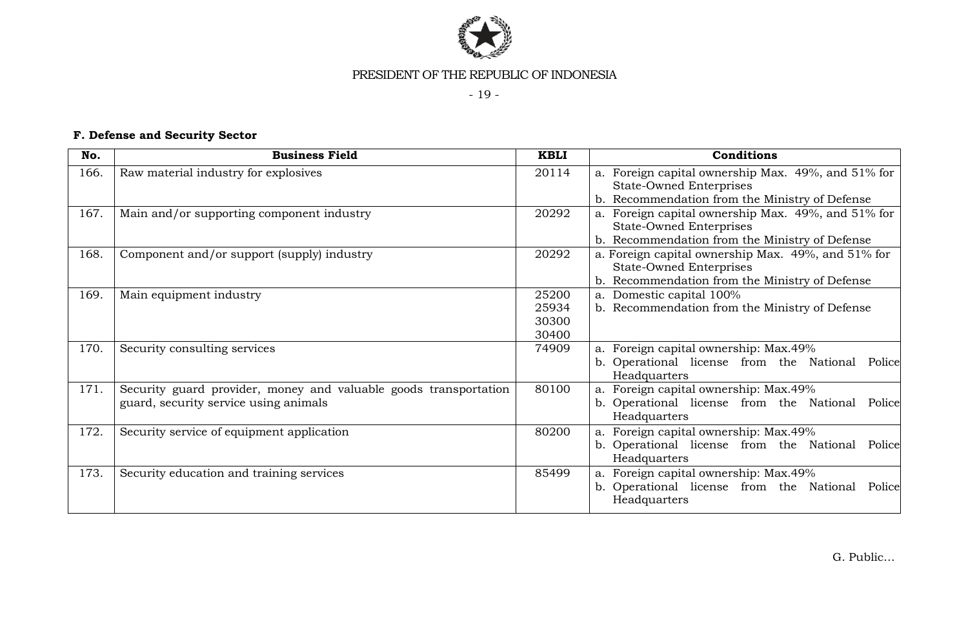

- 19 -

# **F. Defense and Security Sector**

| No.  | <b>Business Field</b>                                                                                     | <b>KBLI</b>                      | Conditions                                                                                                                             |
|------|-----------------------------------------------------------------------------------------------------------|----------------------------------|----------------------------------------------------------------------------------------------------------------------------------------|
| 166. | Raw material industry for explosives                                                                      | 20114                            | a. Foreign capital ownership Max. 49%, and 51% for<br><b>State-Owned Enterprises</b><br>b. Recommendation from the Ministry of Defense |
| 167. | Main and/or supporting component industry                                                                 | 20292                            | a. Foreign capital ownership Max. 49%, and 51% for<br><b>State-Owned Enterprises</b><br>b. Recommendation from the Ministry of Defense |
| 168. | Component and/or support (supply) industry                                                                | 20292                            | a. Foreign capital ownership Max. 49%, and 51% for<br><b>State-Owned Enterprises</b><br>b. Recommendation from the Ministry of Defense |
| 169. | Main equipment industry                                                                                   | 25200<br>25934<br>30300<br>30400 | a. Domestic capital 100%<br>b. Recommendation from the Ministry of Defense                                                             |
| 170. | Security consulting services                                                                              | 74909                            | a. Foreign capital ownership: Max.49%<br>b. Operational license from the National Police<br>Headquarters                               |
| 171. | Security guard provider, money and valuable goods transportation<br>guard, security service using animals | 80100                            | a. Foreign capital ownership: Max.49%<br>b. Operational license from the National Police<br>Headquarters                               |
| 172. | Security service of equipment application                                                                 | 80200                            | a. Foreign capital ownership: Max.49%<br>b. Operational license from the National Police<br>Headquarters                               |
| 173. | Security education and training services                                                                  | 85499                            | a. Foreign capital ownership: Max.49%<br>b. Operational license from the National<br>Police<br>Headquarters                            |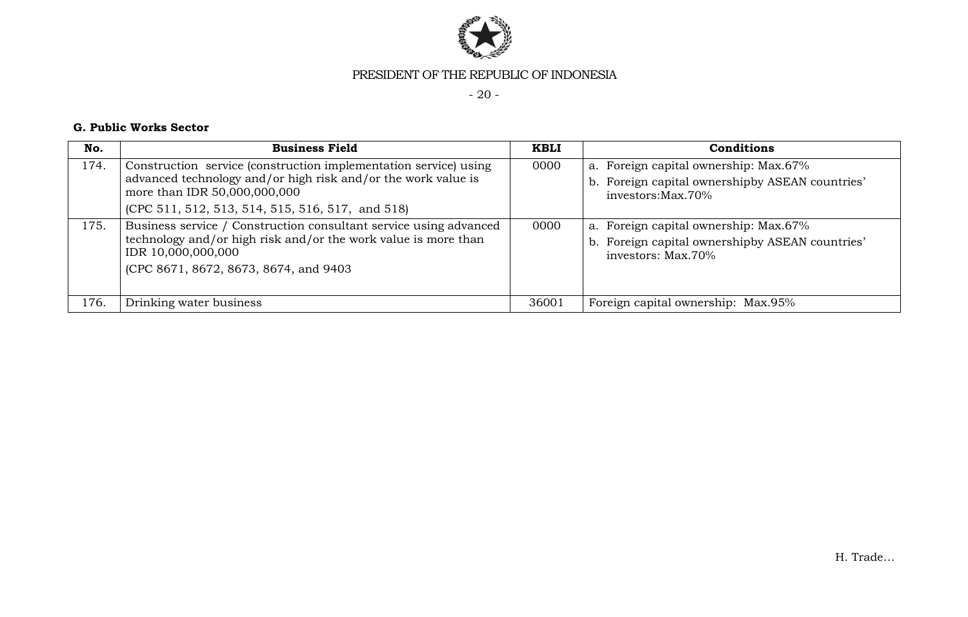

- 20 -

### **G. Public Works Sector**

| No.  | <b>Business Field</b>                                                                                                                                                                                                 | <b>KBLI</b> | <b>Conditions</b>                                                                                               |
|------|-----------------------------------------------------------------------------------------------------------------------------------------------------------------------------------------------------------------------|-------------|-----------------------------------------------------------------------------------------------------------------|
| 174. | Construction service (construction implementation service) using<br>advanced technology and/or high risk and/or the work value is<br>more than IDR 50,000,000,000<br>(CPC 511, 512, 513, 514, 515, 516, 517, and 518) | 0000        | a. Foreign capital ownership: Max.67%<br>b. Foreign capital ownershipby ASEAN countries'<br>investors: Max. 70% |
| 175. | Business service / Construction consultant service using advanced<br>technology and/or high risk and/or the work value is more than<br>IDR 10,000,000,000<br>(CPC 8671, 8672, 8673, 8674, and 9403)                   | 0000        | a. Foreign capital ownership: Max.67%<br>b. Foreign capital ownershipby ASEAN countries'<br>investors: Max.70%  |
| 176. | Drinking water business                                                                                                                                                                                               | 36001       | Foreign capital ownership: Max.95%                                                                              |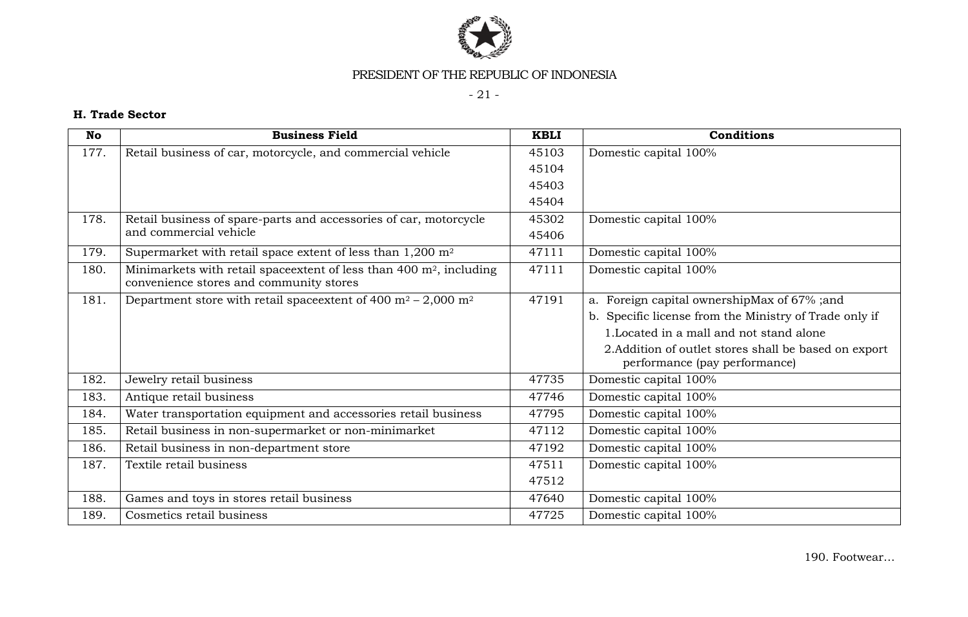

- 21 -

# **H. Trade Sector**

| No   | <b>Business Field</b>                                                                   | <b>KBLI</b> | Conditions                                                                             |
|------|-----------------------------------------------------------------------------------------|-------------|----------------------------------------------------------------------------------------|
| 177. | Retail business of car, motorcycle, and commercial vehicle                              | 45103       | Domestic capital 100%                                                                  |
|      |                                                                                         | 45104       |                                                                                        |
|      |                                                                                         | 45403       |                                                                                        |
|      |                                                                                         | 45404       |                                                                                        |
| 178. | Retail business of spare-parts and accessories of car, motorcycle                       | 45302       | Domestic capital 100%                                                                  |
|      | and commercial vehicle                                                                  | 45406       |                                                                                        |
| 179. | Supermarket with retail space extent of less than $1,200$ m <sup>2</sup>                | 47111       | Domestic capital 100%                                                                  |
| 180. | Minimarkets with retail space extent of less than 400 $m^2$ , including                 | 47111       | Domestic capital 100%                                                                  |
|      | convenience stores and community stores                                                 |             |                                                                                        |
| 181. | Department store with retail spaces extent of 400 m <sup>2</sup> – 2,000 m <sup>2</sup> | 47191       | a. Foreign capital ownershipMax of 67%; and                                            |
|      |                                                                                         |             | b. Specific license from the Ministry of Trade only if                                 |
|      |                                                                                         |             | 1. Located in a mall and not stand alone                                               |
|      |                                                                                         |             | 2. Addition of outlet stores shall be based on export<br>performance (pay performance) |
| 182. | Jewelry retail business                                                                 | 47735       | Domestic capital 100%                                                                  |
| 183. | Antique retail business                                                                 | 47746       | Domestic capital 100%                                                                  |
| 184. | Water transportation equipment and accessories retail business                          | 47795       | Domestic capital 100%                                                                  |
| 185. | Retail business in non-supermarket or non-minimarket                                    | 47112       | Domestic capital 100%                                                                  |
| 186. | Retail business in non-department store                                                 | 47192       | Domestic capital 100%                                                                  |
| 187. | Textile retail business                                                                 | 47511       | Domestic capital 100%                                                                  |
|      |                                                                                         | 47512       |                                                                                        |
| 188. | Games and toys in stores retail business                                                | 47640       | Domestic capital 100%                                                                  |
| 189. | Cosmetics retail business                                                               | 47725       | Domestic capital 100%                                                                  |

190. Footwear…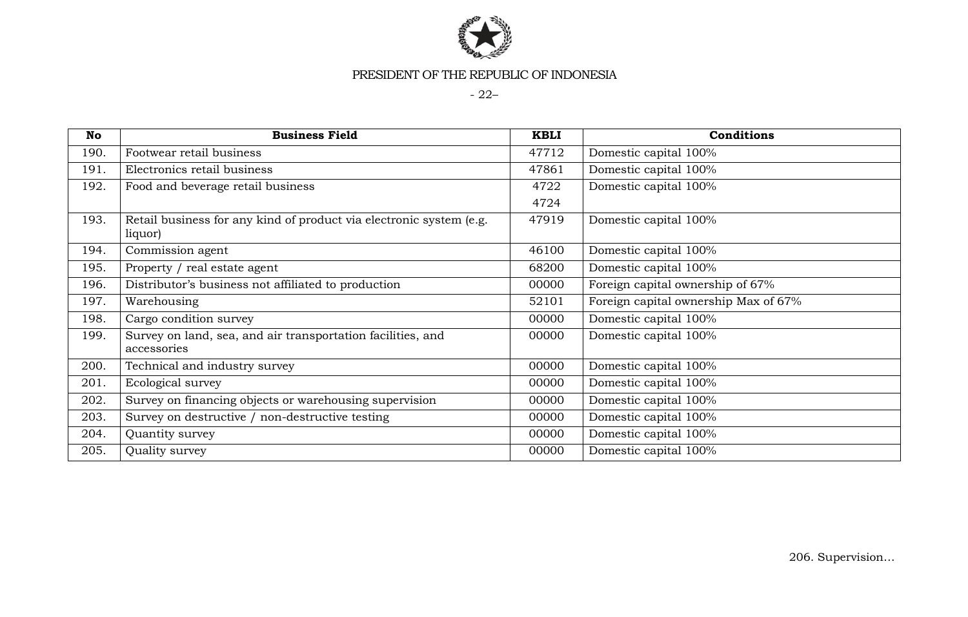

- 22–

| No   | <b>Business Field</b>                                                          | <b>KBLI</b> | <b>Conditions</b>                    |
|------|--------------------------------------------------------------------------------|-------------|--------------------------------------|
| 190. | Footwear retail business                                                       | 47712       | Domestic capital 100%                |
| 191. | Electronics retail business                                                    | 47861       | Domestic capital 100%                |
| 192. | Food and beverage retail business                                              | 4722        | Domestic capital 100%                |
|      |                                                                                | 4724        |                                      |
| 193. | Retail business for any kind of product via electronic system (e.g.<br>liquor) | 47919       | Domestic capital 100%                |
| 194. | Commission agent                                                               | 46100       | Domestic capital 100%                |
| 195. | Property / real estate agent                                                   | 68200       | Domestic capital 100%                |
| 196. | Distributor's business not affiliated to production                            | 00000       | Foreign capital ownership of 67%     |
| 197. | Warehousing                                                                    | 52101       | Foreign capital ownership Max of 67% |
| 198. | Cargo condition survey                                                         | 00000       | Domestic capital 100%                |
| 199. | Survey on land, sea, and air transportation facilities, and<br>accessories     | 00000       | Domestic capital 100%                |
| 200. | Technical and industry survey                                                  | 00000       | Domestic capital 100%                |
| 201. | Ecological survey                                                              | 00000       | Domestic capital 100%                |
| 202. | Survey on financing objects or warehousing supervision                         | 00000       | Domestic capital 100%                |
| 203. | Survey on destructive / non-destructive testing                                | 00000       | Domestic capital 100%                |
| 204. | Quantity survey                                                                | 00000       | Domestic capital 100%                |
| 205. | Quality survey                                                                 | 00000       | Domestic capital 100%                |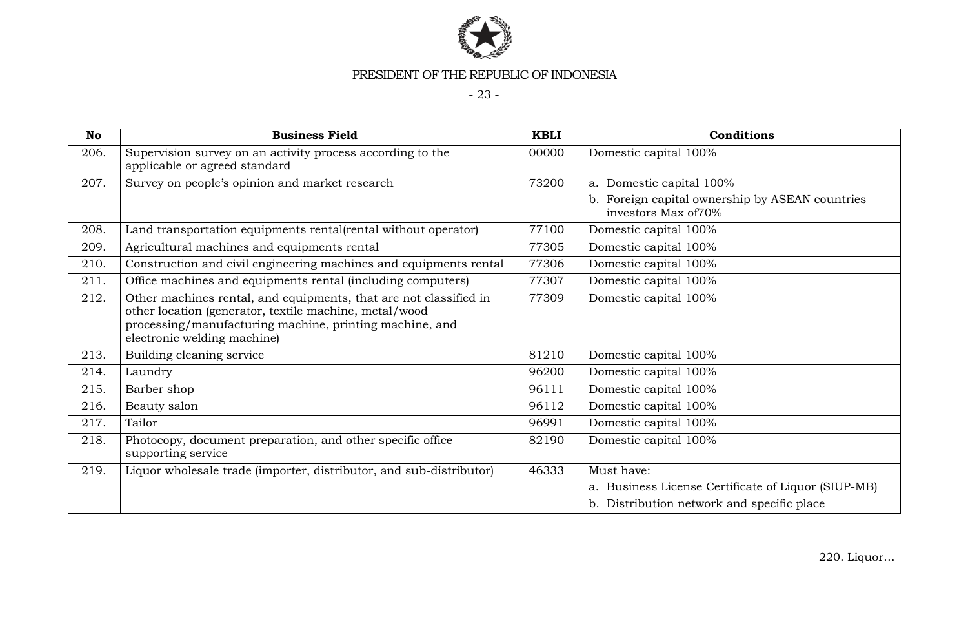

- 23 -

| <b>No</b> | <b>Business Field</b>                                                                                                                                                                                                 | <b>KBLI</b> | <b>Conditions</b>                                                       |
|-----------|-----------------------------------------------------------------------------------------------------------------------------------------------------------------------------------------------------------------------|-------------|-------------------------------------------------------------------------|
| 206.      | Supervision survey on an activity process according to the<br>applicable or agreed standard                                                                                                                           | 00000       | Domestic capital 100%                                                   |
| 207.      | Survey on people's opinion and market research                                                                                                                                                                        | 73200       | a. Domestic capital 100%                                                |
|           |                                                                                                                                                                                                                       |             | b. Foreign capital ownership by ASEAN countries<br>investors Max of 70% |
| 208.      | Land transportation equipments rental(rental without operator)                                                                                                                                                        | 77100       | Domestic capital 100%                                                   |
| 209.      | Agricultural machines and equipments rental                                                                                                                                                                           | 77305       | Domestic capital 100%                                                   |
| 210.      | Construction and civil engineering machines and equipments rental                                                                                                                                                     | 77306       | Domestic capital 100%                                                   |
| 211.      | Office machines and equipments rental (including computers)                                                                                                                                                           | 77307       | Domestic capital 100%                                                   |
| 212.      | Other machines rental, and equipments, that are not classified in<br>other location (generator, textile machine, metal/wood<br>processing/manufacturing machine, printing machine, and<br>electronic welding machine) | 77309       | Domestic capital 100%                                                   |
| 213.      | Building cleaning service                                                                                                                                                                                             | 81210       | Domestic capital 100%                                                   |
| 214.      | Laundry                                                                                                                                                                                                               | 96200       | Domestic capital 100%                                                   |
| 215.      | Barber shop                                                                                                                                                                                                           | 96111       | Domestic capital 100%                                                   |
| 216.      | Beauty salon                                                                                                                                                                                                          | 96112       | Domestic capital 100%                                                   |
| 217.      | Tailor                                                                                                                                                                                                                | 96991       | Domestic capital 100%                                                   |
| 218.      | Photocopy, document preparation, and other specific office<br>supporting service                                                                                                                                      | 82190       | Domestic capital 100%                                                   |
| 219.      | Liquor wholesale trade (importer, distributor, and sub-distributor)                                                                                                                                                   | 46333       | Must have:                                                              |
|           |                                                                                                                                                                                                                       |             | a. Business License Certificate of Liquor (SIUP-MB)                     |
|           |                                                                                                                                                                                                                       |             | b. Distribution network and specific place                              |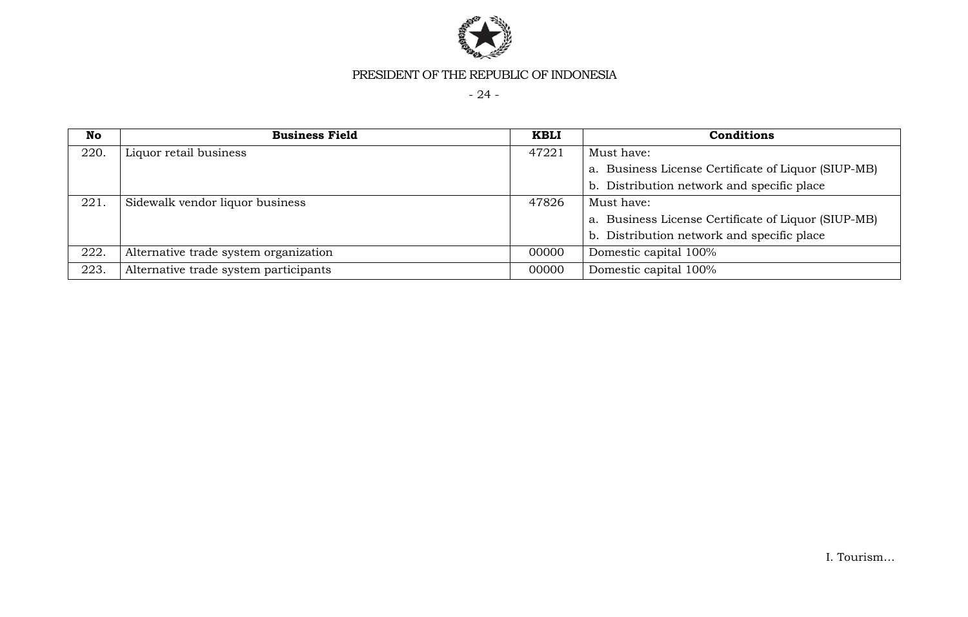

- 24 -

| No   | <b>Business Field</b>                 | <b>KBLI</b> | <b>Conditions</b>                                   |
|------|---------------------------------------|-------------|-----------------------------------------------------|
| 220. | Liquor retail business                | 47221       | Must have:                                          |
|      |                                       |             | a. Business License Certificate of Liquor (SIUP-MB) |
|      |                                       |             | b. Distribution network and specific place          |
| 221. | Sidewalk vendor liquor business       | 47826       | Must have:                                          |
|      |                                       |             | a. Business License Certificate of Liquor (SIUP-MB) |
|      |                                       |             | b. Distribution network and specific place          |
| 222. | Alternative trade system organization | 00000       | Domestic capital 100%                               |
| 223. | Alternative trade system participants | 00000       | Domestic capital 100%                               |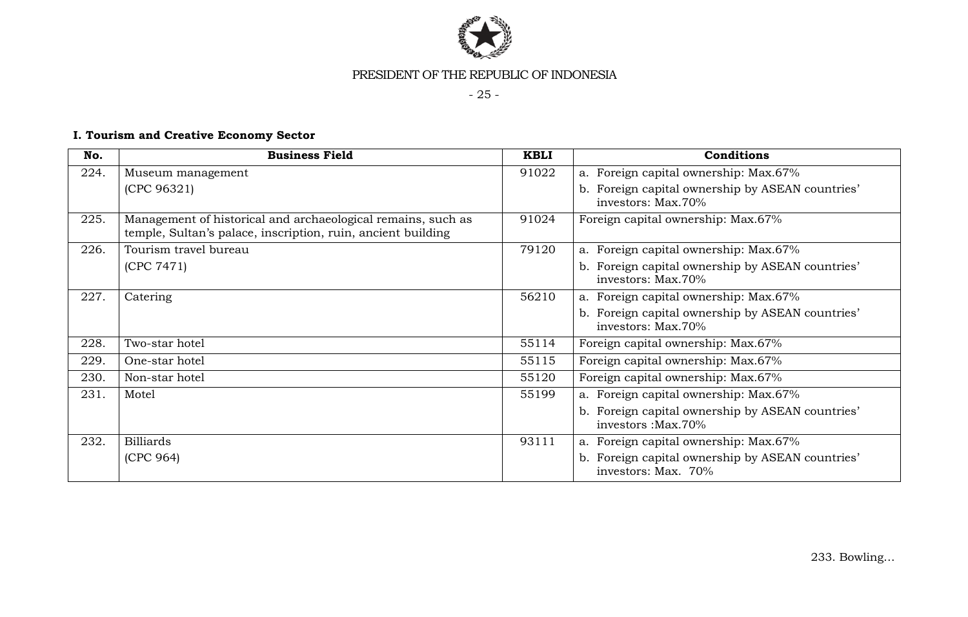

- 25 -

# **I. Tourism and Creative Economy Sector**

| No.  | <b>Business Field</b>                                                                                                        | <b>KBLI</b> | <b>Conditions</b>                                                       |
|------|------------------------------------------------------------------------------------------------------------------------------|-------------|-------------------------------------------------------------------------|
| 224. | Museum management                                                                                                            | 91022       | a. Foreign capital ownership: Max.67%                                   |
|      | (CPC 96321)                                                                                                                  |             | b. Foreign capital ownership by ASEAN countries'<br>investors: Max.70%  |
| 225. | Management of historical and archaeological remains, such as<br>temple, Sultan's palace, inscription, ruin, ancient building | 91024       | Foreign capital ownership: Max.67%                                      |
| 226. | Tourism travel bureau                                                                                                        | 79120       | a. Foreign capital ownership: Max.67%                                   |
|      | (CPC 7471)                                                                                                                   |             | b. Foreign capital ownership by ASEAN countries'<br>investors: Max.70%  |
| 227. | Catering                                                                                                                     | 56210       | a. Foreign capital ownership: Max.67%                                   |
|      |                                                                                                                              |             | b. Foreign capital ownership by ASEAN countries'<br>investors: Max.70%  |
| 228. | Two-star hotel                                                                                                               | 55114       | Foreign capital ownership: Max.67%                                      |
| 229. | One-star hotel                                                                                                               | 55115       | Foreign capital ownership: Max.67%                                      |
| 230. | Non-star hotel                                                                                                               | 55120       | Foreign capital ownership: Max.67%                                      |
| 231. | Motel                                                                                                                        | 55199       | a. Foreign capital ownership: Max.67%                                   |
|      |                                                                                                                              |             | b. Foreign capital ownership by ASEAN countries'<br>investors : Max.70% |
| 232. | <b>Billiards</b>                                                                                                             | 93111       | a. Foreign capital ownership: Max.67%                                   |
|      | (CPC 964)                                                                                                                    |             | b. Foreign capital ownership by ASEAN countries'<br>investors: Max. 70% |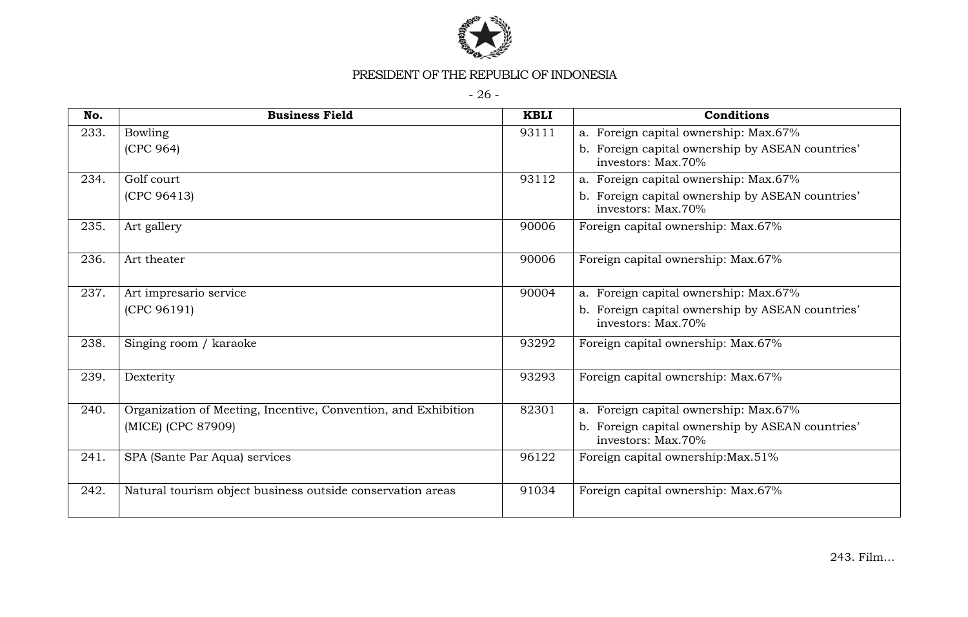

- 26 -

| No.  | <b>Business Field</b>                                          | <b>KBLI</b> | Conditions                                                             |
|------|----------------------------------------------------------------|-------------|------------------------------------------------------------------------|
| 233. | <b>Bowling</b>                                                 | 93111       | a. Foreign capital ownership: Max.67%                                  |
|      | (CPC 964)                                                      |             | b. Foreign capital ownership by ASEAN countries'<br>investors: Max.70% |
| 234. | Golf court                                                     | 93112       | a. Foreign capital ownership: Max.67%                                  |
|      | (CPC 96413)                                                    |             | b. Foreign capital ownership by ASEAN countries'<br>investors: Max.70% |
| 235. | Art gallery                                                    | 90006       | Foreign capital ownership: Max.67%                                     |
| 236. | Art theater                                                    | 90006       | Foreign capital ownership: Max.67%                                     |
| 237. | Art impresario service                                         | 90004       | a. Foreign capital ownership: Max.67%                                  |
|      | (CPC 96191)                                                    |             | b. Foreign capital ownership by ASEAN countries'<br>investors: Max.70% |
| 238. | Singing room / karaoke                                         | 93292       | Foreign capital ownership: Max.67%                                     |
| 239. | Dexterity                                                      | 93293       | Foreign capital ownership: Max.67%                                     |
| 240. | Organization of Meeting, Incentive, Convention, and Exhibition | 82301       | a. Foreign capital ownership: Max.67%                                  |
|      | (MICE) (CPC 87909)                                             |             | b. Foreign capital ownership by ASEAN countries'<br>investors: Max.70% |
| 241. | SPA (Sante Par Aqua) services                                  | 96122       | Foreign capital ownership: Max. 51%                                    |
| 242. | Natural tourism object business outside conservation areas     | 91034       | Foreign capital ownership: Max.67%                                     |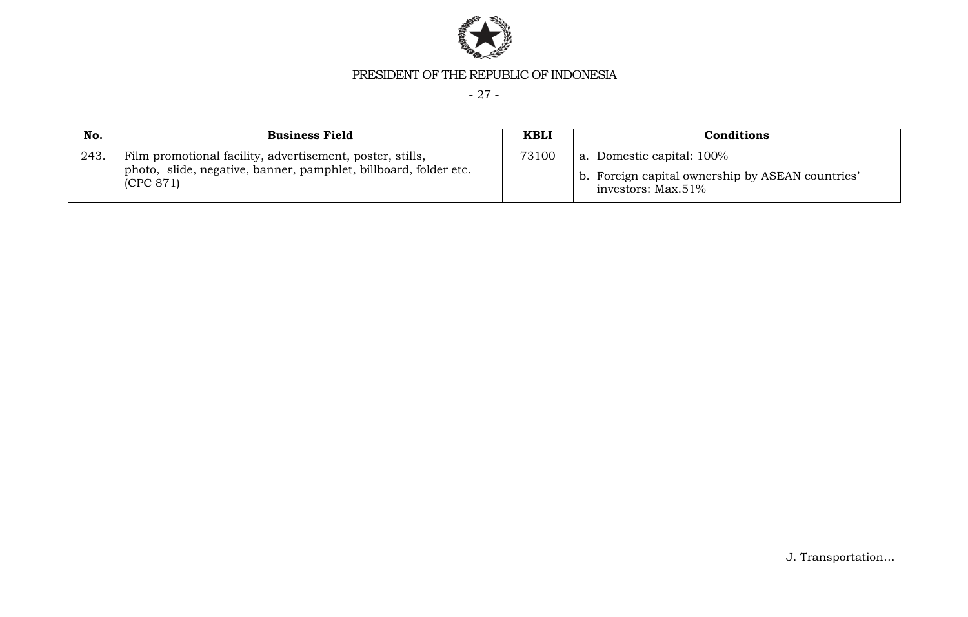

- 27 -

| No.  | <b>Business Field</b>                                                                                                                      | <b>KBLI</b> | Conditions                                                                                             |
|------|--------------------------------------------------------------------------------------------------------------------------------------------|-------------|--------------------------------------------------------------------------------------------------------|
| 243. | Film promotional facility, advertisement, poster, stills,<br>photo, slide, negative, banner, pamphlet, billboard, folder etc.<br>(CPC 871) | 73100       | a. Domestic capital: 100%<br>b. Foreign capital ownership by ASEAN countries'<br>investors: $Max.51\%$ |

J. Transportation…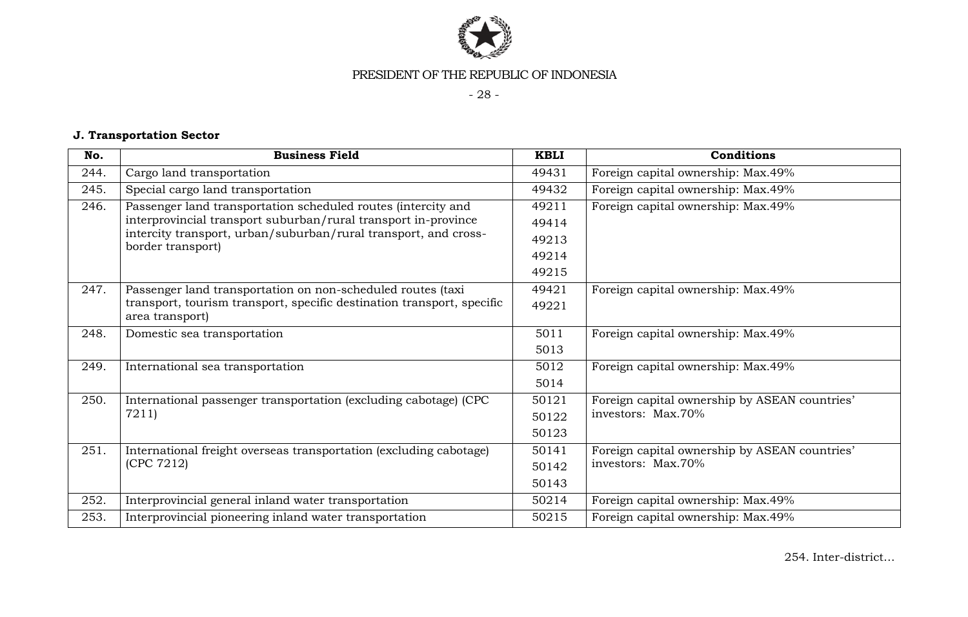

- 28 -

# **J. Transportation Sector**

| No.  | <b>Business Field</b>                                                                | <b>KBLI</b> | Conditions                                    |
|------|--------------------------------------------------------------------------------------|-------------|-----------------------------------------------|
| 244. | Cargo land transportation                                                            | 49431       | Foreign capital ownership: Max.49%            |
| 245. | Special cargo land transportation                                                    | 49432       | Foreign capital ownership: Max.49%            |
| 246. | Passenger land transportation scheduled routes (intercity and                        | 49211       | Foreign capital ownership: Max.49%            |
|      | interprovincial transport suburban/rural transport in-province                       | 49414       |                                               |
|      | intercity transport, urban/suburban/rural transport, and cross-<br>border transport) | 49213       |                                               |
|      |                                                                                      | 49214       |                                               |
|      |                                                                                      | 49215       |                                               |
| 247. | Passenger land transportation on non-scheduled routes (taxi                          | 49421       | Foreign capital ownership: Max.49%            |
|      | transport, tourism transport, specific destination transport, specific               | 49221       |                                               |
|      | area transport)                                                                      |             |                                               |
| 248. | Domestic sea transportation                                                          | 5011        | Foreign capital ownership: Max.49%            |
|      |                                                                                      | 5013        |                                               |
| 249. | International sea transportation                                                     | 5012        | Foreign capital ownership: Max.49%            |
|      |                                                                                      | 5014        |                                               |
| 250. | International passenger transportation (excluding cabotage) (CPC                     | 50121       | Foreign capital ownership by ASEAN countries' |
|      | 7211)                                                                                | 50122       | investors: Max.70%                            |
|      |                                                                                      | 50123       |                                               |
| 251. | International freight overseas transportation (excluding cabotage)                   | 50141       | Foreign capital ownership by ASEAN countries' |
|      | (CPC 7212)                                                                           | 50142       | investors: Max.70%                            |
|      |                                                                                      | 50143       |                                               |
| 252. | Interprovincial general inland water transportation                                  | 50214       | Foreign capital ownership: Max.49%            |
| 253. | Interprovincial pioneering inland water transportation                               | 50215       | Foreign capital ownership: Max.49%            |

254. Inter-district…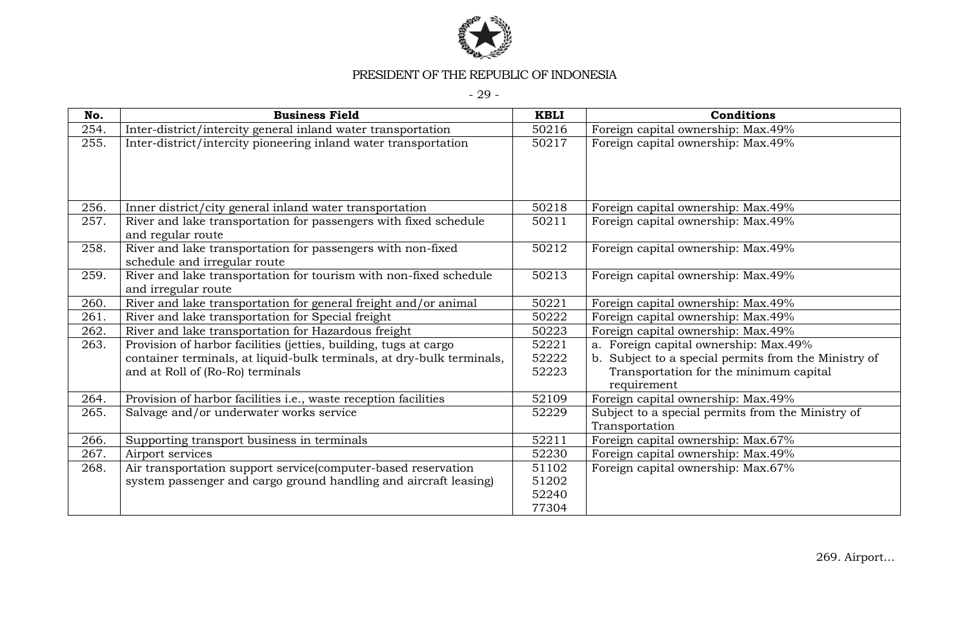

- 29 -

| No.  | <b>Business Field</b>                                                                       | <b>KBLI</b> | Conditions                                                          |
|------|---------------------------------------------------------------------------------------------|-------------|---------------------------------------------------------------------|
| 254. | Inter-district/intercity general inland water transportation                                | 50216       | Foreign capital ownership: Max.49%                                  |
| 255. | Inter-district/intercity pioneering inland water transportation                             | 50217       | Foreign capital ownership: Max.49%                                  |
| 256. | Inner district/city general inland water transportation                                     | 50218       | Foreign capital ownership: Max.49%                                  |
| 257. | River and lake transportation for passengers with fixed schedule<br>and regular route       | 50211       | Foreign capital ownership: Max.49%                                  |
| 258. | River and lake transportation for passengers with non-fixed<br>schedule and irregular route | 50212       | Foreign capital ownership: Max.49%                                  |
| 259. | River and lake transportation for tourism with non-fixed schedule<br>and irregular route    | 50213       | Foreign capital ownership: Max.49%                                  |
| 260. | River and lake transportation for general freight and/or animal                             | 50221       | Foreign capital ownership: Max.49%                                  |
| 261. | River and lake transportation for Special freight                                           | 50222       | Foreign capital ownership: Max.49%                                  |
| 262. | River and lake transportation for Hazardous freight                                         | 50223       | Foreign capital ownership: Max.49%                                  |
| 263. | Provision of harbor facilities (jetties, building, tugs at cargo                            | 52221       | a. Foreign capital ownership: Max.49%                               |
|      | container terminals, at liquid-bulk terminals, at dry-bulk terminals,                       | 52222       | b. Subject to a special permits from the Ministry of                |
|      | and at Roll of (Ro-Ro) terminals                                                            | 52223       | Transportation for the minimum capital<br>requirement               |
| 264. | Provision of harbor facilities i.e., waste reception facilities                             | 52109       | Foreign capital ownership: Max.49%                                  |
| 265. | Salvage and/or underwater works service                                                     | 52229       | Subject to a special permits from the Ministry of<br>Transportation |
| 266. | Supporting transport business in terminals                                                  | 52211       | Foreign capital ownership: Max.67%                                  |
| 267. | Airport services                                                                            | 52230       | Foreign capital ownership: Max.49%                                  |
| 268. | Air transportation support service(computer-based reservation                               | 51102       | Foreign capital ownership: Max.67%                                  |
|      | system passenger and cargo ground handling and aircraft leasing)                            | 51202       |                                                                     |
|      |                                                                                             | 52240       |                                                                     |
|      |                                                                                             | 77304       |                                                                     |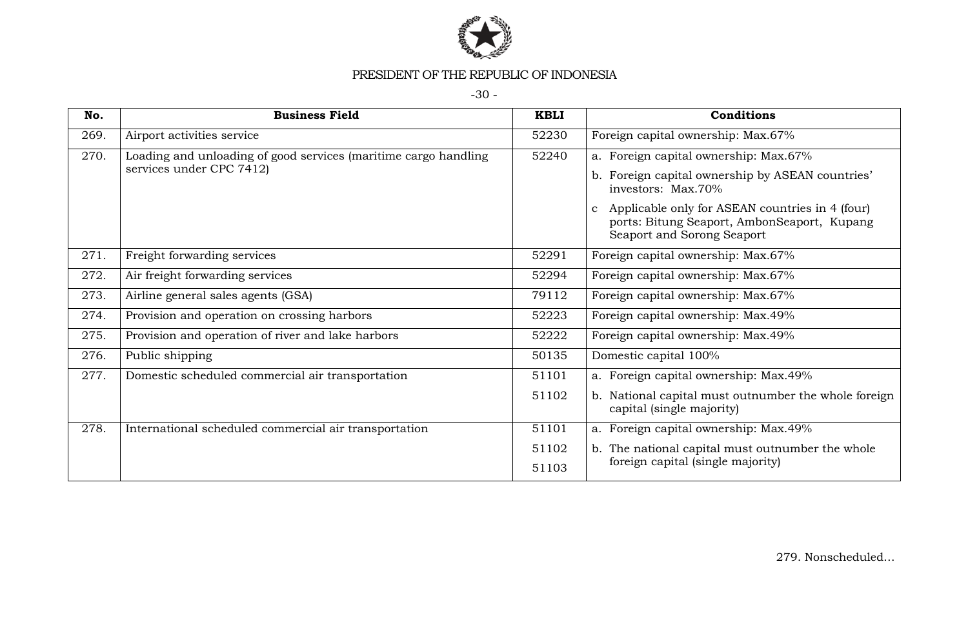

-30 -

| No.  | <b>Business Field</b>                                                                       | <b>KBLI</b> | Conditions                                                                                                                                   |
|------|---------------------------------------------------------------------------------------------|-------------|----------------------------------------------------------------------------------------------------------------------------------------------|
| 269. | Airport activities service                                                                  | 52230       | Foreign capital ownership: Max.67%                                                                                                           |
| 270. | Loading and unloading of good services (maritime cargo handling<br>services under CPC 7412) | 52240       | a. Foreign capital ownership: Max.67%                                                                                                        |
|      |                                                                                             |             | b. Foreign capital ownership by ASEAN countries'<br>investors: Max.70%                                                                       |
|      |                                                                                             |             | Applicable only for ASEAN countries in 4 (four)<br>$\mathbf{c}$<br>ports: Bitung Seaport, AmbonSeaport, Kupang<br>Seaport and Sorong Seaport |
| 271. | Freight forwarding services                                                                 | 52291       | Foreign capital ownership: Max.67%                                                                                                           |
| 272. | Air freight forwarding services                                                             | 52294       | Foreign capital ownership: Max.67%                                                                                                           |
| 273. | Airline general sales agents (GSA)                                                          | 79112       | Foreign capital ownership: Max.67%                                                                                                           |
| 274. | Provision and operation on crossing harbors                                                 | 52223       | Foreign capital ownership: Max.49%                                                                                                           |
| 275. | Provision and operation of river and lake harbors                                           | 52222       | Foreign capital ownership: Max.49%                                                                                                           |
| 276. | Public shipping                                                                             | 50135       | Domestic capital 100%                                                                                                                        |
| 277. | Domestic scheduled commercial air transportation                                            | 51101       | a. Foreign capital ownership: Max.49%                                                                                                        |
|      |                                                                                             | 51102       | b. National capital must outnumber the whole foreign<br>capital (single majority)                                                            |
| 278. | International scheduled commercial air transportation                                       | 51101       | a. Foreign capital ownership: Max.49%                                                                                                        |
|      |                                                                                             | 51102       | b. The national capital must outnumber the whole                                                                                             |
|      |                                                                                             | 51103       | foreign capital (single majority)                                                                                                            |

279. Nonscheduled…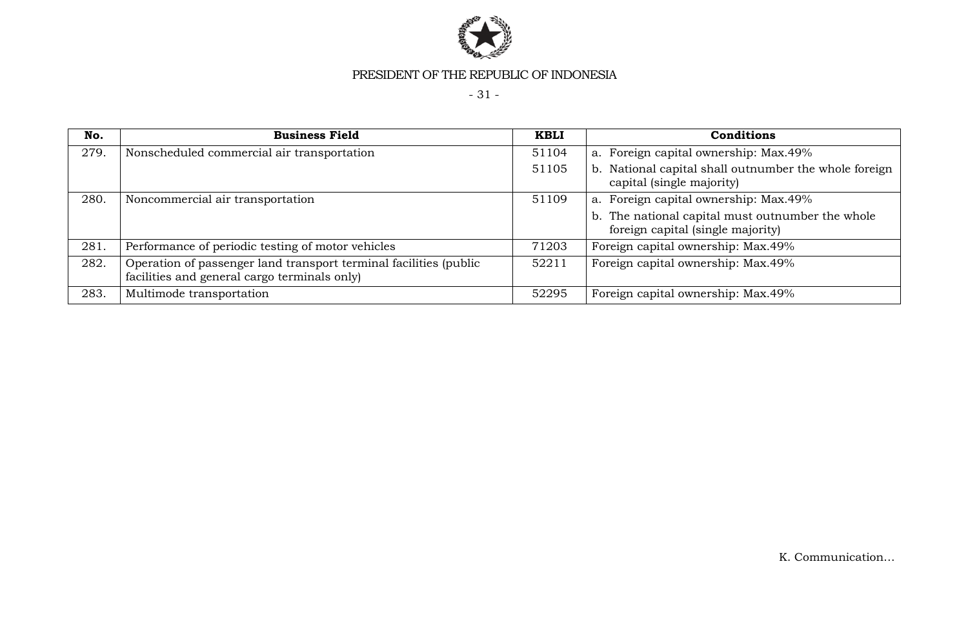

- 31 -

| No.  | <b>Business Field</b>                                                                                             | <b>KBLI</b> | Conditions                                                                            |
|------|-------------------------------------------------------------------------------------------------------------------|-------------|---------------------------------------------------------------------------------------|
| 279. | Nonscheduled commercial air transportation                                                                        | 51104       | a. Foreign capital ownership: Max.49%                                                 |
|      |                                                                                                                   | 51105       | National capital shall outnumber the whole foreign<br>b.<br>capital (single majority) |
| 280. | Noncommercial air transportation                                                                                  | 51109       | a. Foreign capital ownership: Max.49%                                                 |
|      |                                                                                                                   |             | b. The national capital must outnumber the whole<br>foreign capital (single majority) |
| 281. | Performance of periodic testing of motor vehicles                                                                 | 71203       | Foreign capital ownership: Max.49%                                                    |
| 282. | Operation of passenger land transport terminal facilities (public<br>facilities and general cargo terminals only) | 52211       | Foreign capital ownership: Max.49%                                                    |
| 283. | Multimode transportation                                                                                          | 52295       | Foreign capital ownership: Max.49%                                                    |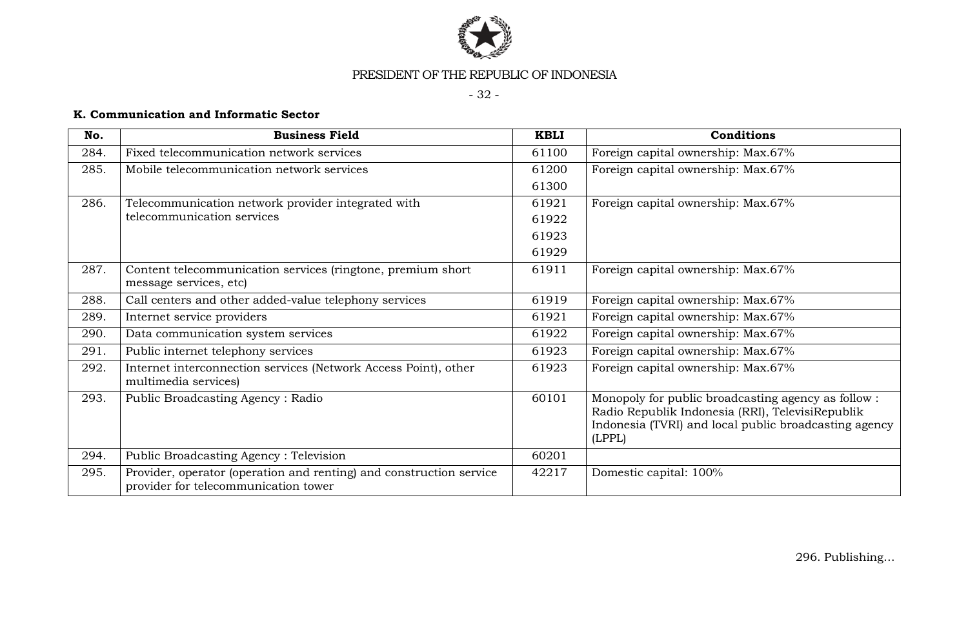

- 32 -

# **K. Communication and Informatic Sector**

| No.  | <b>Business Field</b>                                                                                       | <b>KBLI</b> | <b>Conditions</b>                                                                                                                                                         |
|------|-------------------------------------------------------------------------------------------------------------|-------------|---------------------------------------------------------------------------------------------------------------------------------------------------------------------------|
| 284. | Fixed telecommunication network services                                                                    | 61100       | Foreign capital ownership: Max.67%                                                                                                                                        |
| 285. | Mobile telecommunication network services                                                                   | 61200       | Foreign capital ownership: Max.67%                                                                                                                                        |
|      |                                                                                                             | 61300       |                                                                                                                                                                           |
| 286. | Telecommunication network provider integrated with                                                          | 61921       | Foreign capital ownership: Max.67%                                                                                                                                        |
|      | telecommunication services                                                                                  | 61922       |                                                                                                                                                                           |
|      |                                                                                                             | 61923       |                                                                                                                                                                           |
|      |                                                                                                             | 61929       |                                                                                                                                                                           |
| 287. | Content telecommunication services (ringtone, premium short<br>message services, etc)                       | 61911       | Foreign capital ownership: Max.67%                                                                                                                                        |
| 288. | Call centers and other added-value telephony services                                                       | 61919       | Foreign capital ownership: Max.67%                                                                                                                                        |
| 289. | Internet service providers                                                                                  | 61921       | Foreign capital ownership: Max.67%                                                                                                                                        |
| 290. | Data communication system services                                                                          | 61922       | Foreign capital ownership: Max.67%                                                                                                                                        |
| 291. | Public internet telephony services                                                                          | 61923       | Foreign capital ownership: Max.67%                                                                                                                                        |
| 292. | Internet interconnection services (Network Access Point), other<br>multimedia services)                     | 61923       | Foreign capital ownership: Max.67%                                                                                                                                        |
| 293. | Public Broadcasting Agency: Radio                                                                           | 60101       | Monopoly for public broadcasting agency as follow:<br>Radio Republik Indonesia (RRI), TelevisiRepublik<br>Indonesia (TVRI) and local public broadcasting agency<br>(LPPL) |
| 294. | Public Broadcasting Agency: Television                                                                      | 60201       |                                                                                                                                                                           |
| 295. | Provider, operator (operation and renting) and construction service<br>provider for telecommunication tower | 42217       | Domestic capital: 100%                                                                                                                                                    |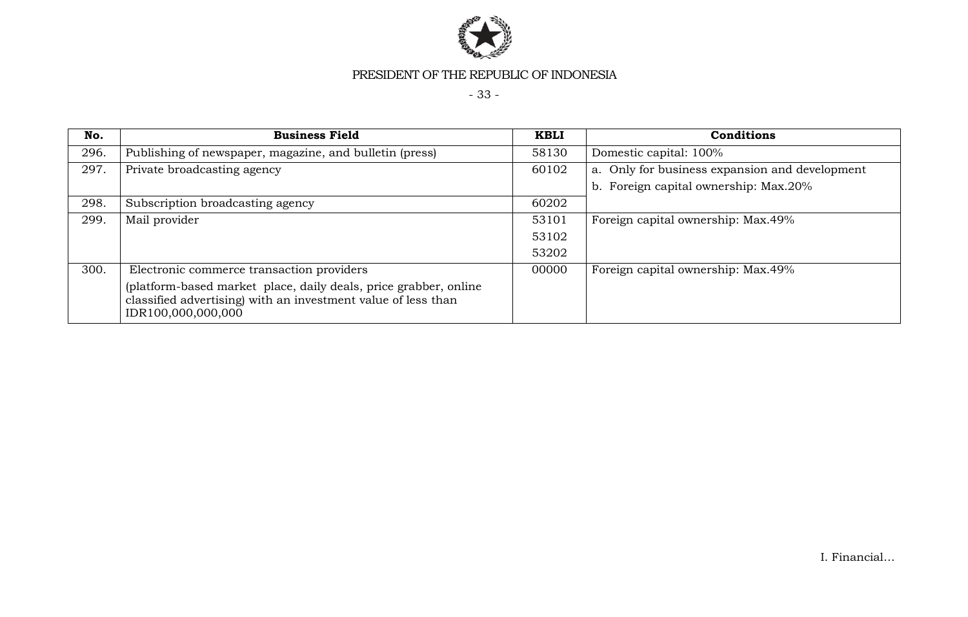

- 33 -

| No.  | <b>Business Field</b>                                                                                                                                   | <b>KBLI</b> | <b>Conditions</b>                              |
|------|---------------------------------------------------------------------------------------------------------------------------------------------------------|-------------|------------------------------------------------|
| 296. | Publishing of newspaper, magazine, and bulletin (press)                                                                                                 | 58130       | Domestic capital: 100%                         |
| 297. | Private broadcasting agency                                                                                                                             | 60102       | a. Only for business expansion and development |
|      |                                                                                                                                                         |             | b. Foreign capital ownership: Max.20%          |
| 298. | Subscription broadcasting agency                                                                                                                        | 60202       |                                                |
| 299. | Mail provider                                                                                                                                           | 53101       | Foreign capital ownership: Max.49%             |
|      |                                                                                                                                                         | 53102       |                                                |
|      |                                                                                                                                                         | 53202       |                                                |
| 300. | Electronic commerce transaction providers                                                                                                               | 00000       | Foreign capital ownership: Max.49%             |
|      | (platform-based market place, daily deals, price grabber, online<br>classified advertising) with an investment value of less than<br>IDR100,000,000,000 |             |                                                |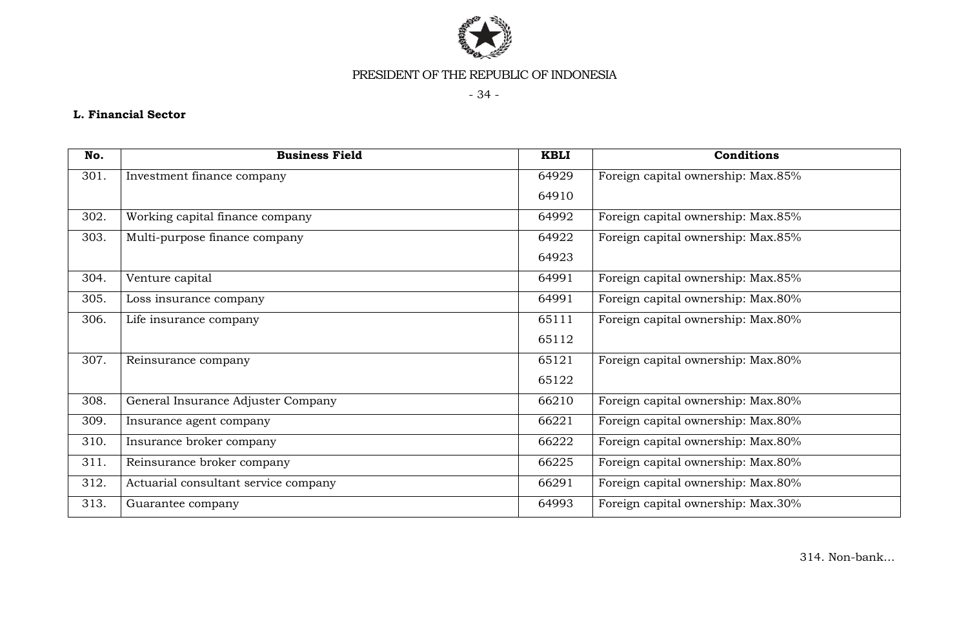

- 34 -

# **L. Financial Sector**

| No.  | <b>Business Field</b>                | <b>KBLI</b> | Conditions                         |
|------|--------------------------------------|-------------|------------------------------------|
| 301. | Investment finance company           | 64929       | Foreign capital ownership: Max.85% |
|      |                                      | 64910       |                                    |
| 302. | Working capital finance company      | 64992       | Foreign capital ownership: Max.85% |
| 303. | Multi-purpose finance company        | 64922       | Foreign capital ownership: Max.85% |
|      |                                      | 64923       |                                    |
| 304. | Venture capital                      | 64991       | Foreign capital ownership: Max.85% |
| 305. | Loss insurance company               | 64991       | Foreign capital ownership: Max.80% |
| 306. | Life insurance company               | 65111       | Foreign capital ownership: Max.80% |
|      |                                      | 65112       |                                    |
| 307. | Reinsurance company                  | 65121       | Foreign capital ownership: Max.80% |
|      |                                      | 65122       |                                    |
| 308. | General Insurance Adjuster Company   | 66210       | Foreign capital ownership: Max.80% |
| 309. | Insurance agent company              | 66221       | Foreign capital ownership: Max.80% |
| 310. | Insurance broker company             | 66222       | Foreign capital ownership: Max.80% |
| 311. | Reinsurance broker company           | 66225       | Foreign capital ownership: Max.80% |
| 312. | Actuarial consultant service company | 66291       | Foreign capital ownership: Max.80% |
| 313. | Guarantee company                    | 64993       | Foreign capital ownership: Max.30% |

314. Non-bank…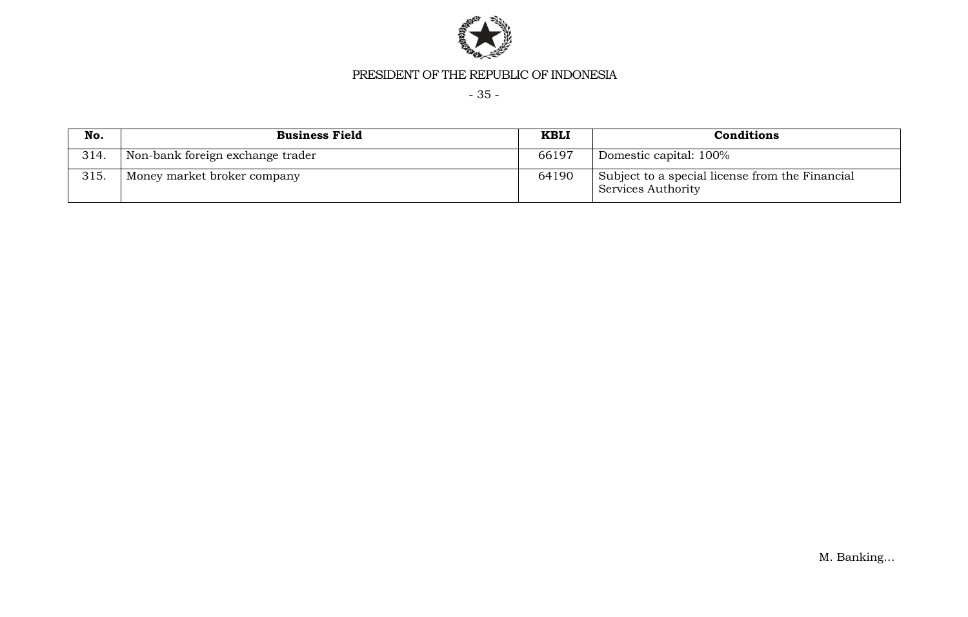

- 35 -

| No.  | <b>Business Field</b>            | <b>KBLI</b> | <b>Conditions</b>                                                     |
|------|----------------------------------|-------------|-----------------------------------------------------------------------|
| 314. | Non-bank foreign exchange trader | 66197       | Domestic capital: 100%                                                |
| 315. | Money market broker company      | 64190       | Subject to a special license from the Financial<br>Services Authority |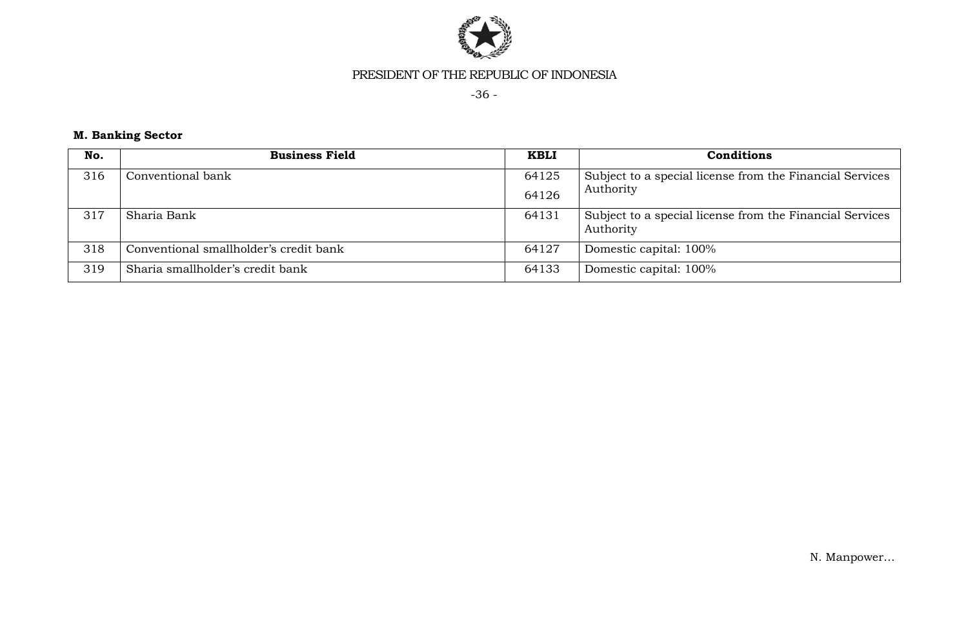

-36 -

# **M. Banking Sector**

| No. | <b>Business Field</b>                  | <b>KBLI</b> | <b>Conditions</b>                                                     |
|-----|----------------------------------------|-------------|-----------------------------------------------------------------------|
| 316 | Conventional bank                      | 64125       | Subject to a special license from the Financial Services<br>Authority |
|     |                                        | 64126       |                                                                       |
| 317 | Sharia Bank                            | 64131       | Subject to a special license from the Financial Services<br>Authority |
| 318 | Conventional smallholder's credit bank | 64127       | Domestic capital: 100%                                                |
| 319 | Sharia smallholder's credit bank       | 64133       | Domestic capital: 100%                                                |

N. Manpower…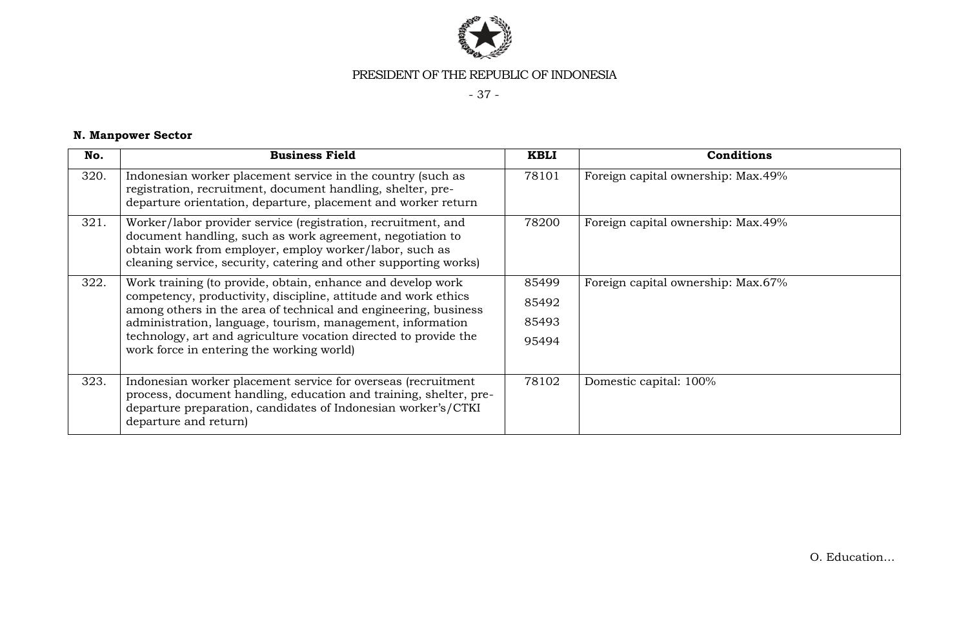

- 37 -

# **N. Manpower Sector**

| No.  | <b>Business Field</b>                                                                                                                                                                                                                                                                                                                                                           | <b>KBLI</b>                      | <b>Conditions</b>                  |
|------|---------------------------------------------------------------------------------------------------------------------------------------------------------------------------------------------------------------------------------------------------------------------------------------------------------------------------------------------------------------------------------|----------------------------------|------------------------------------|
| 320. | Indonesian worker placement service in the country (such as<br>registration, recruitment, document handling, shelter, pre-<br>departure orientation, departure, placement and worker return                                                                                                                                                                                     | 78101                            | Foreign capital ownership: Max.49% |
| 321. | Worker/labor provider service (registration, recruitment, and<br>document handling, such as work agreement, negotiation to<br>obtain work from employer, employ worker/labor, such as<br>cleaning service, security, catering and other supporting works)                                                                                                                       | 78200                            | Foreign capital ownership: Max.49% |
| 322. | Work training (to provide, obtain, enhance and develop work<br>competency, productivity, discipline, attitude and work ethics<br>among others in the area of technical and engineering, business<br>administration, language, tourism, management, information<br>technology, art and agriculture vocation directed to provide the<br>work force in entering the working world) | 85499<br>85492<br>85493<br>95494 | Foreign capital ownership: Max.67% |
| 323. | Indonesian worker placement service for overseas (recruitment<br>process, document handling, education and training, shelter, pre-<br>departure preparation, candidates of Indonesian worker's/CTKI<br>departure and return)                                                                                                                                                    | 78102                            | Domestic capital: 100%             |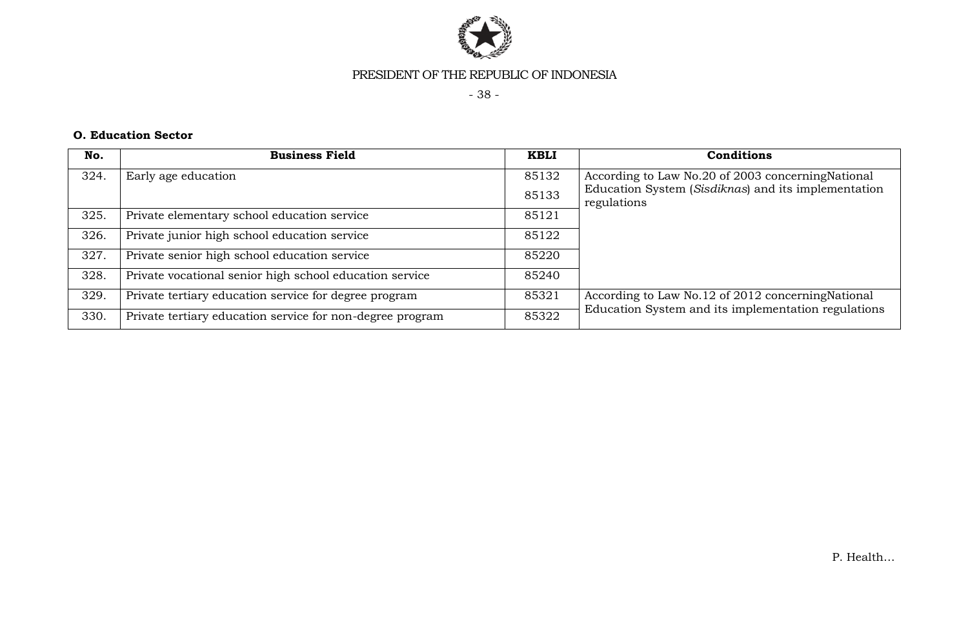

- 38 -

#### **O. Education Sector**

| No.  | <b>Business Field</b>                                     | <b>KBLI</b> | Conditions                                                                                                |
|------|-----------------------------------------------------------|-------------|-----------------------------------------------------------------------------------------------------------|
| 324. | Early age education                                       | 85132       | According to Law No.20 of 2003 concerning National                                                        |
|      |                                                           | 85133       | Education System (Sisdiknas) and its implementation<br>regulations                                        |
| 325. | Private elementary school education service               | 85121       |                                                                                                           |
| 326. | Private junior high school education service              | 85122       |                                                                                                           |
| 327. | Private senior high school education service              | 85220       |                                                                                                           |
| 328. | Private vocational senior high school education service   | 85240       |                                                                                                           |
| 329. | Private tertiary education service for degree program     | 85321       | According to Law No.12 of 2012 concerning National<br>Education System and its implementation regulations |
| 330. | Private tertiary education service for non-degree program | 85322       |                                                                                                           |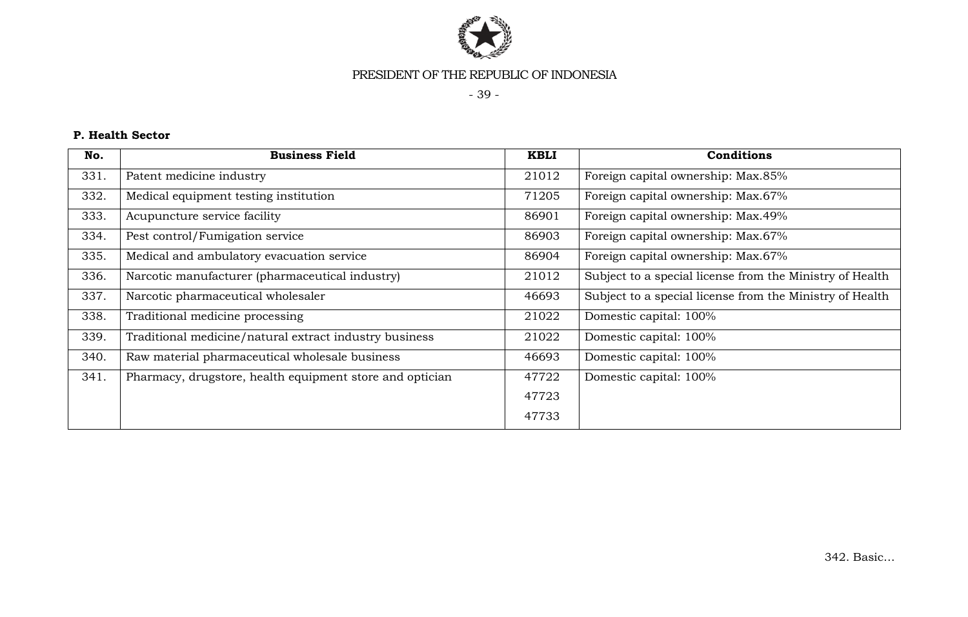

- 39 -

# **P. Health Sector**

| No.  | <b>Business Field</b>                                    | <b>KBLI</b> | <b>Conditions</b>                                        |
|------|----------------------------------------------------------|-------------|----------------------------------------------------------|
| 331. | Patent medicine industry                                 | 21012       | Foreign capital ownership: Max.85%                       |
| 332. | Medical equipment testing institution                    | 71205       | Foreign capital ownership: Max.67%                       |
| 333. | Acupuncture service facility                             | 86901       | Foreign capital ownership: Max.49%                       |
| 334. | Pest control/Fumigation service                          | 86903       | Foreign capital ownership: Max.67%                       |
| 335. | Medical and ambulatory evacuation service                | 86904       | Foreign capital ownership: Max.67%                       |
| 336. | Narcotic manufacturer (pharmaceutical industry)          | 21012       | Subject to a special license from the Ministry of Health |
| 337. | Narcotic pharmaceutical wholesaler                       | 46693       | Subject to a special license from the Ministry of Health |
| 338. | Traditional medicine processing                          | 21022       | Domestic capital: 100%                                   |
| 339. | Traditional medicine/natural extract industry business   | 21022       | Domestic capital: 100%                                   |
| 340. | Raw material pharmaceutical wholesale business           | 46693       | Domestic capital: 100%                                   |
| 341. | Pharmacy, drugstore, health equipment store and optician | 47722       | Domestic capital: 100%                                   |
|      |                                                          | 47723       |                                                          |
|      |                                                          | 47733       |                                                          |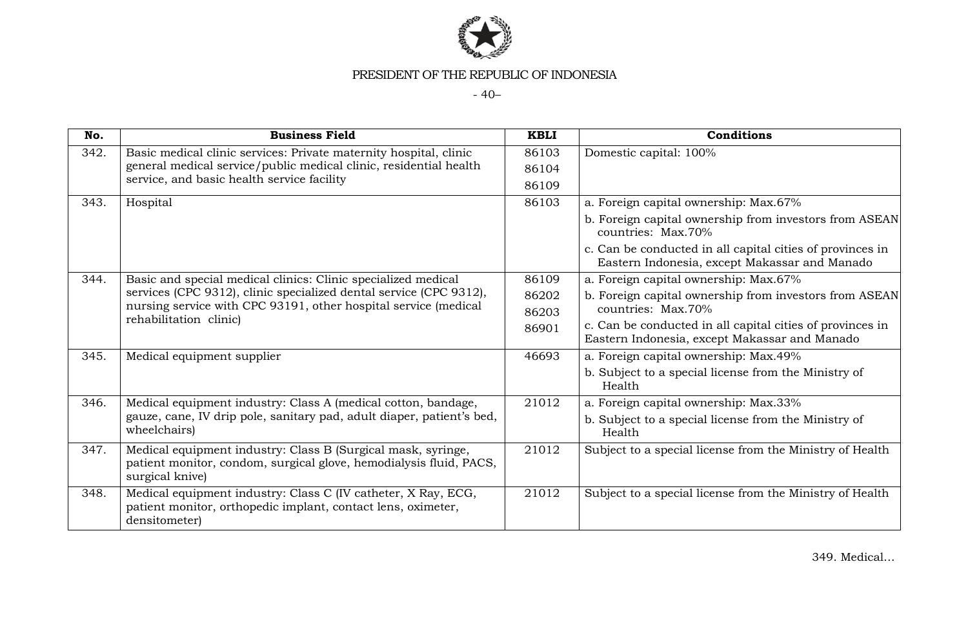

- 40–

| No.  | <b>Business Field</b>                                                                                                                                 | <b>KBLI</b> | <b>Conditions</b>                                                                                          |
|------|-------------------------------------------------------------------------------------------------------------------------------------------------------|-------------|------------------------------------------------------------------------------------------------------------|
| 342. | Basic medical clinic services: Private maternity hospital, clinic                                                                                     | 86103       | Domestic capital: 100%                                                                                     |
|      | general medical service/public medical clinic, residential health<br>service, and basic health service facility                                       | 86104       |                                                                                                            |
|      |                                                                                                                                                       | 86109       |                                                                                                            |
| 343. | Hospital                                                                                                                                              | 86103       | a. Foreign capital ownership: Max.67%                                                                      |
|      |                                                                                                                                                       |             | b. Foreign capital ownership from investors from ASEAN<br>countries: Max.70%                               |
|      |                                                                                                                                                       |             | c. Can be conducted in all capital cities of provinces in<br>Eastern Indonesia, except Makassar and Manado |
| 344. | Basic and special medical clinics: Clinic specialized medical                                                                                         | 86109       | a. Foreign capital ownership: Max.67%                                                                      |
|      | services (CPC 9312), clinic specialized dental service (CPC 9312),                                                                                    | 86202       | b. Foreign capital ownership from investors from ASEAN                                                     |
|      | nursing service with CPC 93191, other hospital service (medical<br>rehabilitation clinic)                                                             | 86203       | countries: Max.70%                                                                                         |
|      |                                                                                                                                                       | 86901       | c. Can be conducted in all capital cities of provinces in<br>Eastern Indonesia, except Makassar and Manado |
| 345. | Medical equipment supplier                                                                                                                            | 46693       | a. Foreign capital ownership: Max.49%                                                                      |
|      |                                                                                                                                                       |             | b. Subject to a special license from the Ministry of<br>Health                                             |
| 346. | Medical equipment industry: Class A (medical cotton, bandage,                                                                                         | 21012       | a. Foreign capital ownership: Max.33%                                                                      |
|      | gauze, cane, IV drip pole, sanitary pad, adult diaper, patient's bed,<br>wheelchairs)                                                                 |             | b. Subject to a special license from the Ministry of<br>Health                                             |
| 347. | Medical equipment industry: Class B (Surgical mask, syringe,<br>patient monitor, condom, surgical glove, hemodialysis fluid, PACS,<br>surgical knive) | 21012       | Subject to a special license from the Ministry of Health                                                   |
| 348. | Medical equipment industry: Class C (IV catheter, X Ray, ECG,<br>patient monitor, orthopedic implant, contact lens, oximeter,<br>densitometer)        | 21012       | Subject to a special license from the Ministry of Health                                                   |